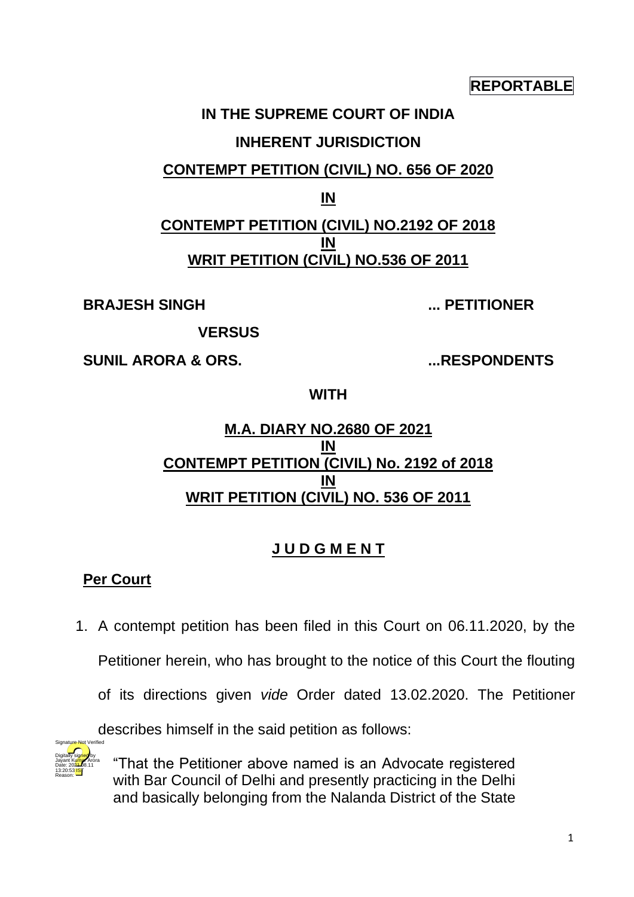#### **REPORTABLE**

# **IN THE SUPREME COURT OF INDIA INHERENT JURISDICTION**

# **CONTEMPT PETITION (CIVIL) NO. 656 OF 2020**

**IN**

# **CONTEMPT PETITION (CIVIL) NO.2192 OF 2018 IN WRIT PETITION (CIVIL) NO.536 OF 2011**

**BRAJESH SINGH ... PETITIONER**

**VERSUS**

**SUNIL ARORA & ORS. ...RESPONDENTS**

**WITH**

## **M.A. DIARY NO.2680 OF 2021 IN CONTEMPT PETITION (CIVIL) No. 2192 of 2018 IN WRIT PETITION (CIVIL) NO. 536 OF 2011**

# **J U D G M E N T**

# **Per Court**

1. A contempt petition has been filed in this Court on 06.11.2020, by the

Petitioner herein, who has brought to the notice of this Court the flouting

of its directions given *vide* Order dated 13.02.2020. The Petitioner

describes himself in the said petition as follows:



"That the Petitioner above named is an Advocate registered with Bar Council of Delhi and presently practicing in the Delhi and basically belonging from the Nalanda District of the State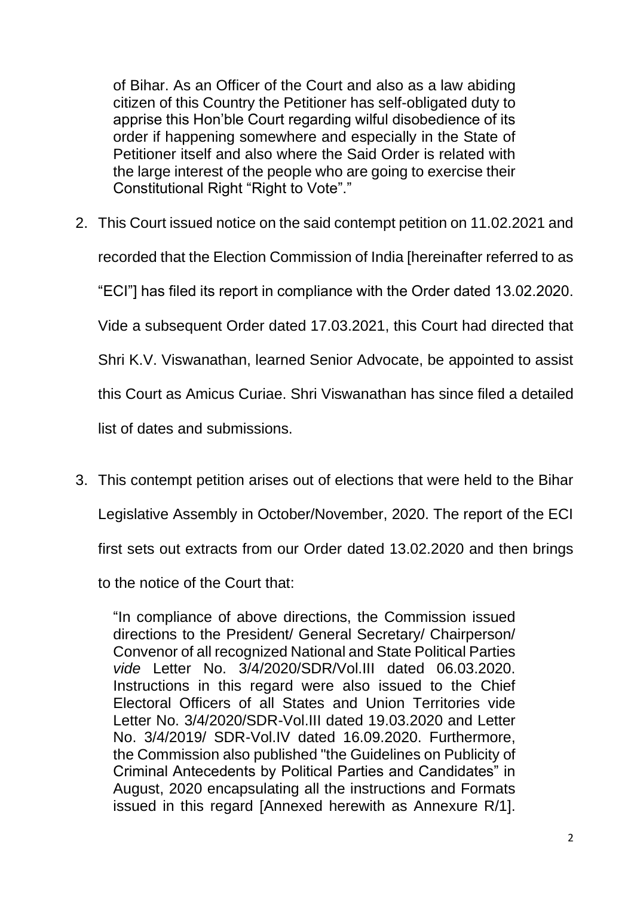of Bihar. As an Officer of the Court and also as a law abiding citizen of this Country the Petitioner has self-obligated duty to apprise this Hon'ble Court regarding wilful disobedience of its order if happening somewhere and especially in the State of Petitioner itself and also where the Said Order is related with the large interest of the people who are going to exercise their Constitutional Right "Right to Vote"."

- 2. This Court issued notice on the said contempt petition on 11.02.2021 and recorded that the Election Commission of India [hereinafter referred to as "ECI"] has filed its report in compliance with the Order dated 13.02.2020. Vide a subsequent Order dated 17.03.2021, this Court had directed that Shri K.V. Viswanathan, learned Senior Advocate, be appointed to assist this Court as Amicus Curiae. Shri Viswanathan has since filed a detailed list of dates and submissions.
- 3. This contempt petition arises out of elections that were held to the Bihar Legislative Assembly in October/November, 2020. The report of the ECI first sets out extracts from our Order dated 13.02.2020 and then brings to the notice of the Court that:

"In compliance of above directions, the Commission issued directions to the President/ General Secretary/ Chairperson/ Convenor of all recognized National and State Political Parties *vide* Letter No. 3/4/2020/SDR/Vol.III dated 06.03.2020. Instructions in this regard were also issued to the Chief Electoral Officers of all States and Union Territories vide Letter No. 3/4/2020/SDR-Vol.III dated 19.03.2020 and Letter No. 3/4/2019/ SDR-Vol.IV dated 16.09.2020. Furthermore, the Commission also published "the Guidelines on Publicity of Criminal Antecedents by Political Parties and Candidates" in August, 2020 encapsulating all the instructions and Formats issued in this regard [Annexed herewith as Annexure R/1].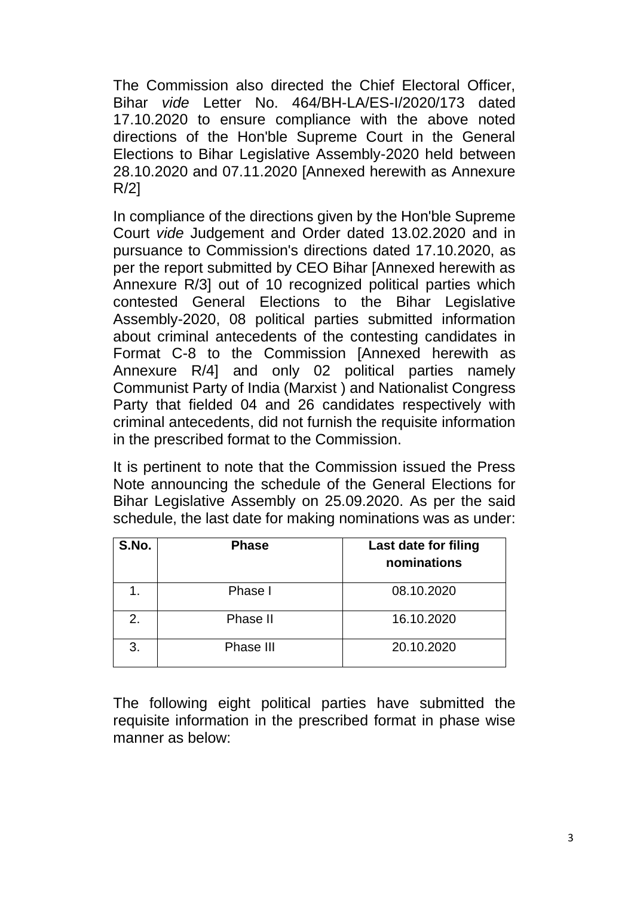The Commission also directed the Chief Electoral Officer, Bihar *vide* Letter No. 464/BH-LA/ES-I/2020/173 dated 17.10.2020 to ensure compliance with the above noted directions of the Hon'ble Supreme Court in the General Elections to Bihar Legislative Assembly-2020 held between 28.10.2020 and 07.11.2020 [Annexed herewith as Annexure R/2]

In compliance of the directions given by the Hon'ble Supreme Court *vide* Judgement and Order dated 13.02.2020 and in pursuance to Commission's directions dated 17.10.2020, as per the report submitted by CEO Bihar [Annexed herewith as Annexure R/3] out of 10 recognized political parties which contested General Elections to the Bihar Legislative Assembly-2020, 08 political parties submitted information about criminal antecedents of the contesting candidates in Format C-8 to the Commission [Annexed herewith as Annexure R/4] and only 02 political parties namely Communist Party of India (Marxist ) and Nationalist Congress Party that fielded 04 and 26 candidates respectively with criminal antecedents, did not furnish the requisite information in the prescribed format to the Commission.

It is pertinent to note that the Commission issued the Press Note announcing the schedule of the General Elections for Bihar Legislative Assembly on 25.09.2020. As per the said schedule, the last date for making nominations was as under:

| S.No. | <b>Phase</b> | Last date for filing<br>nominations |
|-------|--------------|-------------------------------------|
|       | Phase I      | 08.10.2020                          |
| 2.    | Phase II     | 16.10.2020                          |
| 3.    | Phase III    | 20.10.2020                          |

The following eight political parties have submitted the requisite information in the prescribed format in phase wise manner as below: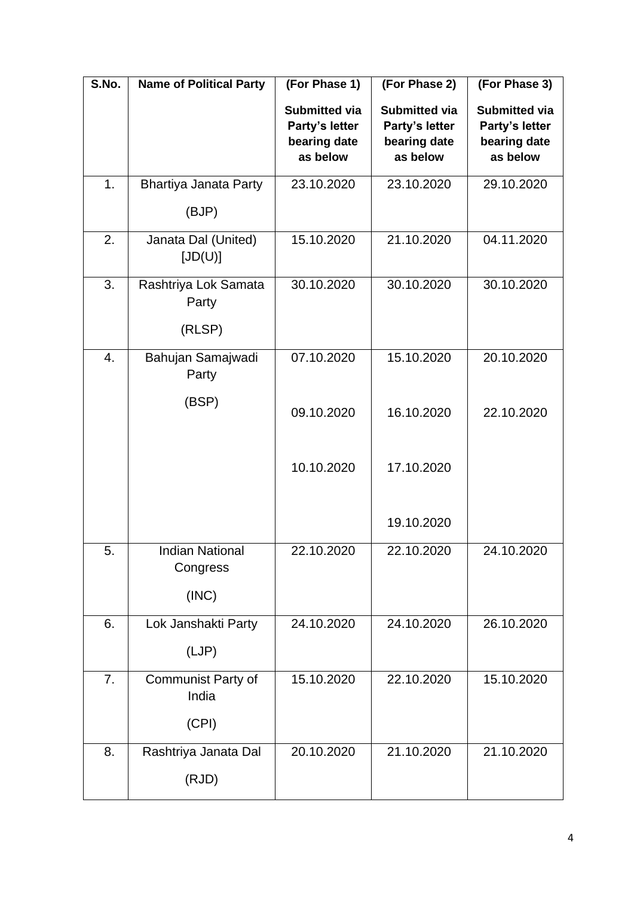| S.No. | <b>Name of Political Party</b>              | (For Phase 1)                                                      | (For Phase 2)                                                      | (For Phase 3)                                                      |
|-------|---------------------------------------------|--------------------------------------------------------------------|--------------------------------------------------------------------|--------------------------------------------------------------------|
|       |                                             | <b>Submitted via</b><br>Party's letter<br>bearing date<br>as below | <b>Submitted via</b><br>Party's letter<br>bearing date<br>as below | <b>Submitted via</b><br>Party's letter<br>bearing date<br>as below |
| 1.    | <b>Bhartiya Janata Party</b>                | 23.10.2020                                                         | 23.10.2020                                                         | 29.10.2020                                                         |
|       | (BJP)                                       |                                                                    |                                                                    |                                                                    |
| 2.    | Janata Dal (United)<br>[JD(U)]              | 15.10.2020                                                         | 21.10.2020                                                         | 04.11.2020                                                         |
| 3.    | Rashtriya Lok Samata<br>Party               | 30.10.2020                                                         | 30.10.2020                                                         | 30.10.2020                                                         |
|       | (RLSP)                                      |                                                                    |                                                                    |                                                                    |
| 4.    | Bahujan Samajwadi<br>Party                  | 07.10.2020                                                         | 15.10.2020                                                         | 20.10.2020                                                         |
|       | (BSP)                                       | 09.10.2020                                                         | 16.10.2020                                                         | 22.10.2020                                                         |
|       |                                             | 10.10.2020                                                         | 17.10.2020                                                         |                                                                    |
|       |                                             |                                                                    | 19.10.2020                                                         |                                                                    |
| 5.    | <b>Indian National</b><br>Congress<br>(INC) | 22.10.2020                                                         | 22.10.2020                                                         | 24.10.2020                                                         |
| 6.    | Lok Janshakti Party<br>(LJP)                | 24.10.2020                                                         | 24.10.2020                                                         | 26.10.2020                                                         |
| 7.    | Communist Party of<br>India                 | 15.10.2020                                                         | 22.10.2020                                                         | 15.10.2020                                                         |
|       | (CPI)                                       |                                                                    |                                                                    |                                                                    |
| 8.    | Rashtriya Janata Dal<br>(RJD)               | 20.10.2020                                                         | 21.10.2020                                                         | 21.10.2020                                                         |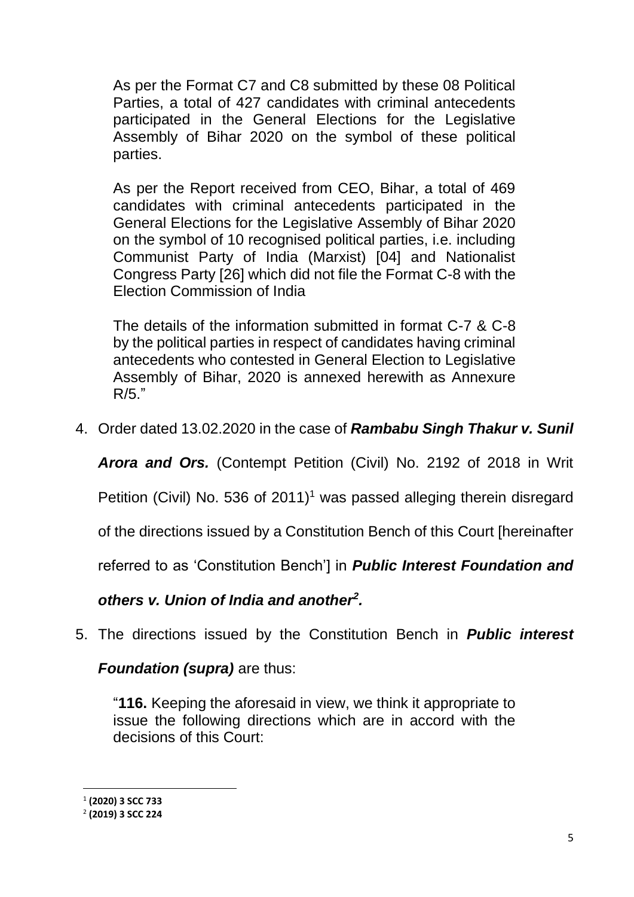As per the Format C7 and C8 submitted by these 08 Political Parties, a total of 427 candidates with criminal antecedents participated in the General Elections for the Legislative Assembly of Bihar 2020 on the symbol of these political parties.

As per the Report received from CEO, Bihar, a total of 469 candidates with criminal antecedents participated in the General Elections for the Legislative Assembly of Bihar 2020 on the symbol of 10 recognised political parties, i.e. including Communist Party of India (Marxist) [04] and Nationalist Congress Party [26] which did not file the Format C-8 with the Election Commission of India

The details of the information submitted in format C-7 & C-8 by the political parties in respect of candidates having criminal antecedents who contested in General Election to Legislative Assembly of Bihar, 2020 is annexed herewith as Annexure  $R/5$ ."

4. Order dated 13.02.2020 in the case of *Rambabu Singh Thakur v. Sunil* 

*Arora and Ors.* (Contempt Petition (Civil) No. 2192 of 2018 in Writ

Petition (Civil) No. 536 of 2011)<sup>1</sup> was passed alleging therein disregard

of the directions issued by a Constitution Bench of this Court [hereinafter

referred to as 'Constitution Bench'] in *Public Interest Foundation and* 

#### *others v. Union of India and another<sup>2</sup> .*

5. The directions issued by the Constitution Bench in *Public interest* 

#### *Foundation (supra)* are thus:

"**116.** Keeping the aforesaid in view, we think it appropriate to issue the following directions which are in accord with the decisions of this Court:

<sup>1</sup> **(2020) 3 SCC 733**

<sup>2</sup> **(2019) 3 SCC 224**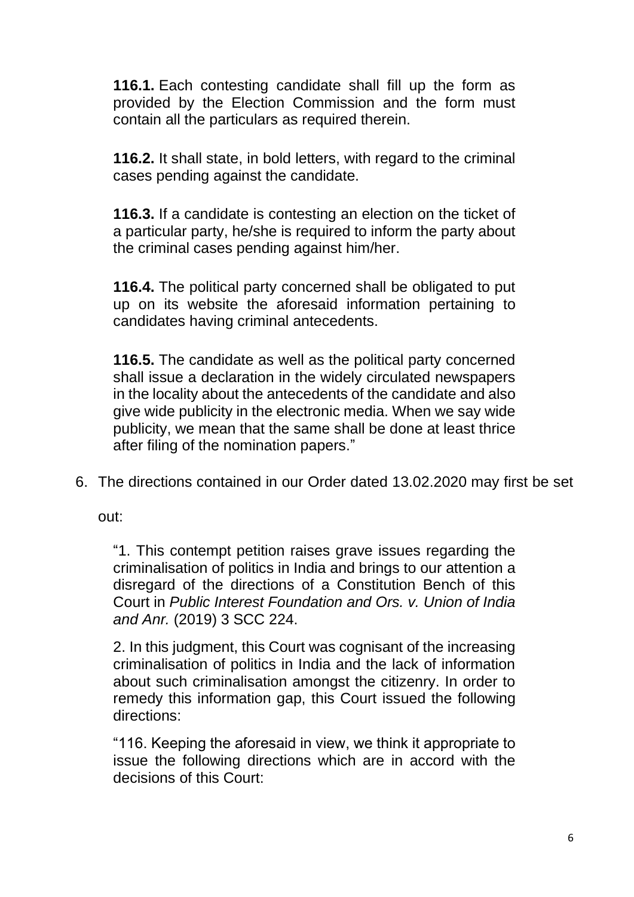**116.1.** Each contesting candidate shall fill up the form as provided by the Election Commission and the form must contain all the particulars as required therein.

**116.2.** It shall state, in bold letters, with regard to the criminal cases pending against the candidate.

**116.3.** If a candidate is contesting an election on the ticket of a particular party, he/she is required to inform the party about the criminal cases pending against him/her.

**116.4.** The political party concerned shall be obligated to put up on its website the aforesaid information pertaining to candidates having criminal antecedents.

**116.5.** The candidate as well as the political party concerned shall issue a declaration in the widely circulated newspapers in the locality about the antecedents of the candidate and also give wide publicity in the electronic media. When we say wide publicity, we mean that the same shall be done at least thrice after filing of the nomination papers."

6. The directions contained in our Order dated 13.02.2020 may first be set

out:

"1. This contempt petition raises grave issues regarding the criminalisation of politics in India and brings to our attention a disregard of the directions of a Constitution Bench of this Court in *Public Interest Foundation and Ors. v. Union of India and Anr.* (2019) 3 SCC 224.

2. In this judgment, this Court was cognisant of the increasing criminalisation of politics in India and the lack of information about such criminalisation amongst the citizenry. In order to remedy this information gap, this Court issued the following directions:

"116. Keeping the aforesaid in view, we think it appropriate to issue the following directions which are in accord with the decisions of this Court: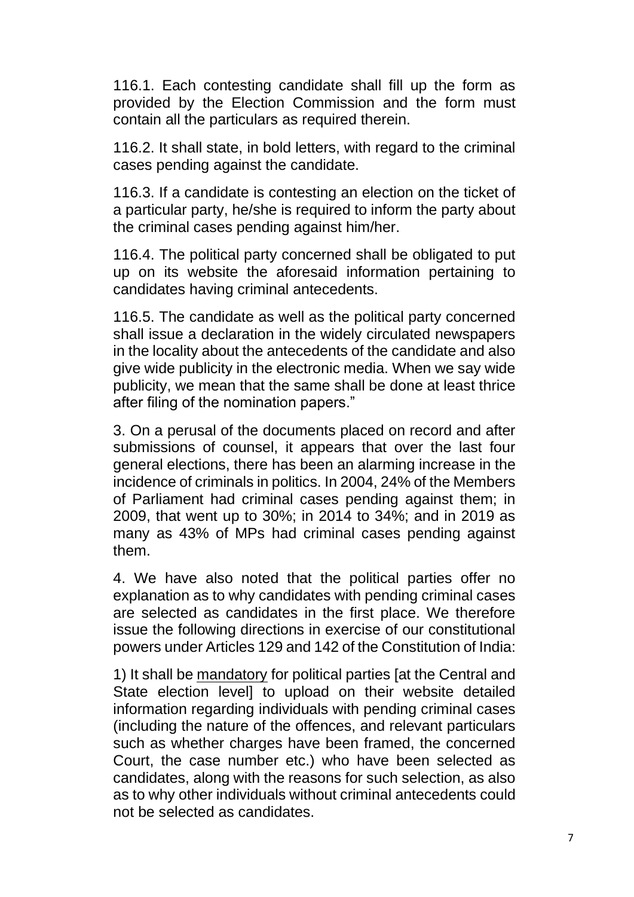116.1. Each contesting candidate shall fill up the form as provided by the Election Commission and the form must contain all the particulars as required therein.

116.2. It shall state, in bold letters, with regard to the criminal cases pending against the candidate.

116.3. If a candidate is contesting an election on the ticket of a particular party, he/she is required to inform the party about the criminal cases pending against him/her.

116.4. The political party concerned shall be obligated to put up on its website the aforesaid information pertaining to candidates having criminal antecedents.

116.5. The candidate as well as the political party concerned shall issue a declaration in the widely circulated newspapers in the locality about the antecedents of the candidate and also give wide publicity in the electronic media. When we say wide publicity, we mean that the same shall be done at least thrice after filing of the nomination papers."

3. On a perusal of the documents placed on record and after submissions of counsel, it appears that over the last four general elections, there has been an alarming increase in the incidence of criminals in politics. In 2004, 24% of the Members of Parliament had criminal cases pending against them; in 2009, that went up to 30%; in 2014 to 34%; and in 2019 as many as 43% of MPs had criminal cases pending against them.

4. We have also noted that the political parties offer no explanation as to why candidates with pending criminal cases are selected as candidates in the first place. We therefore issue the following directions in exercise of our constitutional powers under Articles 129 and 142 of the Constitution of India:

1) It shall be mandatory for political parties [at the Central and State election level] to upload on their website detailed information regarding individuals with pending criminal cases (including the nature of the offences, and relevant particulars such as whether charges have been framed, the concerned Court, the case number etc.) who have been selected as candidates, along with the reasons for such selection, as also as to why other individuals without criminal antecedents could not be selected as candidates.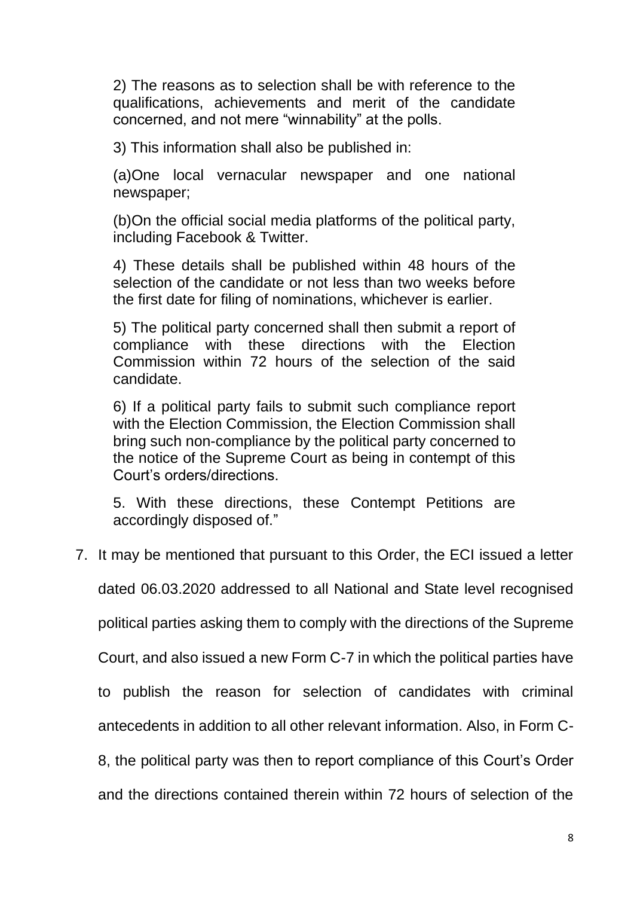2) The reasons as to selection shall be with reference to the qualifications, achievements and merit of the candidate concerned, and not mere "winnability" at the polls.

3) This information shall also be published in:

(a)One local vernacular newspaper and one national newspaper;

(b)On the official social media platforms of the political party, including Facebook & Twitter.

4) These details shall be published within 48 hours of the selection of the candidate or not less than two weeks before the first date for filing of nominations, whichever is earlier.

5) The political party concerned shall then submit a report of compliance with these directions with the Election Commission within 72 hours of the selection of the said candidate.

6) If a political party fails to submit such compliance report with the Election Commission, the Election Commission shall bring such non-compliance by the political party concerned to the notice of the Supreme Court as being in contempt of this Court's orders/directions.

5. With these directions, these Contempt Petitions are accordingly disposed of."

7. It may be mentioned that pursuant to this Order, the ECI issued a letter

dated 06.03.2020 addressed to all National and State level recognised

political parties asking them to comply with the directions of the Supreme

Court, and also issued a new Form C-7 in which the political parties have

to publish the reason for selection of candidates with criminal

antecedents in addition to all other relevant information. Also, in Form C-

8, the political party was then to report compliance of this Court's Order

and the directions contained therein within 72 hours of selection of the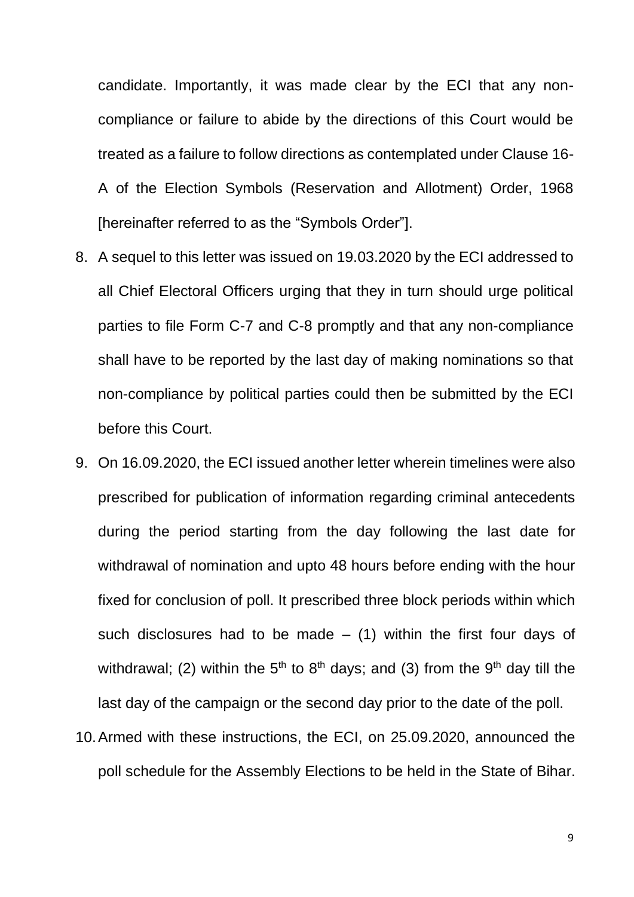candidate. Importantly, it was made clear by the ECI that any noncompliance or failure to abide by the directions of this Court would be treated as a failure to follow directions as contemplated under Clause 16- A of the Election Symbols (Reservation and Allotment) Order, 1968 [hereinafter referred to as the "Symbols Order"].

- 8. A sequel to this letter was issued on 19.03.2020 by the ECI addressed to all Chief Electoral Officers urging that they in turn should urge political parties to file Form C-7 and C-8 promptly and that any non-compliance shall have to be reported by the last day of making nominations so that non-compliance by political parties could then be submitted by the ECI before this Court.
- 9. On 16.09.2020, the ECI issued another letter wherein timelines were also prescribed for publication of information regarding criminal antecedents during the period starting from the day following the last date for withdrawal of nomination and upto 48 hours before ending with the hour fixed for conclusion of poll. It prescribed three block periods within which such disclosures had to be made  $-$  (1) within the first four days of withdrawal; (2) within the 5<sup>th</sup> to 8<sup>th</sup> days; and (3) from the 9<sup>th</sup> day till the last day of the campaign or the second day prior to the date of the poll.
- 10.Armed with these instructions, the ECI, on 25.09.2020, announced the poll schedule for the Assembly Elections to be held in the State of Bihar.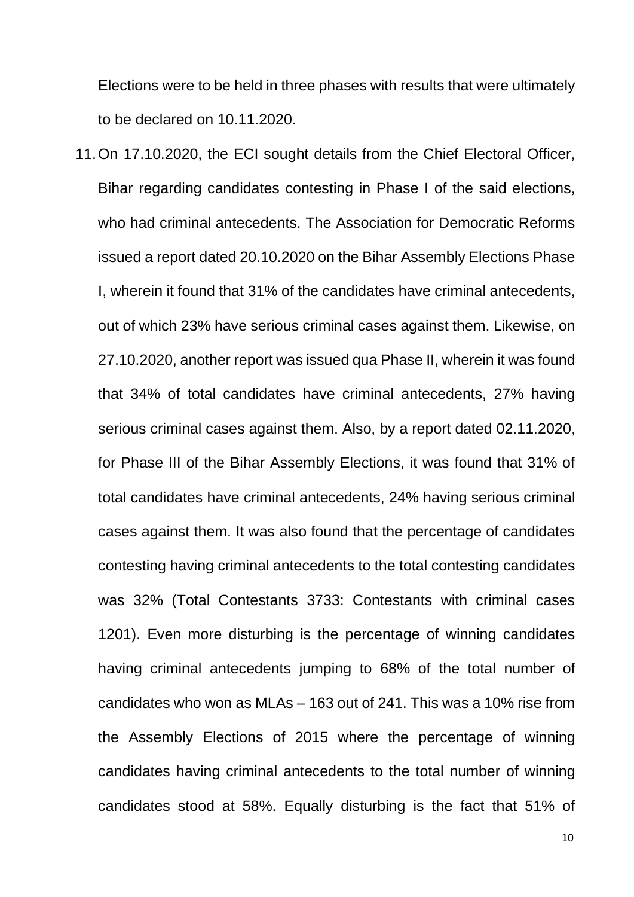Elections were to be held in three phases with results that were ultimately to be declared on 10.11.2020.

11.On 17.10.2020, the ECI sought details from the Chief Electoral Officer, Bihar regarding candidates contesting in Phase I of the said elections, who had criminal antecedents. The Association for Democratic Reforms issued a report dated 20.10.2020 on the Bihar Assembly Elections Phase I, wherein it found that 31% of the candidates have criminal antecedents, out of which 23% have serious criminal cases against them. Likewise, on 27.10.2020, another report was issued qua Phase II, wherein it was found that 34% of total candidates have criminal antecedents, 27% having serious criminal cases against them. Also, by a report dated 02.11.2020, for Phase III of the Bihar Assembly Elections, it was found that 31% of total candidates have criminal antecedents, 24% having serious criminal cases against them. It was also found that the percentage of candidates contesting having criminal antecedents to the total contesting candidates was 32% (Total Contestants 3733: Contestants with criminal cases 1201). Even more disturbing is the percentage of winning candidates having criminal antecedents jumping to 68% of the total number of candidates who won as MLAs – 163 out of 241. This was a 10% rise from the Assembly Elections of 2015 where the percentage of winning candidates having criminal antecedents to the total number of winning candidates stood at 58%. Equally disturbing is the fact that 51% of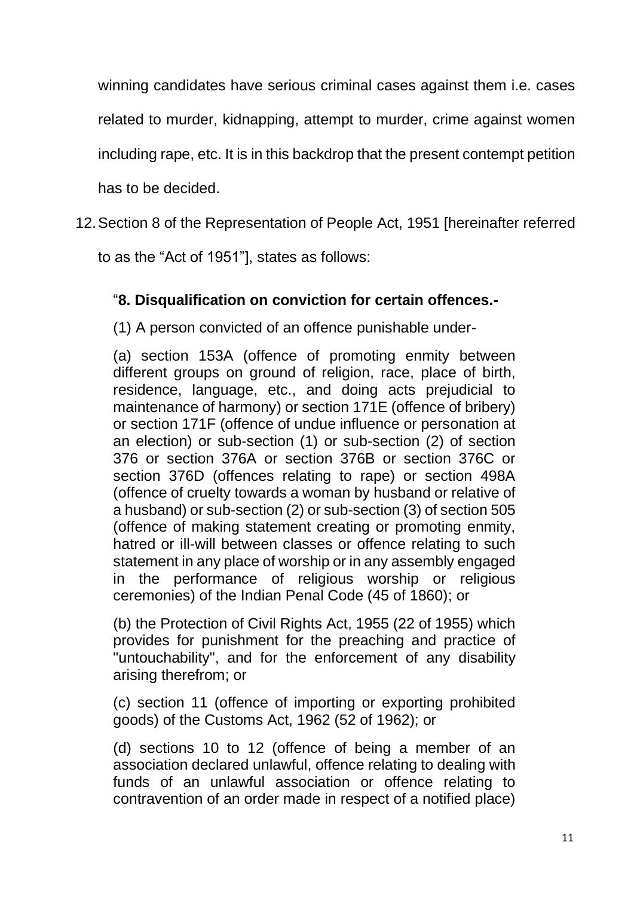winning candidates have serious criminal cases against them i.e. cases

related to murder, kidnapping, attempt to murder, crime against women

including rape, etc. It is in this backdrop that the present contempt petition

has to be decided.

12.Section 8 of the Representation of People Act, 1951 [hereinafter referred

to as the "Act of 1951"], states as follows:

## "**8. Disqualification on conviction for certain offences.-**

(1) A person convicted of an offence punishable under-

(a) section 153A (offence of promoting enmity between different groups on ground of religion, race, place of birth, residence, language, etc., and doing acts prejudicial to maintenance of harmony) or section 171E (offence of bribery) or section 171F (offence of undue influence or personation at an election) or sub-section (1) or sub-section (2) of section 376 or section 376A or section 376B or section 376C or section 376D (offences relating to rape) or section 498A (offence of cruelty towards a woman by husband or relative of a husband) or sub-section (2) or sub-section (3) of section 505 (offence of making statement creating or promoting enmity, hatred or ill-will between classes or offence relating to such statement in any place of worship or in any assembly engaged in the performance of religious worship or religious ceremonies) of the Indian Penal Code (45 of 1860); or

(b) the Protection of Civil Rights Act, 1955 (22 of 1955) which provides for punishment for the preaching and practice of "untouchability", and for the enforcement of any disability arising therefrom; or

(c) section 11 (offence of importing or exporting prohibited goods) of the Customs Act, 1962 (52 of 1962); or

(d) sections 10 to 12 (offence of being a member of an association declared unlawful, offence relating to dealing with funds of an unlawful association or offence relating to contravention of an order made in respect of a notified place)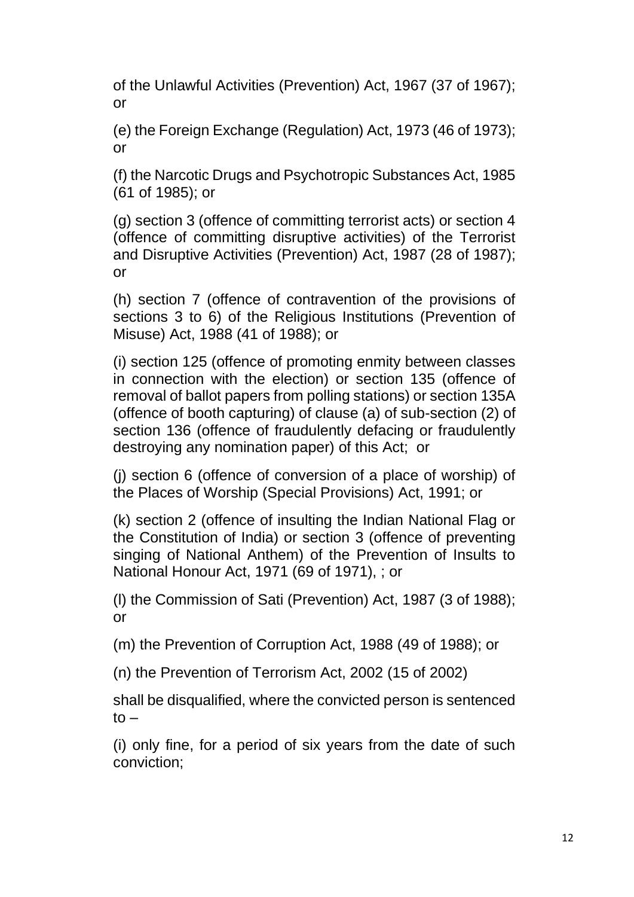of the Unlawful Activities (Prevention) Act, 1967 (37 of 1967); or

(e) the Foreign Exchange (Regulation) Act, 1973 (46 of 1973); or

(f) the Narcotic Drugs and Psychotropic Substances Act, 1985 (61 of 1985); or

(g) section 3 (offence of committing terrorist acts) or section 4 (offence of committing disruptive activities) of the Terrorist and Disruptive Activities (Prevention) Act, 1987 (28 of 1987); or

(h) section 7 (offence of contravention of the provisions of sections 3 to 6) of the Religious Institutions (Prevention of Misuse) Act, 1988 (41 of 1988); or

(i) section 125 (offence of promoting enmity between classes in connection with the election) or section 135 (offence of removal of ballot papers from polling stations) or section 135A (offence of booth capturing) of clause (a) of sub-section (2) of section 136 (offence of fraudulently defacing or fraudulently destroying any nomination paper) of this Act; or

(j) section 6 (offence of conversion of a place of worship) of the Places of Worship (Special Provisions) Act, 1991; or

(k) section 2 (offence of insulting the Indian National Flag or the Constitution of India) or section 3 (offence of preventing singing of National Anthem) of the Prevention of Insults to National Honour Act, 1971 (69 of 1971), ; or

(l) the Commission of Sati (Prevention) Act, 1987 (3 of 1988); or

(m) the Prevention of Corruption Act, 1988 (49 of 1988); or

(n) the Prevention of Terrorism Act, 2002 (15 of 2002)

shall be disqualified, where the convicted person is sentenced  $to -$ 

(i) only fine, for a period of six years from the date of such conviction;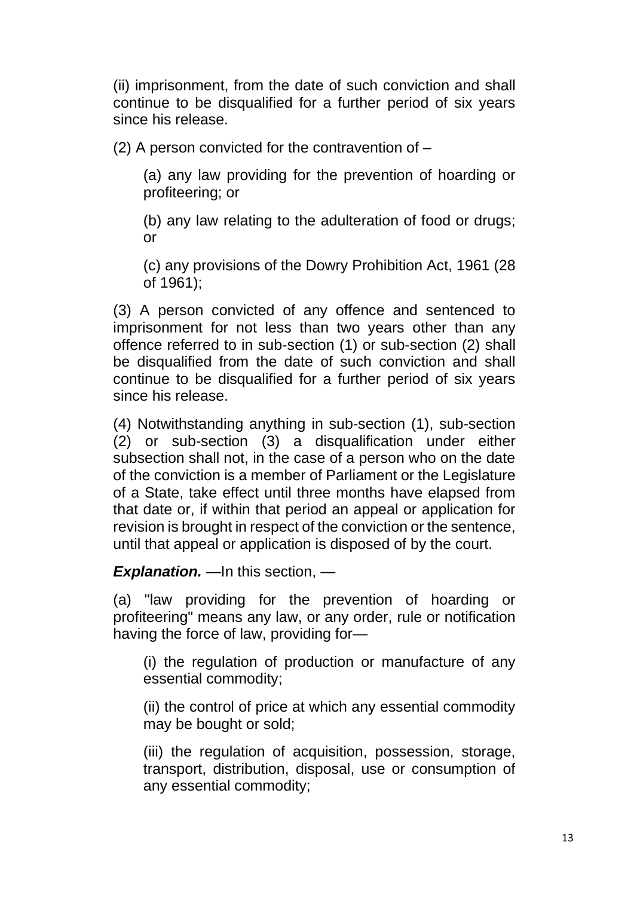(ii) imprisonment, from the date of such conviction and shall continue to be disqualified for a further period of six years since his release.

(2) A person convicted for the contravention of –

(a) any law providing for the prevention of hoarding or profiteering; or

(b) any law relating to the adulteration of food or drugs; or

(c) any provisions of the Dowry Prohibition Act, 1961 (28 of 1961);

(3) A person convicted of any offence and sentenced to imprisonment for not less than two years other than any offence referred to in sub-section (1) or sub-section (2) shall be disqualified from the date of such conviction and shall continue to be disqualified for a further period of six years since his release.

(4) Notwithstanding anything in sub-section (1), sub-section (2) or sub-section (3) a disqualification under either subsection shall not, in the case of a person who on the date of the conviction is a member of Parliament or the Legislature of a State, take effect until three months have elapsed from that date or, if within that period an appeal or application for revision is brought in respect of the conviction or the sentence, until that appeal or application is disposed of by the court.

#### **Explanation.** —In this section, —

(a) "law providing for the prevention of hoarding or profiteering" means any law, or any order, rule or notification having the force of law, providing for—

(i) the regulation of production or manufacture of any essential commodity;

(ii) the control of price at which any essential commodity may be bought or sold;

(iii) the regulation of acquisition, possession, storage, transport, distribution, disposal, use or consumption of any essential commodity;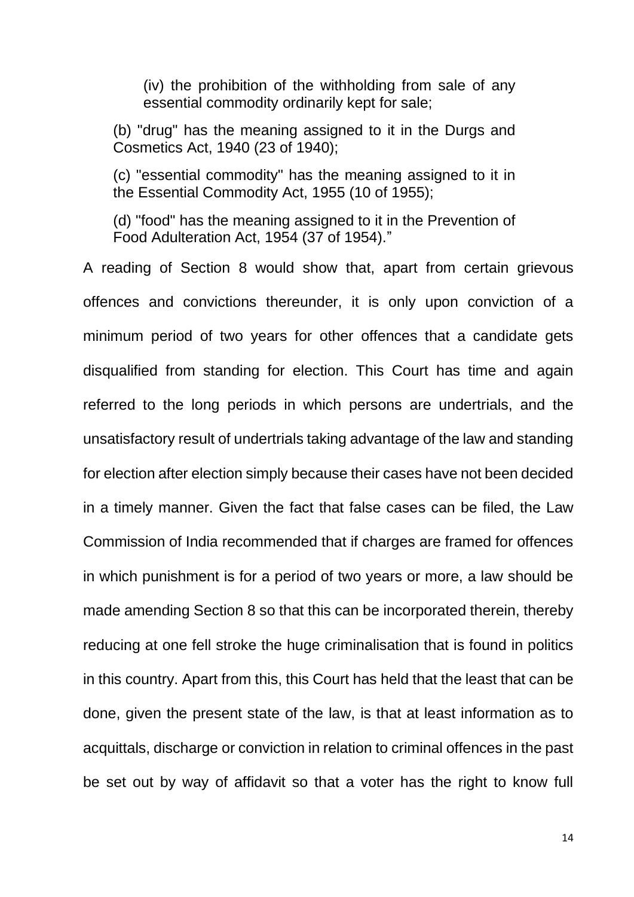(iv) the prohibition of the withholding from sale of any essential commodity ordinarily kept for sale;

(b) "drug" has the meaning assigned to it in the Durgs and Cosmetics Act, 1940 (23 of 1940);

(c) "essential commodity" has the meaning assigned to it in the Essential Commodity Act, 1955 (10 of 1955);

(d) "food" has the meaning assigned to it in the Prevention of Food Adulteration Act, 1954 (37 of 1954)."

A reading of Section 8 would show that, apart from certain grievous offences and convictions thereunder, it is only upon conviction of a minimum period of two years for other offences that a candidate gets disqualified from standing for election. This Court has time and again referred to the long periods in which persons are undertrials, and the unsatisfactory result of undertrials taking advantage of the law and standing for election after election simply because their cases have not been decided in a timely manner. Given the fact that false cases can be filed, the Law Commission of India recommended that if charges are framed for offences in which punishment is for a period of two years or more, a law should be made amending Section 8 so that this can be incorporated therein, thereby reducing at one fell stroke the huge criminalisation that is found in politics in this country. Apart from this, this Court has held that the least that can be done, given the present state of the law, is that at least information as to acquittals, discharge or conviction in relation to criminal offences in the past be set out by way of affidavit so that a voter has the right to know full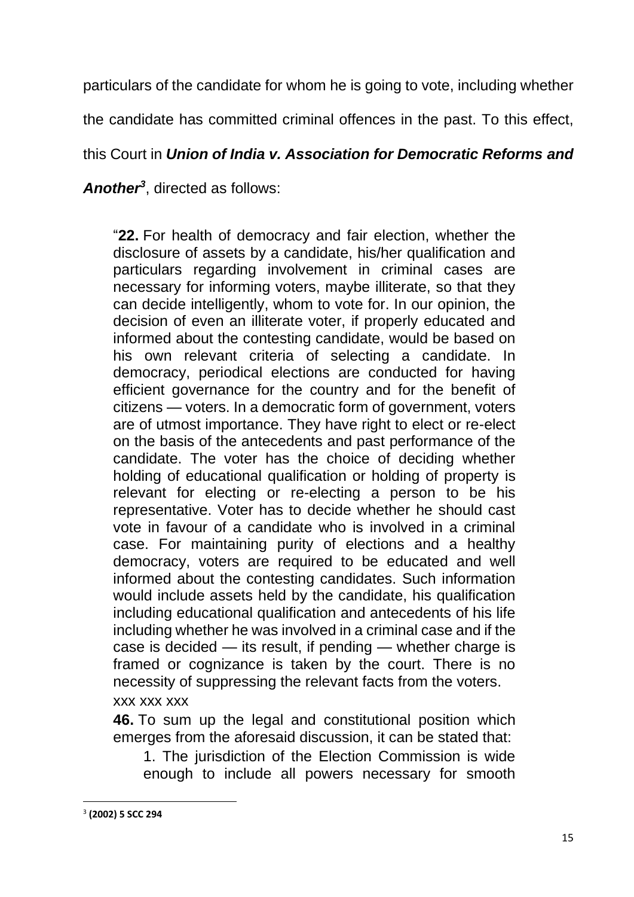particulars of the candidate for whom he is going to vote, including whether

the candidate has committed criminal offences in the past. To this effect,

## this Court in *Union of India v. Association for Democratic Reforms and*

*Another<sup>3</sup>* , directed as follows:

"**22.** For health of democracy and fair election, whether the disclosure of assets by a candidate, his/her qualification and particulars regarding involvement in criminal cases are necessary for informing voters, maybe illiterate, so that they can decide intelligently, whom to vote for. In our opinion, the decision of even an illiterate voter, if properly educated and informed about the contesting candidate, would be based on his own relevant criteria of selecting a candidate. In democracy, periodical elections are conducted for having efficient governance for the country and for the benefit of citizens — voters. In a democratic form of government, voters are of utmost importance. They have right to elect or re-elect on the basis of the antecedents and past performance of the candidate. The voter has the choice of deciding whether holding of educational qualification or holding of property is relevant for electing or re-electing a person to be his representative. Voter has to decide whether he should cast vote in favour of a candidate who is involved in a criminal case. For maintaining purity of elections and a healthy democracy, voters are required to be educated and well informed about the contesting candidates. Such information would include assets held by the candidate, his qualification including educational qualification and antecedents of his life including whether he was involved in a criminal case and if the case is decided — its result, if pending — whether charge is framed or cognizance is taken by the court. There is no necessity of suppressing the relevant facts from the voters.

#### xxx xxx xxx

**46.** To sum up the legal and constitutional position which emerges from the aforesaid discussion, it can be stated that:

1. The jurisdiction of the Election Commission is wide enough to include all powers necessary for smooth

<sup>3</sup> **(2002) 5 SCC 294**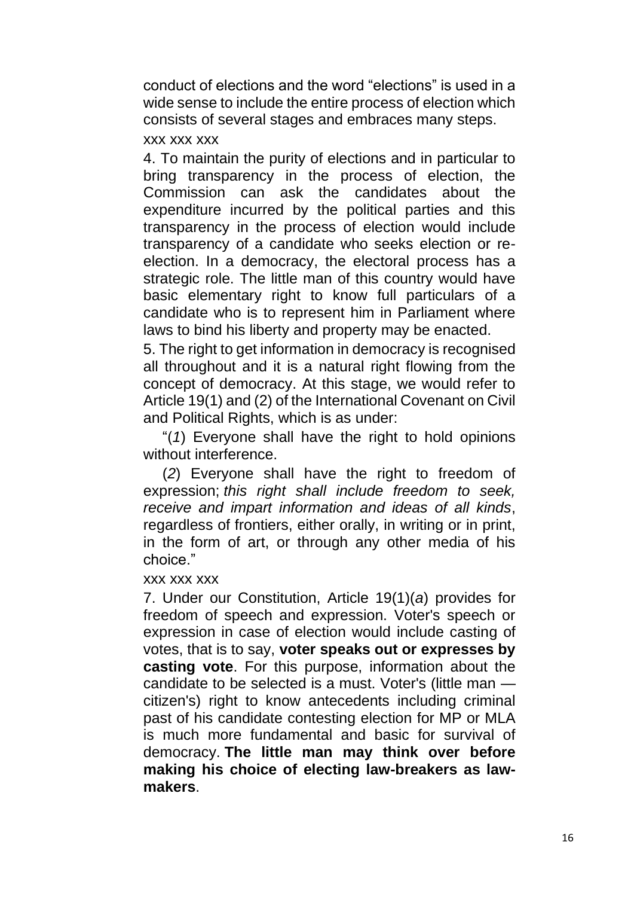conduct of elections and the word "elections" is used in a wide sense to include the entire process of election which consists of several stages and embraces many steps.

#### xxx xxx xxx

4. To maintain the purity of elections and in particular to bring transparency in the process of election, the Commission can ask the candidates about the expenditure incurred by the political parties and this transparency in the process of election would include transparency of a candidate who seeks election or reelection. In a democracy, the electoral process has a strategic role. The little man of this country would have basic elementary right to know full particulars of a candidate who is to represent him in Parliament where laws to bind his liberty and property may be enacted.

5. The right to get information in democracy is recognised all throughout and it is a natural right flowing from the concept of democracy. At this stage, we would refer to Article 19(1) and (2) of the International Covenant on Civil and Political Rights, which is as under:

"(*1*) Everyone shall have the right to hold opinions without interference.

(*2*) Everyone shall have the right to freedom of expression; *this right shall include freedom to seek, receive and impart information and ideas of all kinds*, regardless of frontiers, either orally, in writing or in print, in the form of art, or through any other media of his choice."

#### xxx xxx xxx

7. Under our Constitution, Article 19(1)(*a*) provides for freedom of speech and expression. Voter's speech or expression in case of election would include casting of votes, that is to say, **voter speaks out or expresses by casting vote**. For this purpose, information about the candidate to be selected is a must. Voter's (little man citizen's) right to know antecedents including criminal past of his candidate contesting election for MP or MLA is much more fundamental and basic for survival of democracy. **The little man may think over before making his choice of electing law-breakers as lawmakers**.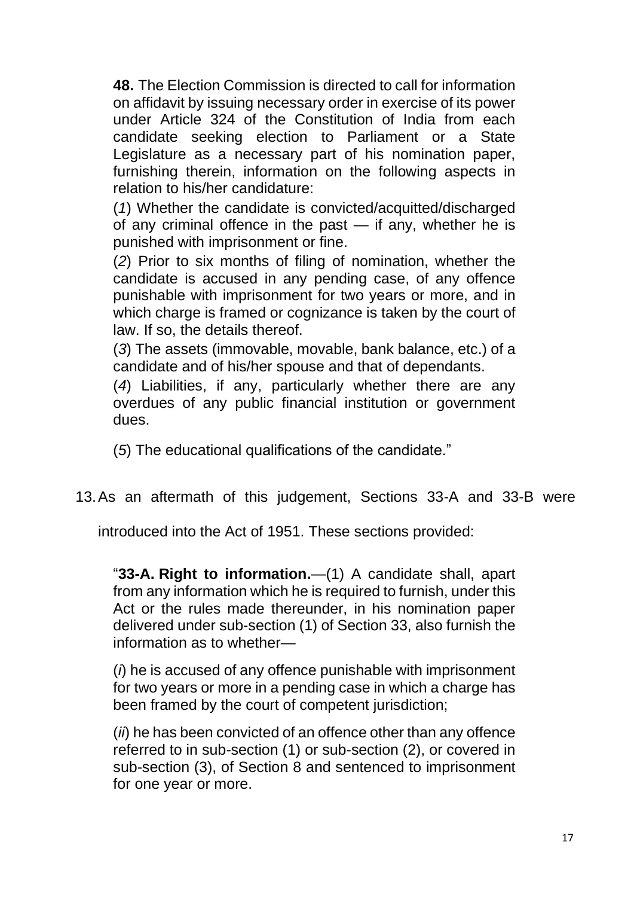**48.** The Election Commission is directed to call for information on affidavit by issuing necessary order in exercise of its power under Article 324 of the Constitution of India from each candidate seeking election to Parliament or a State Legislature as a necessary part of his nomination paper, furnishing therein, information on the following aspects in relation to his/her candidature:

(*1*) Whether the candidate is convicted/acquitted/discharged of any criminal offence in the past — if any, whether he is punished with imprisonment or fine.

(*2*) Prior to six months of filing of nomination, whether the candidate is accused in any pending case, of any offence punishable with imprisonment for two years or more, and in which charge is framed or cognizance is taken by the court of law. If so, the details thereof.

(*3*) The assets (immovable, movable, bank balance, etc.) of a candidate and of his/her spouse and that of dependants.

(*4*) Liabilities, if any, particularly whether there are any overdues of any public financial institution or government dues.

(*5*) The educational qualifications of the candidate."

13.As an aftermath of this judgement, Sections 33-A and 33-B were

introduced into the Act of 1951. These sections provided:

"**33-A. Right to information.**—(1) A candidate shall, apart from any information which he is required to furnish, under this Act or the rules made thereunder, in his nomination paper delivered under sub-section (1) of Section 33, also furnish the information as to whether—

(*i*) he is accused of any offence punishable with imprisonment for two years or more in a pending case in which a charge has been framed by the court of competent jurisdiction;

(*ii*) he has been convicted of an offence other than any offence referred to in sub-section (1) or sub-section (2), or covered in sub-section (3), of Section 8 and sentenced to imprisonment for one year or more.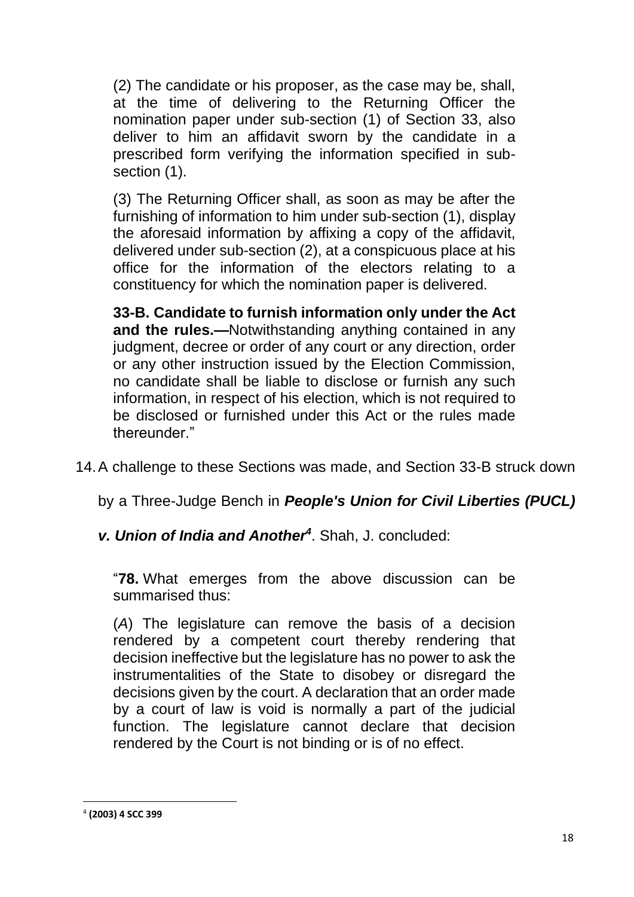(2) The candidate or his proposer, as the case may be, shall, at the time of delivering to the Returning Officer the nomination paper under sub-section (1) of Section 33, also deliver to him an affidavit sworn by the candidate in a prescribed form verifying the information specified in subsection (1).

(3) The Returning Officer shall, as soon as may be after the furnishing of information to him under sub-section (1), display the aforesaid information by affixing a copy of the affidavit, delivered under sub-section (2), at a conspicuous place at his office for the information of the electors relating to a constituency for which the nomination paper is delivered.

**33-B. Candidate to furnish information only under the Act and the rules.—**Notwithstanding anything contained in any judgment, decree or order of any court or any direction, order or any other instruction issued by the Election Commission, no candidate shall be liable to disclose or furnish any such information, in respect of his election, which is not required to be disclosed or furnished under this Act or the rules made thereunder."

14.A challenge to these Sections was made, and Section 33-B struck down

by a Three-Judge Bench in *People's Union for Civil Liberties (PUCL)* 

*v. Union of India and Another<sup>4</sup>* . Shah, J. concluded:

"**78.** What emerges from the above discussion can be summarised thus:

(*A*) The legislature can remove the basis of a decision rendered by a competent court thereby rendering that decision ineffective but the legislature has no power to ask the instrumentalities of the State to disobey or disregard the decisions given by the court. A declaration that an order made by a court of law is void is normally a part of the judicial function. The legislature cannot declare that decision rendered by the Court is not binding or is of no effect.

<sup>4</sup> **(2003) 4 SCC 399**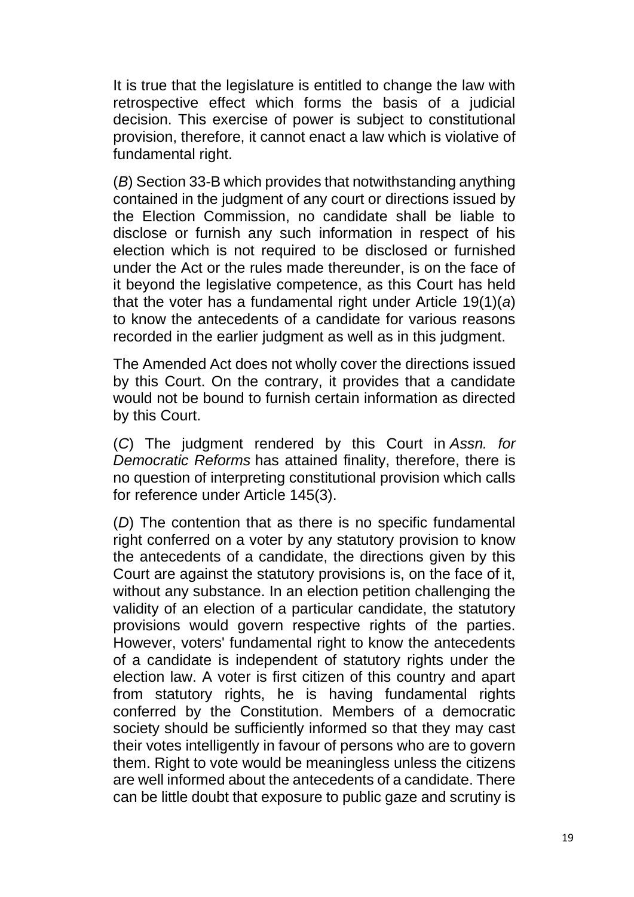It is true that the legislature is entitled to change the law with retrospective effect which forms the basis of a judicial decision. This exercise of power is subject to constitutional provision, therefore, it cannot enact a law which is violative of fundamental right.

(*B*) Section 33-B which provides that notwithstanding anything contained in the judgment of any court or directions issued by the Election Commission, no candidate shall be liable to disclose or furnish any such information in respect of his election which is not required to be disclosed or furnished under the Act or the rules made thereunder, is on the face of it beyond the legislative competence, as this Court has held that the voter has a fundamental right under Article 19(1)(*a*) to know the antecedents of a candidate for various reasons recorded in the earlier judgment as well as in this judgment.

The Amended Act does not wholly cover the directions issued by this Court. On the contrary, it provides that a candidate would not be bound to furnish certain information as directed by this Court.

(*C*) The judgment rendered by this Court in *Assn. for Democratic Reforms* has attained finality, therefore, there is no question of interpreting constitutional provision which calls for reference under Article 145(3).

(*D*) The contention that as there is no specific fundamental right conferred on a voter by any statutory provision to know the antecedents of a candidate, the directions given by this Court are against the statutory provisions is, on the face of it, without any substance. In an election petition challenging the validity of an election of a particular candidate, the statutory provisions would govern respective rights of the parties. However, voters' fundamental right to know the antecedents of a candidate is independent of statutory rights under the election law. A voter is first citizen of this country and apart from statutory rights, he is having fundamental rights conferred by the Constitution. Members of a democratic society should be sufficiently informed so that they may cast their votes intelligently in favour of persons who are to govern them. Right to vote would be meaningless unless the citizens are well informed about the antecedents of a candidate. There can be little doubt that exposure to public gaze and scrutiny is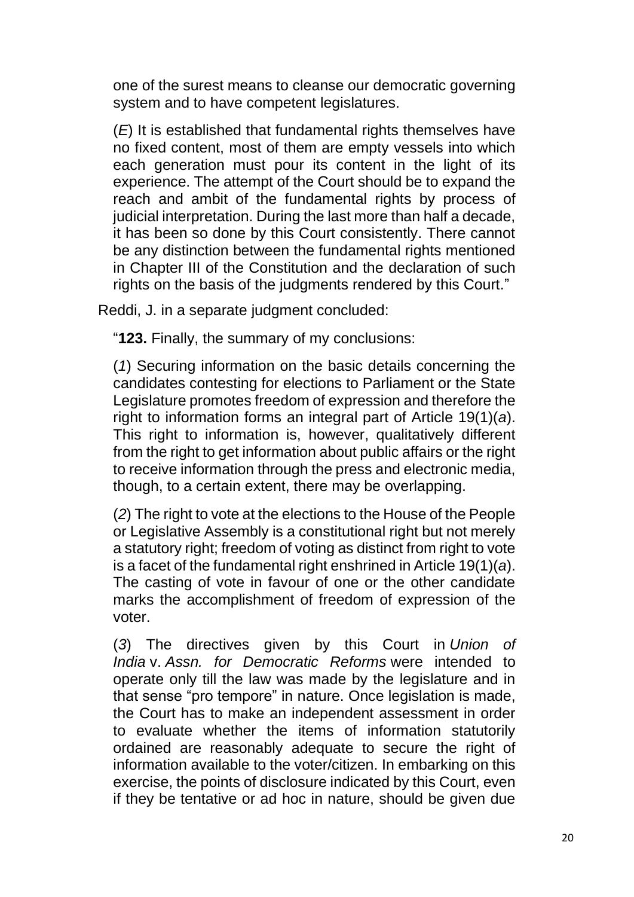one of the surest means to cleanse our democratic governing system and to have competent legislatures.

(*E*) It is established that fundamental rights themselves have no fixed content, most of them are empty vessels into which each generation must pour its content in the light of its experience. The attempt of the Court should be to expand the reach and ambit of the fundamental rights by process of judicial interpretation. During the last more than half a decade, it has been so done by this Court consistently. There cannot be any distinction between the fundamental rights mentioned in Chapter III of the Constitution and the declaration of such rights on the basis of the judgments rendered by this Court."

Reddi, J. in a separate judgment concluded:

"**123.** Finally, the summary of my conclusions:

(*1*) Securing information on the basic details concerning the candidates contesting for elections to Parliament or the State Legislature promotes freedom of expression and therefore the right to information forms an integral part of Article 19(1)(*a*). This right to information is, however, qualitatively different from the right to get information about public affairs or the right to receive information through the press and electronic media, though, to a certain extent, there may be overlapping.

(*2*) The right to vote at the elections to the House of the People or Legislative Assembly is a constitutional right but not merely a statutory right; freedom of voting as distinct from right to vote is a facet of the fundamental right enshrined in Article 19(1)(*a*). The casting of vote in favour of one or the other candidate marks the accomplishment of freedom of expression of the voter.

(*3*) The directives given by this Court in *Union of India* v. *Assn. for Democratic Reforms* were intended to operate only till the law was made by the legislature and in that sense "pro tempore" in nature. Once legislation is made, the Court has to make an independent assessment in order to evaluate whether the items of information statutorily ordained are reasonably adequate to secure the right of information available to the voter/citizen. In embarking on this exercise, the points of disclosure indicated by this Court, even if they be tentative or ad hoc in nature, should be given due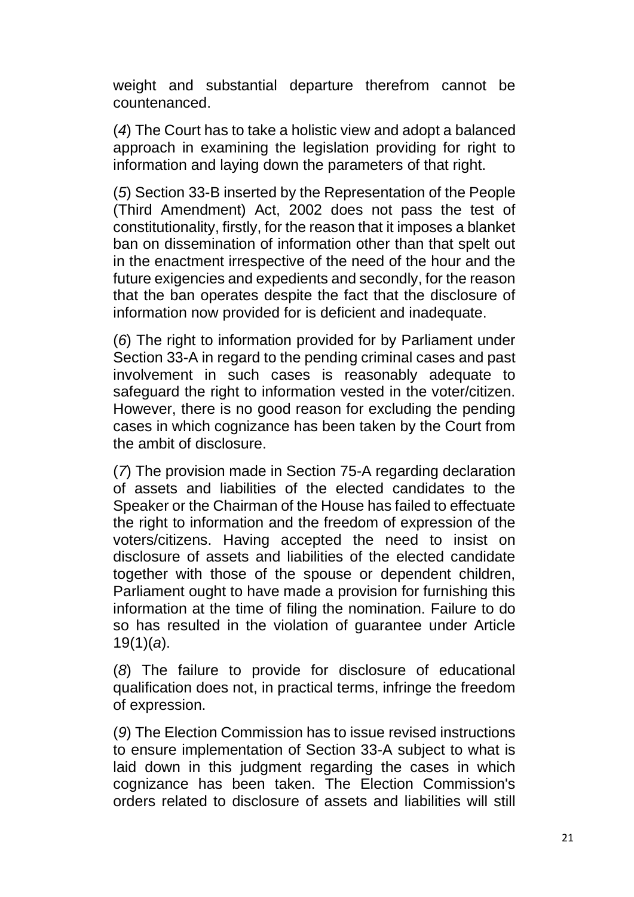weight and substantial departure therefrom cannot be countenanced.

(*4*) The Court has to take a holistic view and adopt a balanced approach in examining the legislation providing for right to information and laying down the parameters of that right.

(*5*) Section 33-B inserted by the Representation of the People (Third Amendment) Act, 2002 does not pass the test of constitutionality, firstly, for the reason that it imposes a blanket ban on dissemination of information other than that spelt out in the enactment irrespective of the need of the hour and the future exigencies and expedients and secondly, for the reason that the ban operates despite the fact that the disclosure of information now provided for is deficient and inadequate.

(*6*) The right to information provided for by Parliament under Section 33-A in regard to the pending criminal cases and past involvement in such cases is reasonably adequate to safeguard the right to information vested in the voter/citizen. However, there is no good reason for excluding the pending cases in which cognizance has been taken by the Court from the ambit of disclosure.

(*7*) The provision made in Section 75-A regarding declaration of assets and liabilities of the elected candidates to the Speaker or the Chairman of the House has failed to effectuate the right to information and the freedom of expression of the voters/citizens. Having accepted the need to insist on disclosure of assets and liabilities of the elected candidate together with those of the spouse or dependent children, Parliament ought to have made a provision for furnishing this information at the time of filing the nomination. Failure to do so has resulted in the violation of guarantee under Article 19(1)(*a*).

(*8*) The failure to provide for disclosure of educational qualification does not, in practical terms, infringe the freedom of expression.

(*9*) The Election Commission has to issue revised instructions to ensure implementation of Section 33-A subject to what is laid down in this judgment regarding the cases in which cognizance has been taken. The Election Commission's orders related to disclosure of assets and liabilities will still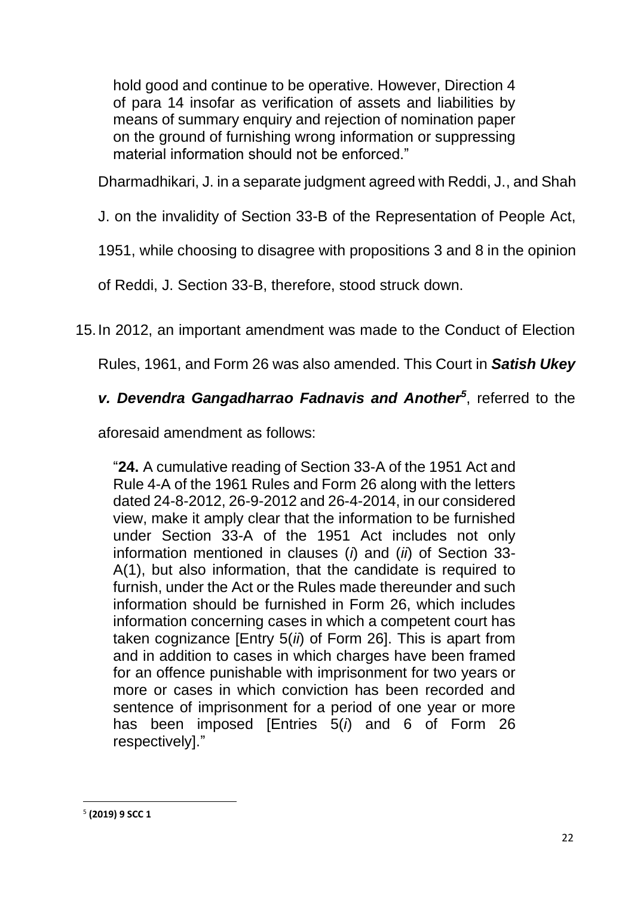hold good and continue to be operative. However, Direction 4 of para 14 insofar as verification of assets and liabilities by means of summary enquiry and rejection of nomination paper on the ground of furnishing wrong information or suppressing material information should not be enforced."

Dharmadhikari, J. in a separate judgment agreed with Reddi, J., and Shah

J. on the invalidity of Section 33-B of the Representation of People Act,

1951, while choosing to disagree with propositions 3 and 8 in the opinion

of Reddi, J. Section 33-B, therefore, stood struck down.

15.In 2012, an important amendment was made to the Conduct of Election

Rules, 1961, and Form 26 was also amended. This Court in *Satish Ukey* 

# *v. Devendra Gangadharrao Fadnavis and Another<sup>5</sup>* , referred to the

aforesaid amendment as follows:

"**24.** A cumulative reading of Section 33-A of the 1951 Act and Rule 4-A of the 1961 Rules and Form 26 along with the letters dated 24-8-2012, 26-9-2012 and 26-4-2014, in our considered view, make it amply clear that the information to be furnished under Section 33-A of the 1951 Act includes not only information mentioned in clauses (*i*) and (*ii*) of Section 33- A(1), but also information, that the candidate is required to furnish, under the Act or the Rules made thereunder and such information should be furnished in Form 26, which includes information concerning cases in which a competent court has taken cognizance [Entry 5(*ii*) of Form 26]. This is apart from and in addition to cases in which charges have been framed for an offence punishable with imprisonment for two years or more or cases in which conviction has been recorded and sentence of imprisonment for a period of one year or more has been imposed [Entries 5(*i*) and 6 of Form 26 respectively]."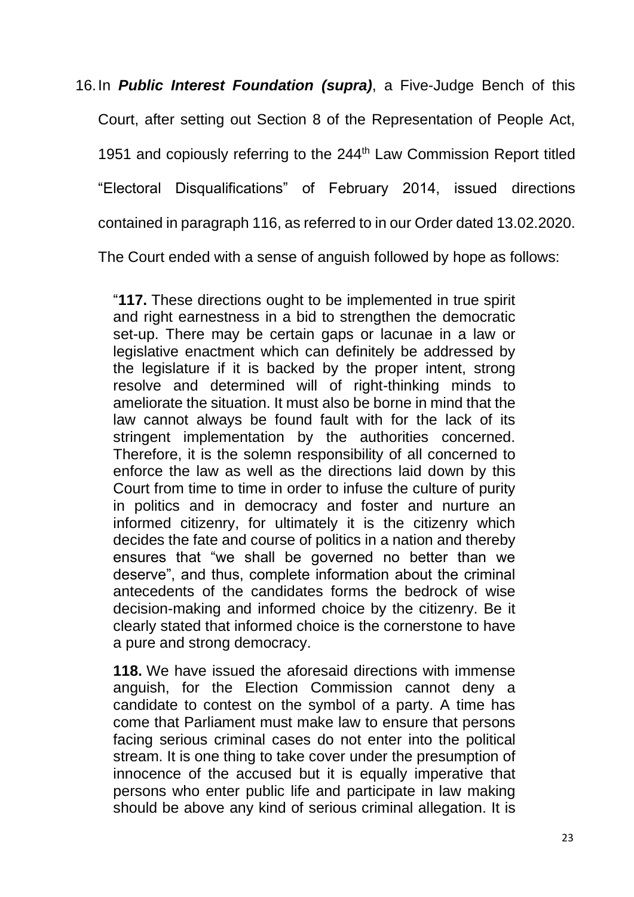16.In *Public Interest Foundation (supra)*, a Five-Judge Bench of this Court, after setting out Section 8 of the Representation of People Act, 1951 and copiously referring to the 244<sup>th</sup> Law Commission Report titled "Electoral Disqualifications" of February 2014, issued directions contained in paragraph 116, as referred to in our Order dated 13.02.2020.

The Court ended with a sense of anguish followed by hope as follows:

"**117.** These directions ought to be implemented in true spirit and right earnestness in a bid to strengthen the democratic set-up. There may be certain gaps or lacunae in a law or legislative enactment which can definitely be addressed by the legislature if it is backed by the proper intent, strong resolve and determined will of right-thinking minds to ameliorate the situation. It must also be borne in mind that the law cannot always be found fault with for the lack of its stringent implementation by the authorities concerned. Therefore, it is the solemn responsibility of all concerned to enforce the law as well as the directions laid down by this Court from time to time in order to infuse the culture of purity in politics and in democracy and foster and nurture an informed citizenry, for ultimately it is the citizenry which decides the fate and course of politics in a nation and thereby ensures that "we shall be governed no better than we deserve", and thus, complete information about the criminal antecedents of the candidates forms the bedrock of wise decision-making and informed choice by the citizenry. Be it clearly stated that informed choice is the cornerstone to have a pure and strong democracy.

**118.** We have issued the aforesaid directions with immense anguish, for the Election Commission cannot deny a candidate to contest on the symbol of a party. A time has come that Parliament must make law to ensure that persons facing serious criminal cases do not enter into the political stream. It is one thing to take cover under the presumption of innocence of the accused but it is equally imperative that persons who enter public life and participate in law making should be above any kind of serious criminal allegation. It is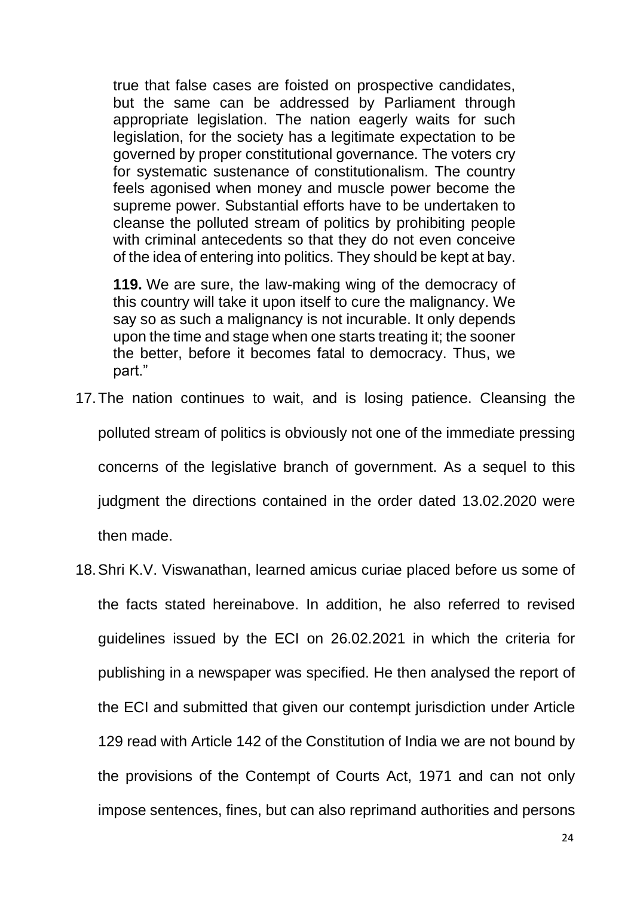true that false cases are foisted on prospective candidates, but the same can be addressed by Parliament through appropriate legislation. The nation eagerly waits for such legislation, for the society has a legitimate expectation to be governed by proper constitutional governance. The voters cry for systematic sustenance of constitutionalism. The country feels agonised when money and muscle power become the supreme power. Substantial efforts have to be undertaken to cleanse the polluted stream of politics by prohibiting people with criminal antecedents so that they do not even conceive of the idea of entering into politics. They should be kept at bay.

**119.** We are sure, the law-making wing of the democracy of this country will take it upon itself to cure the malignancy. We say so as such a malignancy is not incurable. It only depends upon the time and stage when one starts treating it; the sooner the better, before it becomes fatal to democracy. Thus, we part."

- 17.The nation continues to wait, and is losing patience. Cleansing the polluted stream of politics is obviously not one of the immediate pressing concerns of the legislative branch of government. As a sequel to this judgment the directions contained in the order dated 13.02.2020 were then made.
- 18.Shri K.V. Viswanathan, learned amicus curiae placed before us some of the facts stated hereinabove. In addition, he also referred to revised guidelines issued by the ECI on 26.02.2021 in which the criteria for publishing in a newspaper was specified. He then analysed the report of the ECI and submitted that given our contempt jurisdiction under Article 129 read with Article 142 of the Constitution of India we are not bound by the provisions of the Contempt of Courts Act, 1971 and can not only impose sentences, fines, but can also reprimand authorities and persons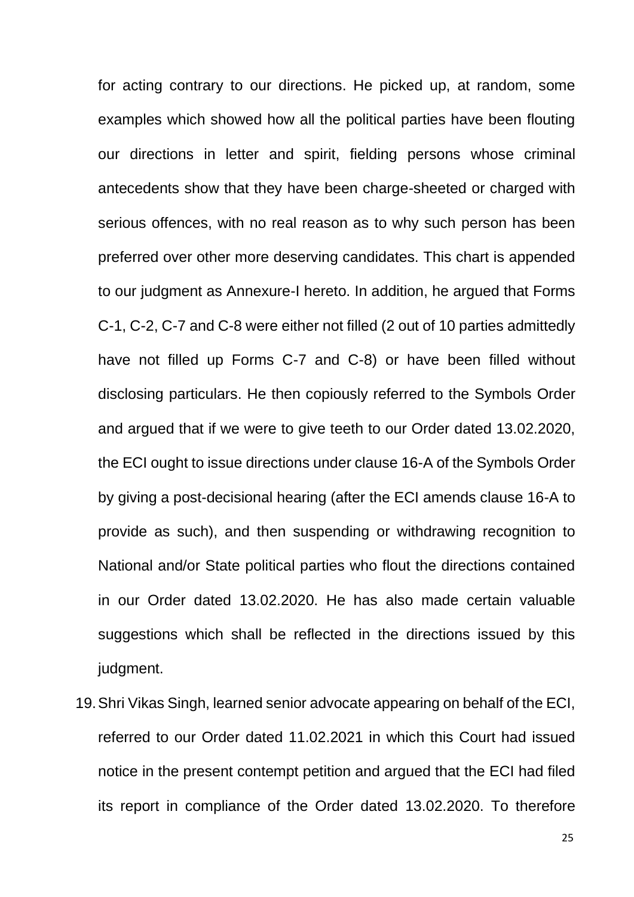for acting contrary to our directions. He picked up, at random, some examples which showed how all the political parties have been flouting our directions in letter and spirit, fielding persons whose criminal antecedents show that they have been charge-sheeted or charged with serious offences, with no real reason as to why such person has been preferred over other more deserving candidates. This chart is appended to our judgment as Annexure-I hereto. In addition, he argued that Forms C-1, C-2, C-7 and C-8 were either not filled (2 out of 10 parties admittedly have not filled up Forms C-7 and C-8) or have been filled without disclosing particulars. He then copiously referred to the Symbols Order and argued that if we were to give teeth to our Order dated 13.02.2020, the ECI ought to issue directions under clause 16-A of the Symbols Order by giving a post-decisional hearing (after the ECI amends clause 16-A to provide as such), and then suspending or withdrawing recognition to National and/or State political parties who flout the directions contained in our Order dated 13.02.2020. He has also made certain valuable suggestions which shall be reflected in the directions issued by this judgment.

19.Shri Vikas Singh, learned senior advocate appearing on behalf of the ECI, referred to our Order dated 11.02.2021 in which this Court had issued notice in the present contempt petition and argued that the ECI had filed its report in compliance of the Order dated 13.02.2020. To therefore

25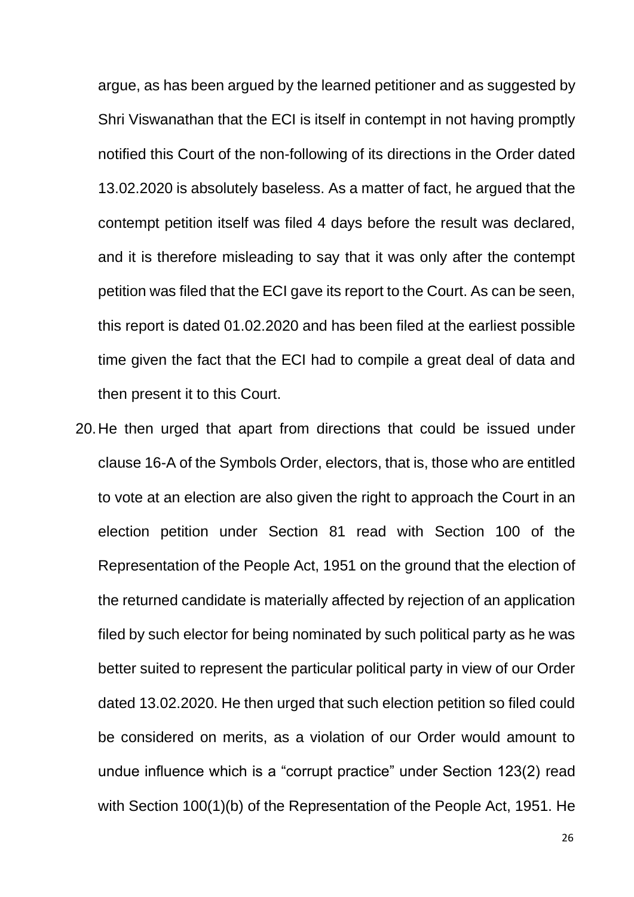argue, as has been argued by the learned petitioner and as suggested by Shri Viswanathan that the ECI is itself in contempt in not having promptly notified this Court of the non-following of its directions in the Order dated 13.02.2020 is absolutely baseless. As a matter of fact, he argued that the contempt petition itself was filed 4 days before the result was declared, and it is therefore misleading to say that it was only after the contempt petition was filed that the ECI gave its report to the Court. As can be seen, this report is dated 01.02.2020 and has been filed at the earliest possible time given the fact that the ECI had to compile a great deal of data and then present it to this Court.

20.He then urged that apart from directions that could be issued under clause 16-A of the Symbols Order, electors, that is, those who are entitled to vote at an election are also given the right to approach the Court in an election petition under Section 81 read with Section 100 of the Representation of the People Act, 1951 on the ground that the election of the returned candidate is materially affected by rejection of an application filed by such elector for being nominated by such political party as he was better suited to represent the particular political party in view of our Order dated 13.02.2020. He then urged that such election petition so filed could be considered on merits, as a violation of our Order would amount to undue influence which is a "corrupt practice" under Section 123(2) read with Section 100(1)(b) of the Representation of the People Act, 1951. He

26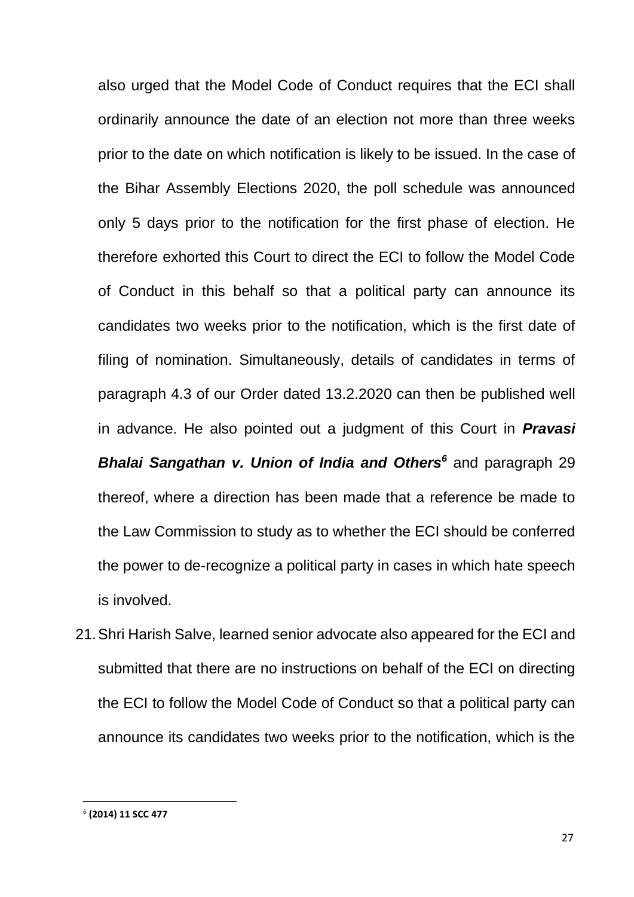also urged that the Model Code of Conduct requires that the ECI shall ordinarily announce the date of an election not more than three weeks prior to the date on which notification is likely to be issued. In the case of the Bihar Assembly Elections 2020, the poll schedule was announced only 5 days prior to the notification for the first phase of election. He therefore exhorted this Court to direct the ECI to follow the Model Code of Conduct in this behalf so that a political party can announce its candidates two weeks prior to the notification, which is the first date of filing of nomination. Simultaneously, details of candidates in terms of paragraph 4.3 of our Order dated 13.2.2020 can then be published well in advance. He also pointed out a judgment of this Court in *Pravasi Bhalai Sangathan v. Union of India and Others<sup>6</sup>* and paragraph 29 thereof, where a direction has been made that a reference be made to the Law Commission to study as to whether the ECI should be conferred the power to de-recognize a political party in cases in which hate speech is involved.

21.Shri Harish Salve, learned senior advocate also appeared for the ECI and submitted that there are no instructions on behalf of the ECI on directing the ECI to follow the Model Code of Conduct so that a political party can announce its candidates two weeks prior to the notification, which is the

<sup>6</sup> **(2014) 11 SCC 477**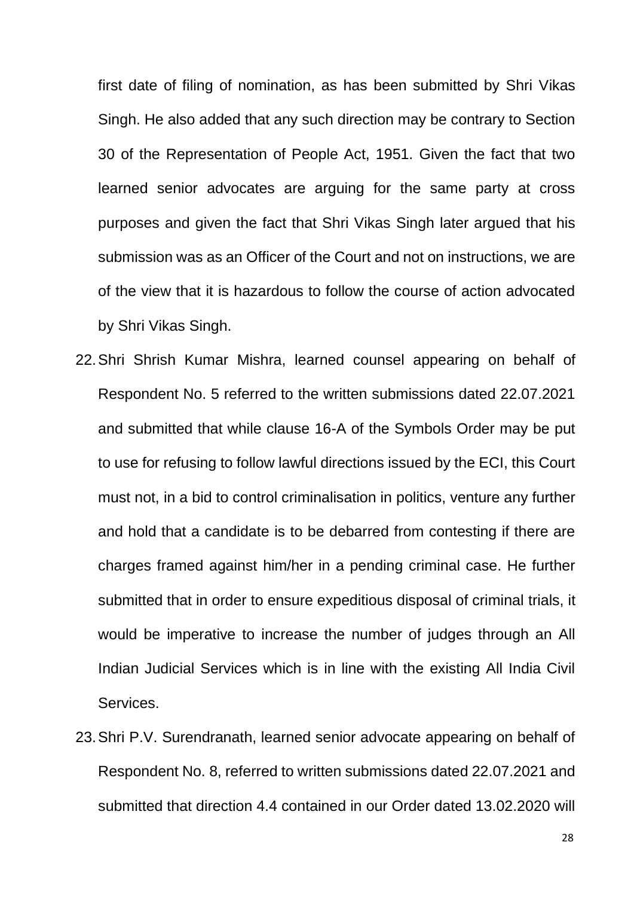first date of filing of nomination, as has been submitted by Shri Vikas Singh. He also added that any such direction may be contrary to Section 30 of the Representation of People Act, 1951. Given the fact that two learned senior advocates are arguing for the same party at cross purposes and given the fact that Shri Vikas Singh later argued that his submission was as an Officer of the Court and not on instructions, we are of the view that it is hazardous to follow the course of action advocated by Shri Vikas Singh.

- 22.Shri Shrish Kumar Mishra, learned counsel appearing on behalf of Respondent No. 5 referred to the written submissions dated 22.07.2021 and submitted that while clause 16-A of the Symbols Order may be put to use for refusing to follow lawful directions issued by the ECI, this Court must not, in a bid to control criminalisation in politics, venture any further and hold that a candidate is to be debarred from contesting if there are charges framed against him/her in a pending criminal case. He further submitted that in order to ensure expeditious disposal of criminal trials, it would be imperative to increase the number of judges through an All Indian Judicial Services which is in line with the existing All India Civil Services.
- 23.Shri P.V. Surendranath, learned senior advocate appearing on behalf of Respondent No. 8, referred to written submissions dated 22.07.2021 and submitted that direction 4.4 contained in our Order dated 13.02.2020 will

28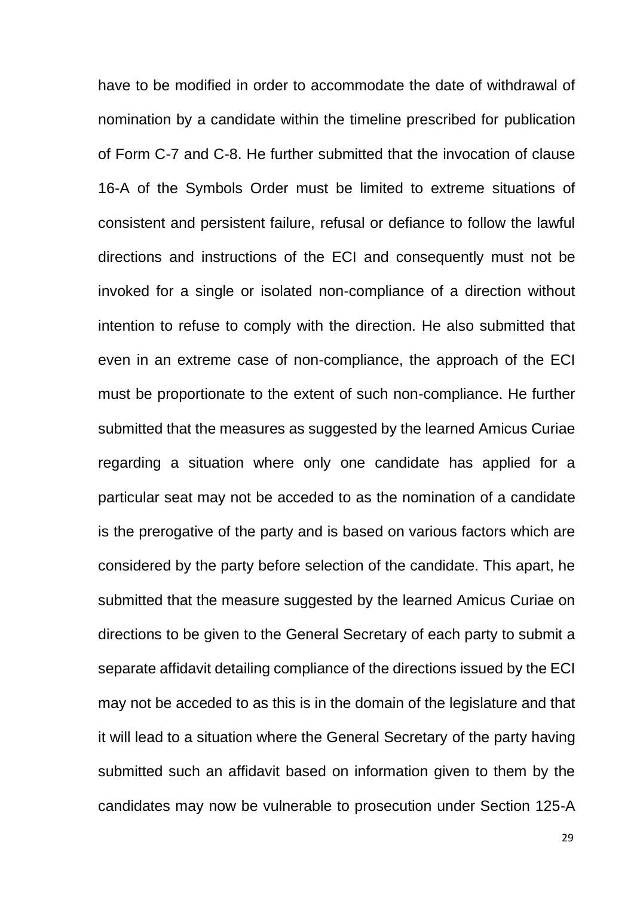have to be modified in order to accommodate the date of withdrawal of nomination by a candidate within the timeline prescribed for publication of Form C-7 and C-8. He further submitted that the invocation of clause 16-A of the Symbols Order must be limited to extreme situations of consistent and persistent failure, refusal or defiance to follow the lawful directions and instructions of the ECI and consequently must not be invoked for a single or isolated non-compliance of a direction without intention to refuse to comply with the direction. He also submitted that even in an extreme case of non-compliance, the approach of the ECI must be proportionate to the extent of such non-compliance. He further submitted that the measures as suggested by the learned Amicus Curiae regarding a situation where only one candidate has applied for a particular seat may not be acceded to as the nomination of a candidate is the prerogative of the party and is based on various factors which are considered by the party before selection of the candidate. This apart, he submitted that the measure suggested by the learned Amicus Curiae on directions to be given to the General Secretary of each party to submit a separate affidavit detailing compliance of the directions issued by the ECI may not be acceded to as this is in the domain of the legislature and that it will lead to a situation where the General Secretary of the party having submitted such an affidavit based on information given to them by the candidates may now be vulnerable to prosecution under Section 125-A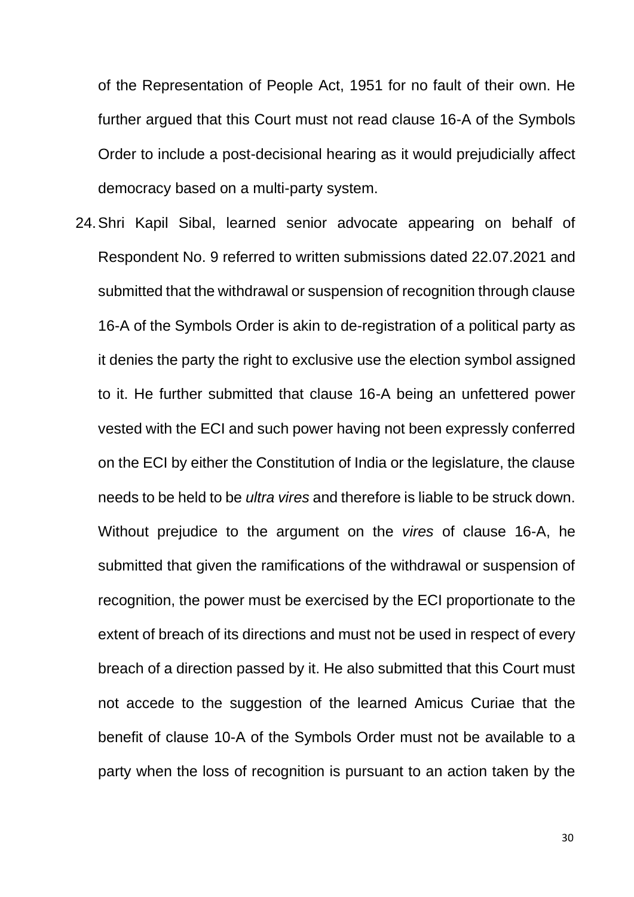of the Representation of People Act, 1951 for no fault of their own. He further argued that this Court must not read clause 16-A of the Symbols Order to include a post-decisional hearing as it would prejudicially affect democracy based on a multi-party system.

24.Shri Kapil Sibal, learned senior advocate appearing on behalf of Respondent No. 9 referred to written submissions dated 22.07.2021 and submitted that the withdrawal or suspension of recognition through clause 16-A of the Symbols Order is akin to de-registration of a political party as it denies the party the right to exclusive use the election symbol assigned to it. He further submitted that clause 16-A being an unfettered power vested with the ECI and such power having not been expressly conferred on the ECI by either the Constitution of India or the legislature, the clause needs to be held to be *ultra vires* and therefore is liable to be struck down. Without prejudice to the argument on the *vires* of clause 16-A, he submitted that given the ramifications of the withdrawal or suspension of recognition, the power must be exercised by the ECI proportionate to the extent of breach of its directions and must not be used in respect of every breach of a direction passed by it. He also submitted that this Court must not accede to the suggestion of the learned Amicus Curiae that the benefit of clause 10-A of the Symbols Order must not be available to a party when the loss of recognition is pursuant to an action taken by the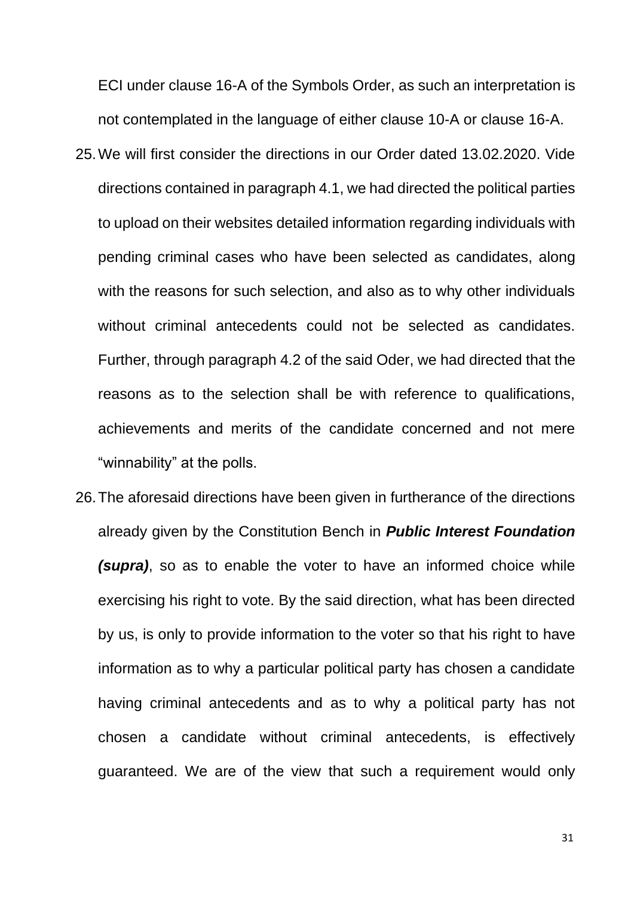ECI under clause 16-A of the Symbols Order, as such an interpretation is not contemplated in the language of either clause 10-A or clause 16-A.

- 25.We will first consider the directions in our Order dated 13.02.2020. Vide directions contained in paragraph 4.1, we had directed the political parties to upload on their websites detailed information regarding individuals with pending criminal cases who have been selected as candidates, along with the reasons for such selection, and also as to why other individuals without criminal antecedents could not be selected as candidates. Further, through paragraph 4.2 of the said Oder, we had directed that the reasons as to the selection shall be with reference to qualifications, achievements and merits of the candidate concerned and not mere "winnability" at the polls.
- 26.The aforesaid directions have been given in furtherance of the directions already given by the Constitution Bench in *Public Interest Foundation (supra)*, so as to enable the voter to have an informed choice while exercising his right to vote. By the said direction, what has been directed by us, is only to provide information to the voter so that his right to have information as to why a particular political party has chosen a candidate having criminal antecedents and as to why a political party has not chosen a candidate without criminal antecedents, is effectively guaranteed. We are of the view that such a requirement would only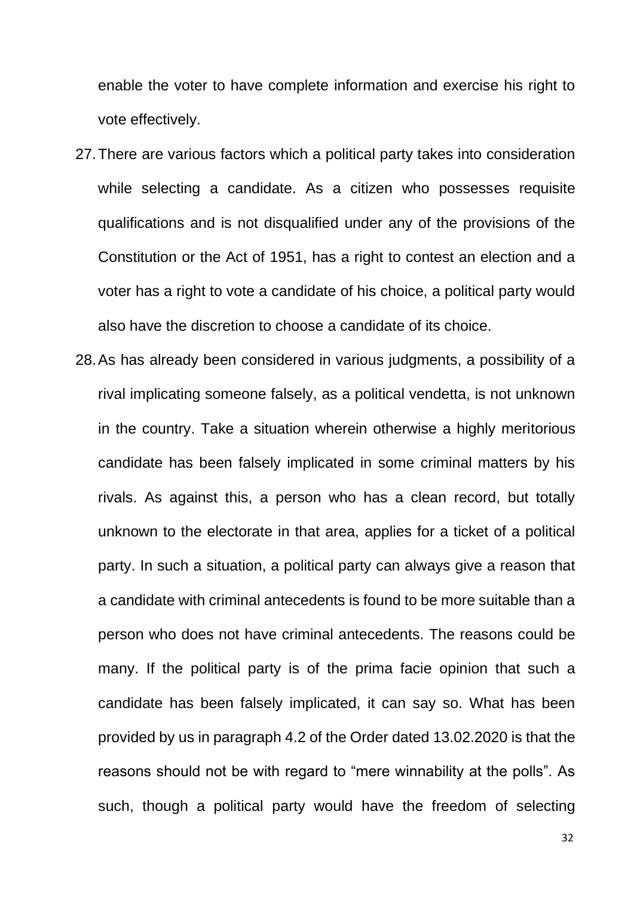enable the voter to have complete information and exercise his right to vote effectively.

- 27.There are various factors which a political party takes into consideration while selecting a candidate. As a citizen who possesses requisite qualifications and is not disqualified under any of the provisions of the Constitution or the Act of 1951, has a right to contest an election and a voter has a right to vote a candidate of his choice, a political party would also have the discretion to choose a candidate of its choice.
- 28.As has already been considered in various judgments, a possibility of a rival implicating someone falsely, as a political vendetta, is not unknown in the country. Take a situation wherein otherwise a highly meritorious candidate has been falsely implicated in some criminal matters by his rivals. As against this, a person who has a clean record, but totally unknown to the electorate in that area, applies for a ticket of a political party. In such a situation, a political party can always give a reason that a candidate with criminal antecedents is found to be more suitable than a person who does not have criminal antecedents. The reasons could be many. If the political party is of the prima facie opinion that such a candidate has been falsely implicated, it can say so. What has been provided by us in paragraph 4.2 of the Order dated 13.02.2020 is that the reasons should not be with regard to "mere winnability at the polls". As such, though a political party would have the freedom of selecting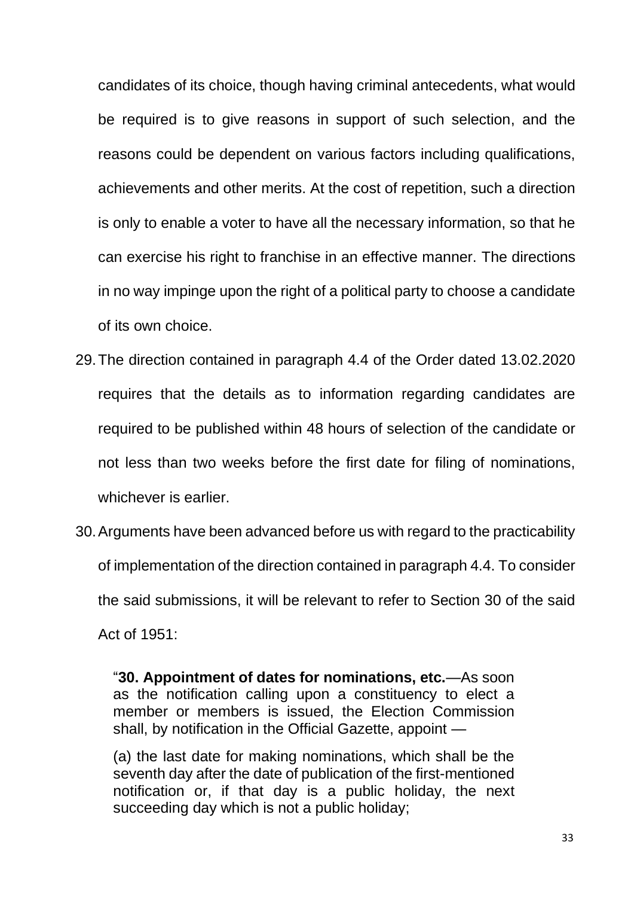candidates of its choice, though having criminal antecedents, what would be required is to give reasons in support of such selection, and the reasons could be dependent on various factors including qualifications, achievements and other merits. At the cost of repetition, such a direction is only to enable a voter to have all the necessary information, so that he can exercise his right to franchise in an effective manner. The directions in no way impinge upon the right of a political party to choose a candidate of its own choice.

- 29.The direction contained in paragraph 4.4 of the Order dated 13.02.2020 requires that the details as to information regarding candidates are required to be published within 48 hours of selection of the candidate or not less than two weeks before the first date for filing of nominations, whichever is earlier.
- 30.Arguments have been advanced before us with regard to the practicability of implementation of the direction contained in paragraph 4.4. To consider the said submissions, it will be relevant to refer to Section 30 of the said Act of 1951:

"**30. Appointment of dates for nominations, etc.**—As soon as the notification calling upon a constituency to elect a member or members is issued, the Election Commission shall, by notification in the Official Gazette, appoint —

(a) the last date for making nominations, which shall be the seventh day after the date of publication of the first-mentioned notification or, if that day is a public holiday, the next succeeding day which is not a public holiday;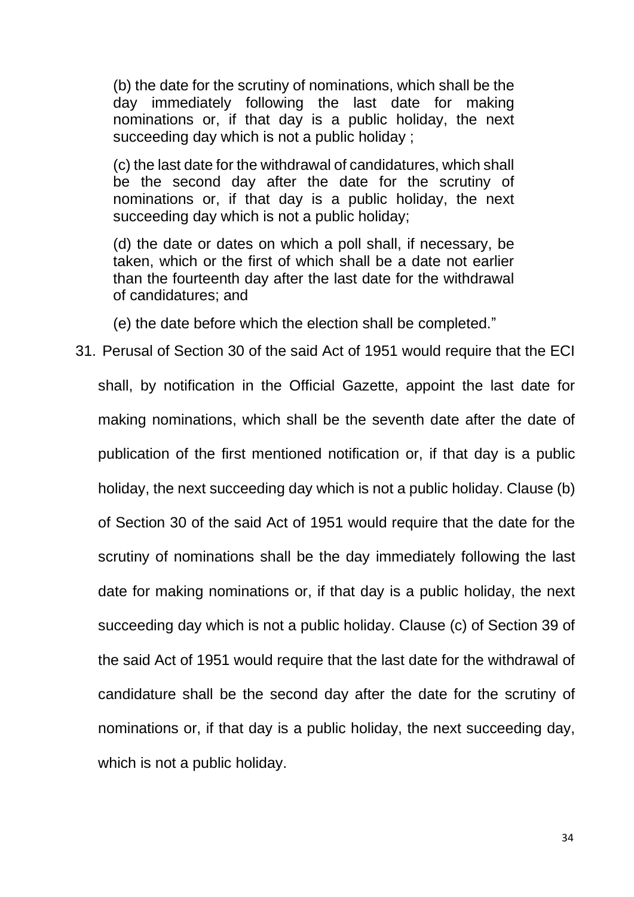(b) the date for the scrutiny of nominations, which shall be the day immediately following the last date for making nominations or, if that day is a public holiday, the next succeeding day which is not a public holiday ;

(c) the last date for the withdrawal of candidatures, which shall be the second day after the date for the scrutiny of nominations or, if that day is a public holiday, the next succeeding day which is not a public holiday;

(d) the date or dates on which a poll shall, if necessary, be taken, which or the first of which shall be a date not earlier than the fourteenth day after the last date for the withdrawal of candidatures; and

(e) the date before which the election shall be completed."

31. Perusal of Section 30 of the said Act of 1951 would require that the ECI shall, by notification in the Official Gazette, appoint the last date for making nominations, which shall be the seventh date after the date of publication of the first mentioned notification or, if that day is a public holiday, the next succeeding day which is not a public holiday. Clause (b) of Section 30 of the said Act of 1951 would require that the date for the scrutiny of nominations shall be the day immediately following the last date for making nominations or, if that day is a public holiday, the next succeeding day which is not a public holiday. Clause (c) of Section 39 of the said Act of 1951 would require that the last date for the withdrawal of candidature shall be the second day after the date for the scrutiny of nominations or, if that day is a public holiday, the next succeeding day, which is not a public holiday.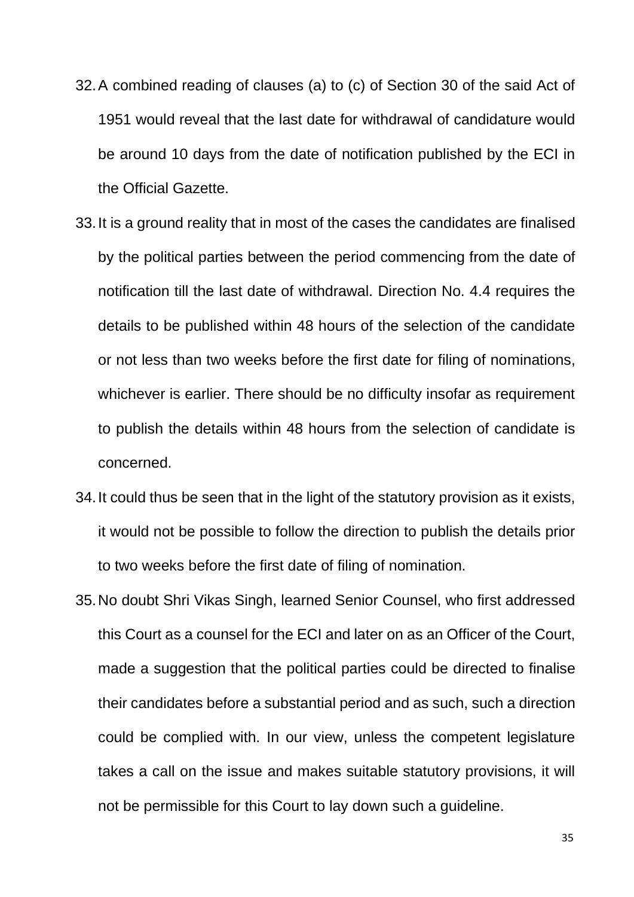- 32.A combined reading of clauses (a) to (c) of Section 30 of the said Act of 1951 would reveal that the last date for withdrawal of candidature would be around 10 days from the date of notification published by the ECI in the Official Gazette.
- 33.It is a ground reality that in most of the cases the candidates are finalised by the political parties between the period commencing from the date of notification till the last date of withdrawal. Direction No. 4.4 requires the details to be published within 48 hours of the selection of the candidate or not less than two weeks before the first date for filing of nominations, whichever is earlier. There should be no difficulty insofar as requirement to publish the details within 48 hours from the selection of candidate is concerned.
- 34.It could thus be seen that in the light of the statutory provision as it exists, it would not be possible to follow the direction to publish the details prior to two weeks before the first date of filing of nomination.
- 35.No doubt Shri Vikas Singh, learned Senior Counsel, who first addressed this Court as a counsel for the ECI and later on as an Officer of the Court, made a suggestion that the political parties could be directed to finalise their candidates before a substantial period and as such, such a direction could be complied with. In our view, unless the competent legislature takes a call on the issue and makes suitable statutory provisions, it will not be permissible for this Court to lay down such a guideline.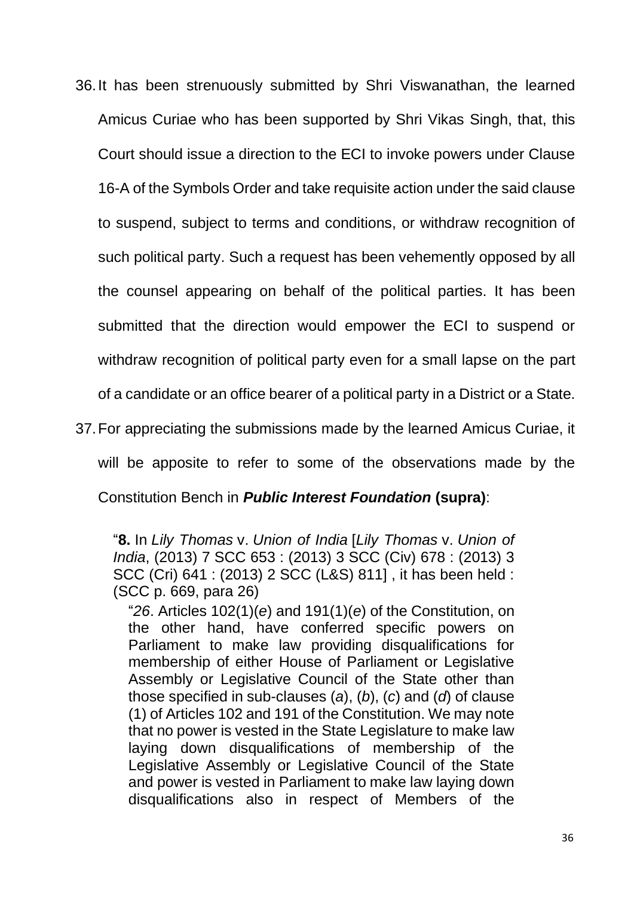- 36.It has been strenuously submitted by Shri Viswanathan, the learned Amicus Curiae who has been supported by Shri Vikas Singh, that, this Court should issue a direction to the ECI to invoke powers under Clause 16-A of the Symbols Order and take requisite action under the said clause to suspend, subject to terms and conditions, or withdraw recognition of such political party. Such a request has been vehemently opposed by all the counsel appearing on behalf of the political parties. It has been submitted that the direction would empower the ECI to suspend or withdraw recognition of political party even for a small lapse on the part of a candidate or an office bearer of a political party in a District or a State.
- 37.For appreciating the submissions made by the learned Amicus Curiae, it will be apposite to refer to some of the observations made by the Constitution Bench in *Public Interest Foundation* **(supra)**:

"**8.** In *Lily Thomas* v. *Union of India* [*Lily Thomas* v. *Union of India*, (2013) 7 SCC 653 : (2013) 3 SCC (Civ) 678 : (2013) 3 SCC (Cri) 641 : (2013) 2 SCC (L&S) 811] , it has been held : (SCC p. 669, para 26)

"*26*. Articles 102(1)(*e*) and 191(1)(*e*) of the Constitution, on the other hand, have conferred specific powers on Parliament to make law providing disqualifications for membership of either House of Parliament or Legislative Assembly or Legislative Council of the State other than those specified in sub-clauses (*a*), (*b*), (*c*) and (*d*) of clause (1) of Articles 102 and 191 of the Constitution. We may note that no power is vested in the State Legislature to make law laying down disqualifications of membership of the Legislative Assembly or Legislative Council of the State and power is vested in Parliament to make law laying down disqualifications also in respect of Members of the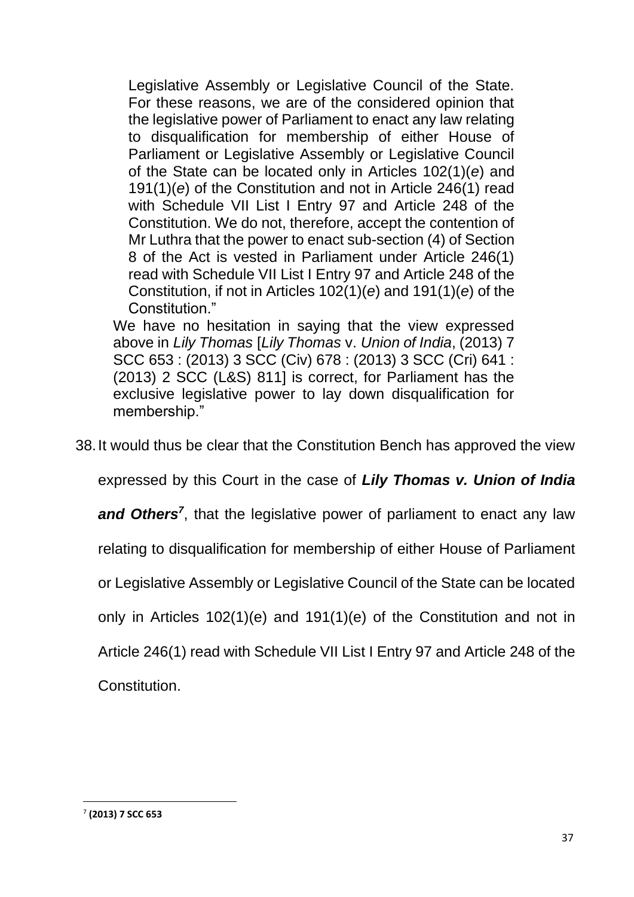Legislative Assembly or Legislative Council of the State. For these reasons, we are of the considered opinion that the legislative power of Parliament to enact any law relating to disqualification for membership of either House of Parliament or Legislative Assembly or Legislative Council of the State can be located only in Articles 102(1)(*e*) and 191(1)(*e*) of the Constitution and not in Article 246(1) read with Schedule VII List I Entry 97 and Article 248 of the Constitution. We do not, therefore, accept the contention of Mr Luthra that the power to enact sub-section (4) of Section 8 of the Act is vested in Parliament under Article 246(1) read with Schedule VII List I Entry 97 and Article 248 of the Constitution, if not in Articles 102(1)(*e*) and 191(1)(*e*) of the Constitution."

We have no hesitation in saying that the view expressed above in *Lily Thomas* [*Lily Thomas* v. *Union of India*, (2013) 7 SCC 653 : (2013) 3 SCC (Civ) 678 : (2013) 3 SCC (Cri) 641 : (2013) 2 SCC (L&S) 811] is correct, for Parliament has the exclusive legislative power to lay down disqualification for membership."

38.It would thus be clear that the Constitution Bench has approved the view

expressed by this Court in the case of *Lily Thomas v. Union of India* 

and Others<sup>7</sup>, that the legislative power of parliament to enact any law

relating to disqualification for membership of either House of Parliament

or Legislative Assembly or Legislative Council of the State can be located

only in Articles 102(1)(e) and 191(1)(e) of the Constitution and not in

Article 246(1) read with Schedule VII List I Entry 97 and Article 248 of the

Constitution.

<sup>7</sup> **(2013) 7 SCC 653**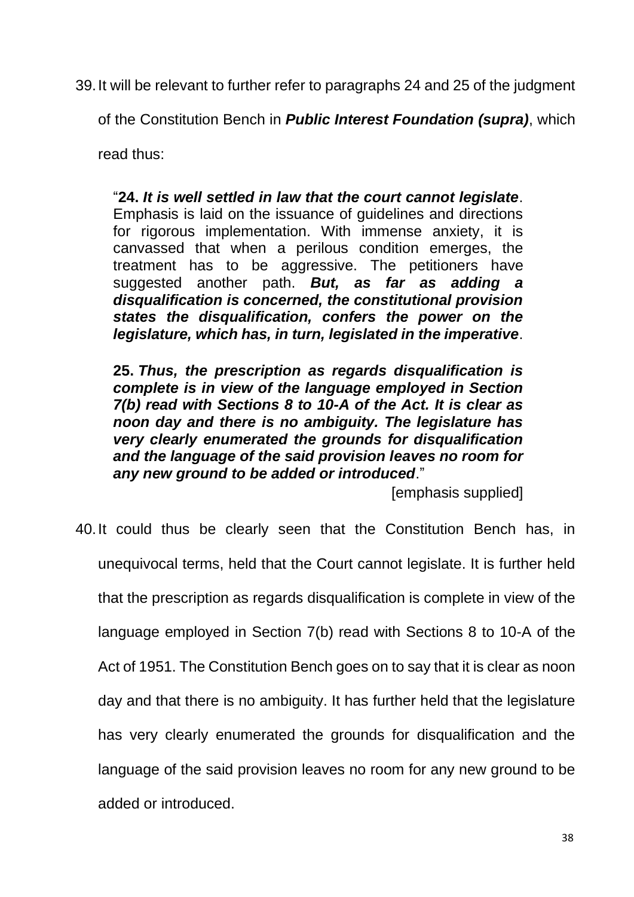39.It will be relevant to further refer to paragraphs 24 and 25 of the judgment

of the Constitution Bench in *Public Interest Foundation (supra)*, which

read thus:

"**24.** *It is well settled in law that the court cannot legislate*.

Emphasis is laid on the issuance of guidelines and directions for rigorous implementation. With immense anxiety, it is canvassed that when a perilous condition emerges, the treatment has to be aggressive. The petitioners have suggested another path. *But, as far as adding a disqualification is concerned, the constitutional provision states the disqualification, confers the power on the legislature, which has, in turn, legislated in the imperative*.

**25.** *Thus, the prescription as regards disqualification is complete is in view of the language employed in Section 7(b) read with Sections 8 to 10-A of the Act. It is clear as noon day and there is no ambiguity. The legislature has very clearly enumerated the grounds for disqualification and the language of the said provision leaves no room for any new ground to be added or introduced*."

[emphasis supplied]

40.It could thus be clearly seen that the Constitution Bench has, in unequivocal terms, held that the Court cannot legislate. It is further held that the prescription as regards disqualification is complete in view of the language employed in Section 7(b) read with Sections 8 to 10-A of the Act of 1951. The Constitution Bench goes on to say that it is clear as noon day and that there is no ambiguity. It has further held that the legislature has very clearly enumerated the grounds for disqualification and the language of the said provision leaves no room for any new ground to be added or introduced.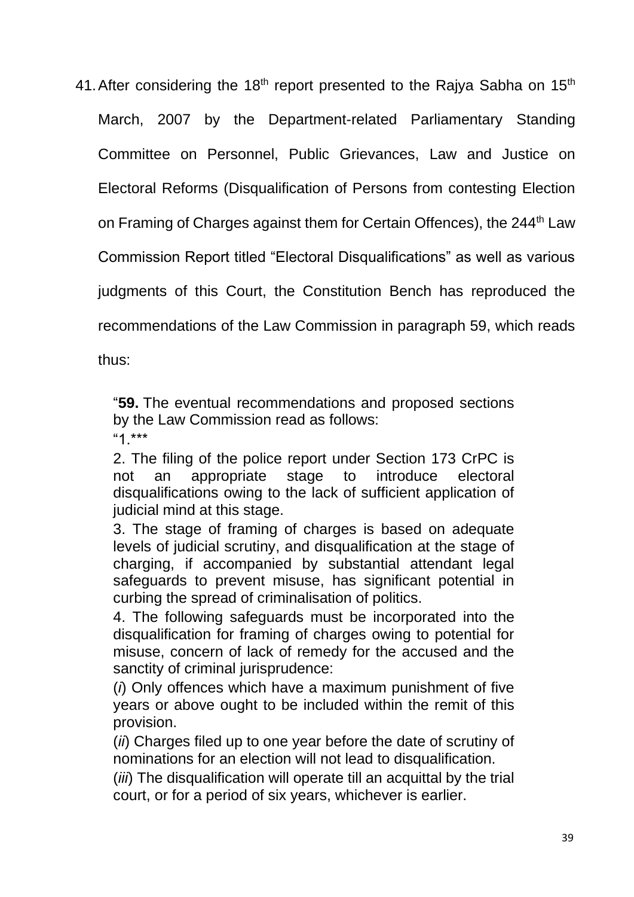41. After considering the 18<sup>th</sup> report presented to the Rajya Sabha on 15<sup>th</sup> March, 2007 by the Department-related Parliamentary Standing Committee on Personnel, Public Grievances, Law and Justice on Electoral Reforms (Disqualification of Persons from contesting Election on Framing of Charges against them for Certain Offences), the 244<sup>th</sup> Law Commission Report titled "Electoral Disqualifications" as well as various judgments of this Court, the Constitution Bench has reproduced the recommendations of the Law Commission in paragraph 59, which reads

thus:

"**59.** The eventual recommendations and proposed sections by the Law Commission read as follows: "1.\*\*\*

2. The filing of the police report under Section 173 CrPC is not an appropriate stage to introduce electoral disqualifications owing to the lack of sufficient application of judicial mind at this stage.

3. The stage of framing of charges is based on adequate levels of judicial scrutiny, and disqualification at the stage of charging, if accompanied by substantial attendant legal safeguards to prevent misuse, has significant potential in curbing the spread of criminalisation of politics.

4. The following safeguards must be incorporated into the disqualification for framing of charges owing to potential for misuse, concern of lack of remedy for the accused and the sanctity of criminal jurisprudence:

(*i*) Only offences which have a maximum punishment of five years or above ought to be included within the remit of this provision.

(*ii*) Charges filed up to one year before the date of scrutiny of nominations for an election will not lead to disqualification.

(*iii*) The disqualification will operate till an acquittal by the trial court, or for a period of six years, whichever is earlier.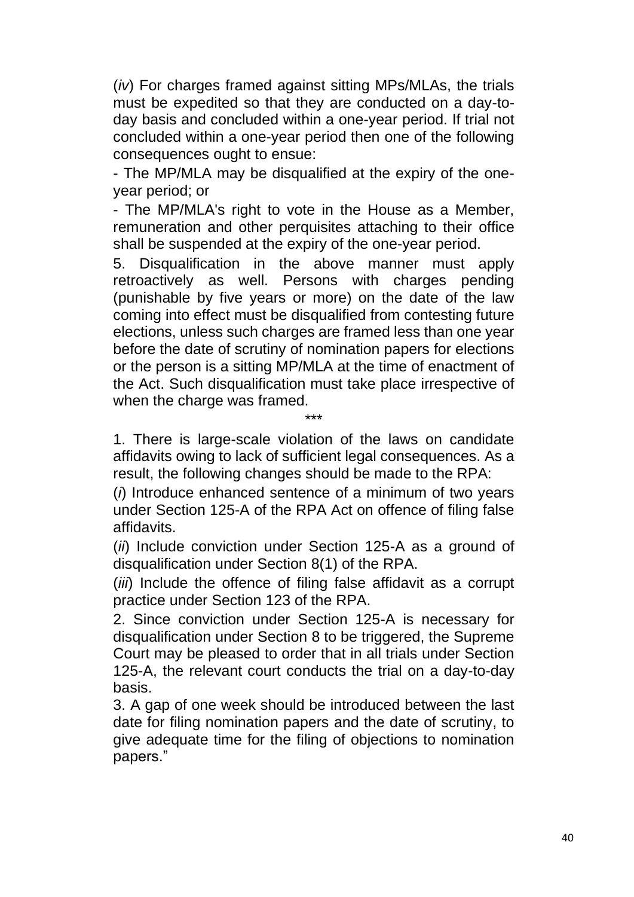(*iv*) For charges framed against sitting MPs/MLAs, the trials must be expedited so that they are conducted on a day-today basis and concluded within a one-year period. If trial not concluded within a one-year period then one of the following consequences ought to ensue:

- The MP/MLA may be disqualified at the expiry of the oneyear period; or

- The MP/MLA's right to vote in the House as a Member, remuneration and other perquisites attaching to their office shall be suspended at the expiry of the one-year period.

5. Disqualification in the above manner must apply retroactively as well. Persons with charges pending (punishable by five years or more) on the date of the law coming into effect must be disqualified from contesting future elections, unless such charges are framed less than one year before the date of scrutiny of nomination papers for elections or the person is a sitting MP/MLA at the time of enactment of the Act. Such disqualification must take place irrespective of when the charge was framed.

1. There is large-scale violation of the laws on candidate affidavits owing to lack of sufficient legal consequences. As a result, the following changes should be made to the RPA:

\*\*\*

(*i*) Introduce enhanced sentence of a minimum of two years under Section 125-A of the RPA Act on offence of filing false affidavits.

(*ii*) Include conviction under Section 125-A as a ground of disqualification under Section 8(1) of the RPA.

(*iii*) Include the offence of filing false affidavit as a corrupt practice under Section 123 of the RPA.

2. Since conviction under Section 125-A is necessary for disqualification under Section 8 to be triggered, the Supreme Court may be pleased to order that in all trials under Section 125-A, the relevant court conducts the trial on a day-to-day basis.

3. A gap of one week should be introduced between the last date for filing nomination papers and the date of scrutiny, to give adequate time for the filing of objections to nomination papers."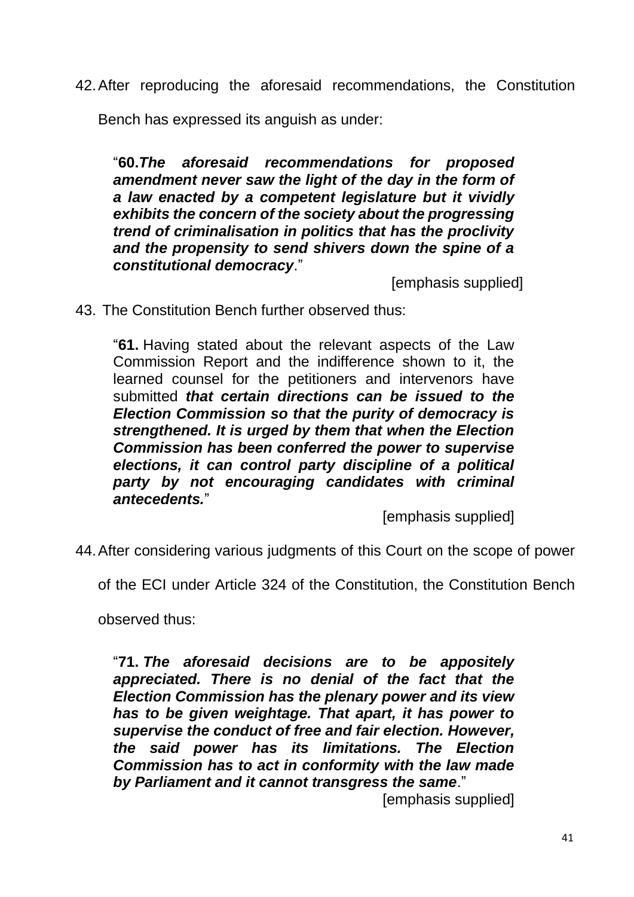42.After reproducing the aforesaid recommendations, the Constitution

Bench has expressed its anguish as under:

"**60.***The aforesaid recommendations for proposed amendment never saw the light of the day in the form of a law enacted by a competent legislature but it vividly exhibits the concern of the society about the progressing trend of criminalisation in politics that has the proclivity and the propensity to send shivers down the spine of a constitutional democracy*."

[emphasis supplied]

43. The Constitution Bench further observed thus:

"**61.** Having stated about the relevant aspects of the Law Commission Report and the indifference shown to it, the learned counsel for the petitioners and intervenors have submitted *that certain directions can be issued to the Election Commission so that the purity of democracy is strengthened. It is urged by them that when the Election Commission has been conferred the power to supervise elections, it can control party discipline of a political party by not encouraging candidates with criminal antecedents.*"

[emphasis supplied]

44.After considering various judgments of this Court on the scope of power

of the ECI under Article 324 of the Constitution, the Constitution Bench

observed thus:

"**71.** *The aforesaid decisions are to be appositely appreciated. There is no denial of the fact that the Election Commission has the plenary power and its view has to be given weightage. That apart, it has power to supervise the conduct of free and fair election. However, the said power has its limitations. The Election Commission has to act in conformity with the law made by Parliament and it cannot transgress the same*."

[emphasis supplied]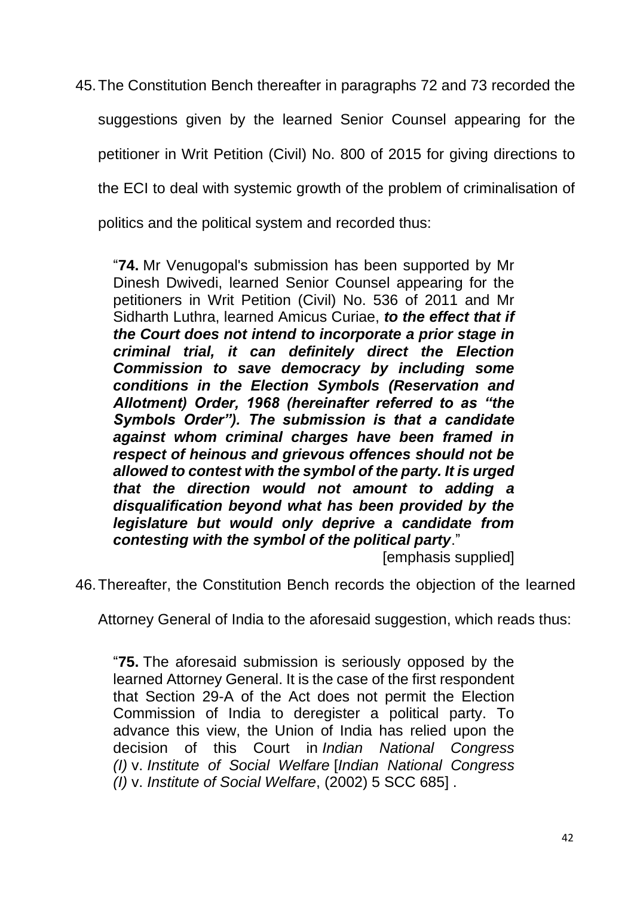45.The Constitution Bench thereafter in paragraphs 72 and 73 recorded the

suggestions given by the learned Senior Counsel appearing for the

petitioner in Writ Petition (Civil) No. 800 of 2015 for giving directions to

the ECI to deal with systemic growth of the problem of criminalisation of

politics and the political system and recorded thus:

"**74.** Mr Venugopal's submission has been supported by Mr Dinesh Dwivedi, learned Senior Counsel appearing for the petitioners in Writ Petition (Civil) No. 536 of 2011 and Mr Sidharth Luthra, learned Amicus Curiae, *to the effect that if the Court does not intend to incorporate a prior stage in criminal trial, it can definitely direct the Election Commission to save democracy by including some conditions in the Election Symbols (Reservation and Allotment) Order, 1968 (hereinafter referred to as "the Symbols Order"). The submission is that a candidate against whom criminal charges have been framed in respect of heinous and grievous offences should not be allowed to contest with the symbol of the party. It is urged that the direction would not amount to adding a disqualification beyond what has been provided by the legislature but would only deprive a candidate from contesting with the symbol of the political party*."

[emphasis supplied]

46.Thereafter, the Constitution Bench records the objection of the learned

Attorney General of India to the aforesaid suggestion, which reads thus:

"**75.** The aforesaid submission is seriously opposed by the learned Attorney General. It is the case of the first respondent that Section 29-A of the Act does not permit the Election Commission of India to deregister a political party. To advance this view, the Union of India has relied upon the decision of this Court in *Indian National Congress (I)* v. *Institute of Social Welfare* [*Indian National Congress (I)* v. *Institute of Social Welfare*, (2002) 5 SCC 685] .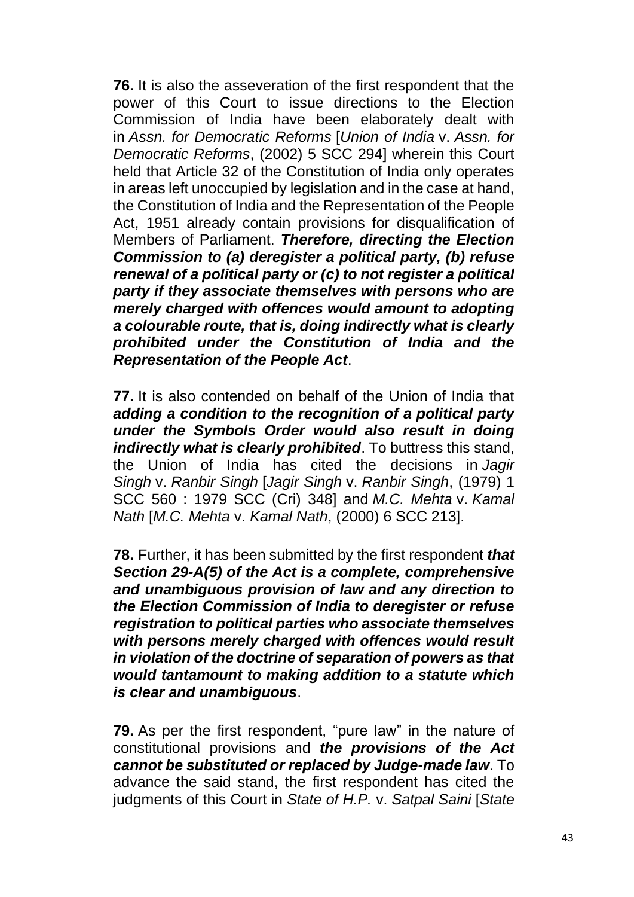**76.** It is also the asseveration of the first respondent that the power of this Court to issue directions to the Election Commission of India have been elaborately dealt with in *Assn. for Democratic Reforms* [*Union of India* v. *Assn. for Democratic Reforms*, (2002) 5 SCC 294] wherein this Court held that Article 32 of the Constitution of India only operates in areas left unoccupied by legislation and in the case at hand, the Constitution of India and the Representation of the People Act, 1951 already contain provisions for disqualification of Members of Parliament. *Therefore, directing the Election Commission to (a) deregister a political party, (b) refuse renewal of a political party or (c) to not register a political party if they associate themselves with persons who are merely charged with offences would amount to adopting a colourable route, that is, doing indirectly what is clearly prohibited under the Constitution of India and the Representation of the People Act*.

**77.** It is also contended on behalf of the Union of India that *adding a condition to the recognition of a political party under the Symbols Order would also result in doing indirectly what is clearly prohibited*. To buttress this stand, the Union of India has cited the decisions in *Jagir Singh* v. *Ranbir Singh* [*Jagir Singh* v. *Ranbir Singh*, (1979) 1 SCC 560 : 1979 SCC (Cri) 348] and *M.C. Mehta* v. *Kamal Nath* [*M.C. Mehta* v. *Kamal Nath*, (2000) 6 SCC 213].

**78.** Further, it has been submitted by the first respondent *that Section 29-A(5) of the Act is a complete, comprehensive and unambiguous provision of law and any direction to the Election Commission of India to deregister or refuse registration to political parties who associate themselves with persons merely charged with offences would result in violation of the doctrine of separation of powers as that would tantamount to making addition to a statute which is clear and unambiguous*.

**79.** As per the first respondent, "pure law" in the nature of constitutional provisions and *the provisions of the Act cannot be substituted or replaced by Judge-made law*. To advance the said stand, the first respondent has cited the judgments of this Court in *State of H.P.* v. *Satpal Saini* [*State*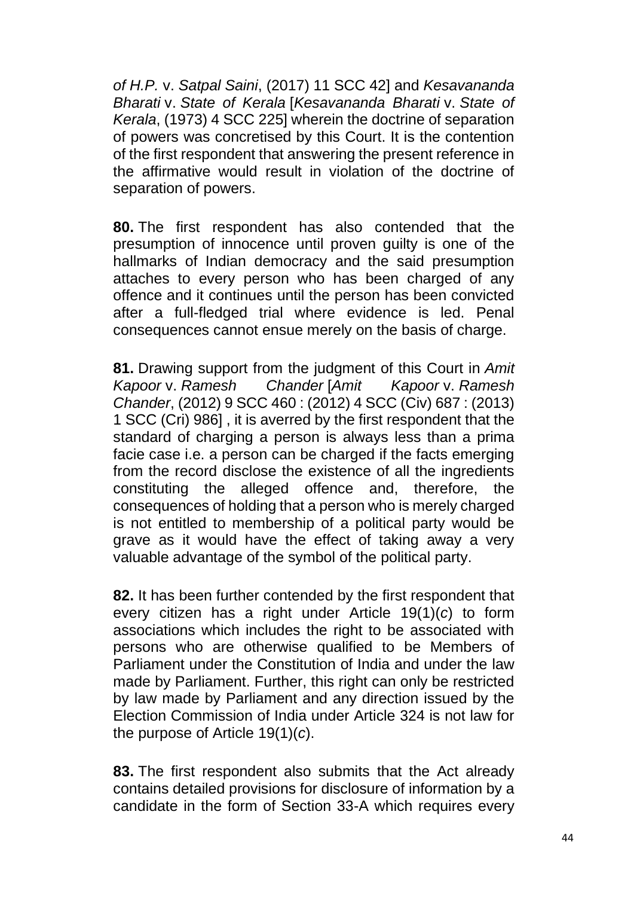*of H.P.* v. *Satpal Saini*, (2017) 11 SCC 42] and *Kesavananda Bharati* v. *State of Kerala* [*Kesavananda Bharati* v. *State of Kerala*, (1973) 4 SCC 225] wherein the doctrine of separation of powers was concretised by this Court. It is the contention of the first respondent that answering the present reference in the affirmative would result in violation of the doctrine of separation of powers.

**80.** The first respondent has also contended that the presumption of innocence until proven guilty is one of the hallmarks of Indian democracy and the said presumption attaches to every person who has been charged of any offence and it continues until the person has been convicted after a full-fledged trial where evidence is led. Penal consequences cannot ensue merely on the basis of charge.

**81.** Drawing support from the judgment of this Court in *Amit Kapoor* v. *Ramesh Chander* [*Amit Kapoor* v. *Ramesh Chander*, (2012) 9 SCC 460 : (2012) 4 SCC (Civ) 687 : (2013) 1 SCC (Cri) 986] , it is averred by the first respondent that the standard of charging a person is always less than a prima facie case i.e. a person can be charged if the facts emerging from the record disclose the existence of all the ingredients constituting the alleged offence and, therefore, the consequences of holding that a person who is merely charged is not entitled to membership of a political party would be grave as it would have the effect of taking away a very valuable advantage of the symbol of the political party.

**82.** It has been further contended by the first respondent that every citizen has a right under Article 19(1)(*c*) to form associations which includes the right to be associated with persons who are otherwise qualified to be Members of Parliament under the Constitution of India and under the law made by Parliament. Further, this right can only be restricted by law made by Parliament and any direction issued by the Election Commission of India under Article 324 is not law for the purpose of Article 19(1)(*c*).

**83.** The first respondent also submits that the Act already contains detailed provisions for disclosure of information by a candidate in the form of Section 33-A which requires every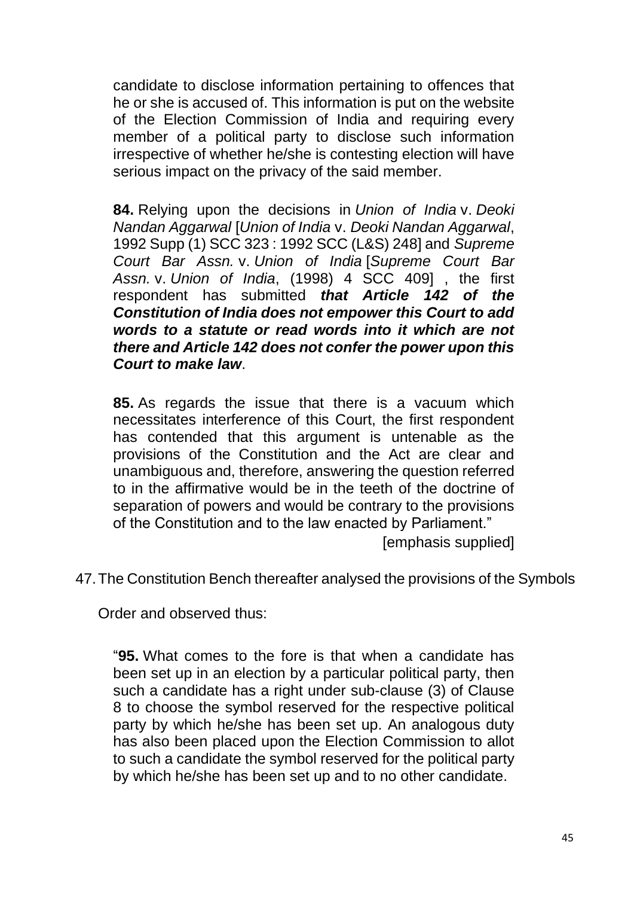candidate to disclose information pertaining to offences that he or she is accused of. This information is put on the website of the Election Commission of India and requiring every member of a political party to disclose such information irrespective of whether he/she is contesting election will have serious impact on the privacy of the said member.

**84.** Relying upon the decisions in *Union of India* v. *Deoki Nandan Aggarwal* [*Union of India* v. *Deoki Nandan Aggarwal*, 1992 Supp (1) SCC 323 : 1992 SCC (L&S) 248] and *Supreme Court Bar Assn.* v. *Union of India* [*Supreme Court Bar Assn.* v. *Union of India*, (1998) 4 SCC 409] , the first respondent has submitted *that Article 142 of the Constitution of India does not empower this Court to add words to a statute or read words into it which are not there and Article 142 does not confer the power upon this Court to make law*.

**85.** As regards the issue that there is a vacuum which necessitates interference of this Court, the first respondent has contended that this argument is untenable as the provisions of the Constitution and the Act are clear and unambiguous and, therefore, answering the question referred to in the affirmative would be in the teeth of the doctrine of separation of powers and would be contrary to the provisions of the Constitution and to the law enacted by Parliament."

[emphasis supplied]

47.The Constitution Bench thereafter analysed the provisions of the Symbols

Order and observed thus:

"**95.** What comes to the fore is that when a candidate has been set up in an election by a particular political party, then such a candidate has a right under sub-clause (3) of Clause 8 to choose the symbol reserved for the respective political party by which he/she has been set up. An analogous duty has also been placed upon the Election Commission to allot to such a candidate the symbol reserved for the political party by which he/she has been set up and to no other candidate.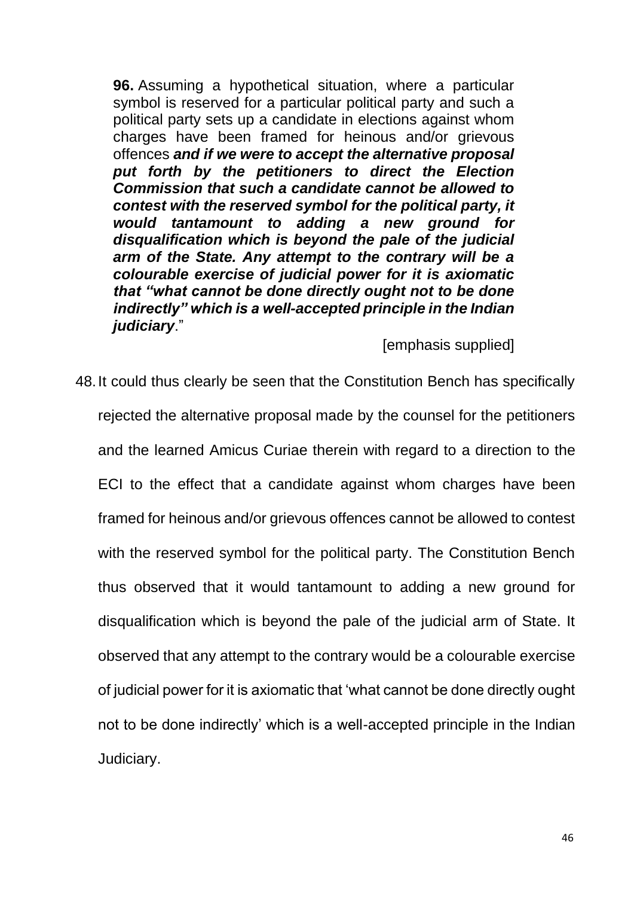**96.** Assuming a hypothetical situation, where a particular symbol is reserved for a particular political party and such a political party sets up a candidate in elections against whom charges have been framed for heinous and/or grievous offences *and if we were to accept the alternative proposal put forth by the petitioners to direct the Election Commission that such a candidate cannot be allowed to contest with the reserved symbol for the political party, it would tantamount to adding a new ground for disqualification which is beyond the pale of the judicial arm of the State. Any attempt to the contrary will be a colourable exercise of judicial power for it is axiomatic that "what cannot be done directly ought not to be done indirectly" which is a well-accepted principle in the Indian judiciary*."

[emphasis supplied]

48.It could thus clearly be seen that the Constitution Bench has specifically rejected the alternative proposal made by the counsel for the petitioners and the learned Amicus Curiae therein with regard to a direction to the ECI to the effect that a candidate against whom charges have been framed for heinous and/or grievous offences cannot be allowed to contest with the reserved symbol for the political party. The Constitution Bench thus observed that it would tantamount to adding a new ground for disqualification which is beyond the pale of the judicial arm of State. It observed that any attempt to the contrary would be a colourable exercise of judicial power for it is axiomatic that 'what cannot be done directly ought not to be done indirectly' which is a well-accepted principle in the Indian Judiciary.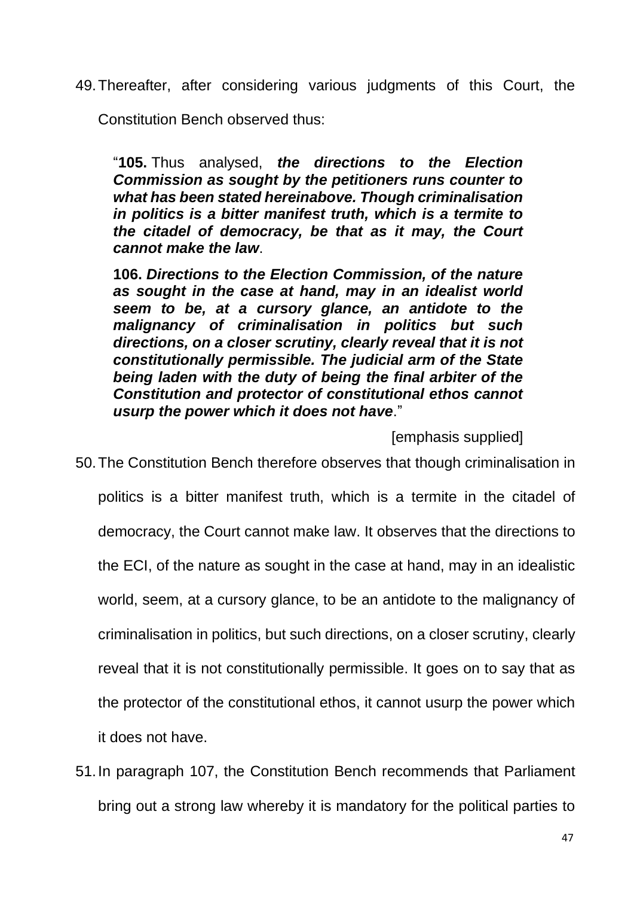49.Thereafter, after considering various judgments of this Court, the

Constitution Bench observed thus:

"**105.** Thus analysed, *the directions to the Election Commission as sought by the petitioners runs counter to what has been stated hereinabove. Though criminalisation in politics is a bitter manifest truth, which is a termite to the citadel of democracy, be that as it may, the Court cannot make the law*.

**106.** *Directions to the Election Commission, of the nature as sought in the case at hand, may in an idealist world seem to be, at a cursory glance, an antidote to the malignancy of criminalisation in politics but such directions, on a closer scrutiny, clearly reveal that it is not constitutionally permissible. The judicial arm of the State being laden with the duty of being the final arbiter of the Constitution and protector of constitutional ethos cannot usurp the power which it does not have*."

[emphasis supplied]

50.The Constitution Bench therefore observes that though criminalisation in politics is a bitter manifest truth, which is a termite in the citadel of democracy, the Court cannot make law. It observes that the directions to the ECI, of the nature as sought in the case at hand, may in an idealistic world, seem, at a cursory glance, to be an antidote to the malignancy of criminalisation in politics, but such directions, on a closer scrutiny, clearly reveal that it is not constitutionally permissible. It goes on to say that as the protector of the constitutional ethos, it cannot usurp the power which it does not have.

51.In paragraph 107, the Constitution Bench recommends that Parliament bring out a strong law whereby it is mandatory for the political parties to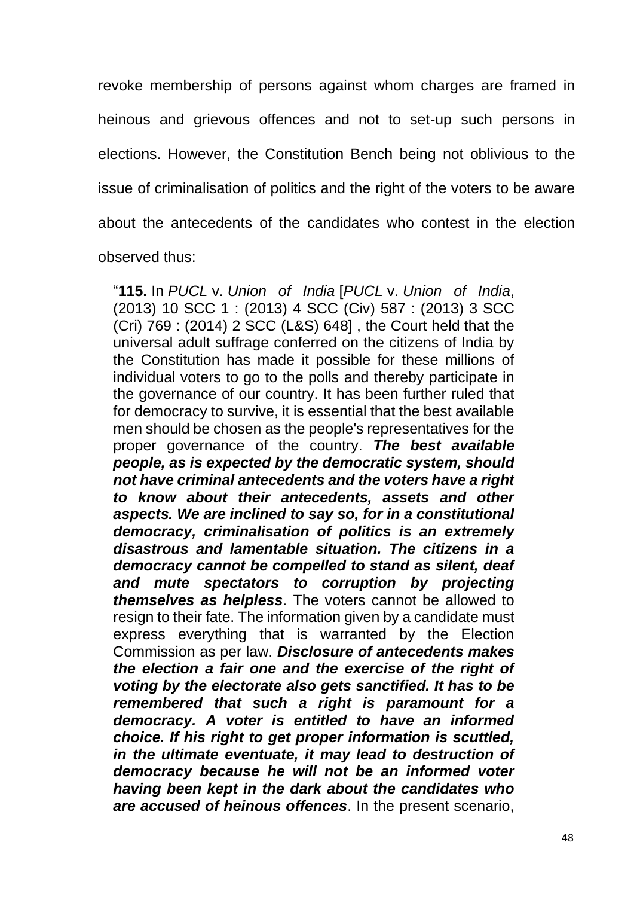revoke membership of persons against whom charges are framed in heinous and grievous offences and not to set-up such persons in elections. However, the Constitution Bench being not oblivious to the issue of criminalisation of politics and the right of the voters to be aware about the antecedents of the candidates who contest in the election observed thus:

"**115.** In *PUCL* v. *Union of India* [*PUCL* v. *Union of India*, (2013) 10 SCC 1 : (2013) 4 SCC (Civ) 587 : (2013) 3 SCC (Cri) 769 : (2014) 2 SCC (L&S) 648] , the Court held that the universal adult suffrage conferred on the citizens of India by the Constitution has made it possible for these millions of individual voters to go to the polls and thereby participate in the governance of our country. It has been further ruled that for democracy to survive, it is essential that the best available men should be chosen as the people's representatives for the proper governance of the country. *The best available people, as is expected by the democratic system, should not have criminal antecedents and the voters have a right to know about their antecedents, assets and other aspects. We are inclined to say so, for in a constitutional democracy, criminalisation of politics is an extremely disastrous and lamentable situation. The citizens in a democracy cannot be compelled to stand as silent, deaf and mute spectators to corruption by projecting themselves as helpless*. The voters cannot be allowed to resign to their fate. The information given by a candidate must express everything that is warranted by the Election Commission as per law. *Disclosure of antecedents makes the election a fair one and the exercise of the right of voting by the electorate also gets sanctified. It has to be remembered that such a right is paramount for a democracy. A voter is entitled to have an informed choice. If his right to get proper information is scuttled, in the ultimate eventuate, it may lead to destruction of democracy because he will not be an informed voter having been kept in the dark about the candidates who are accused of heinous offences*. In the present scenario,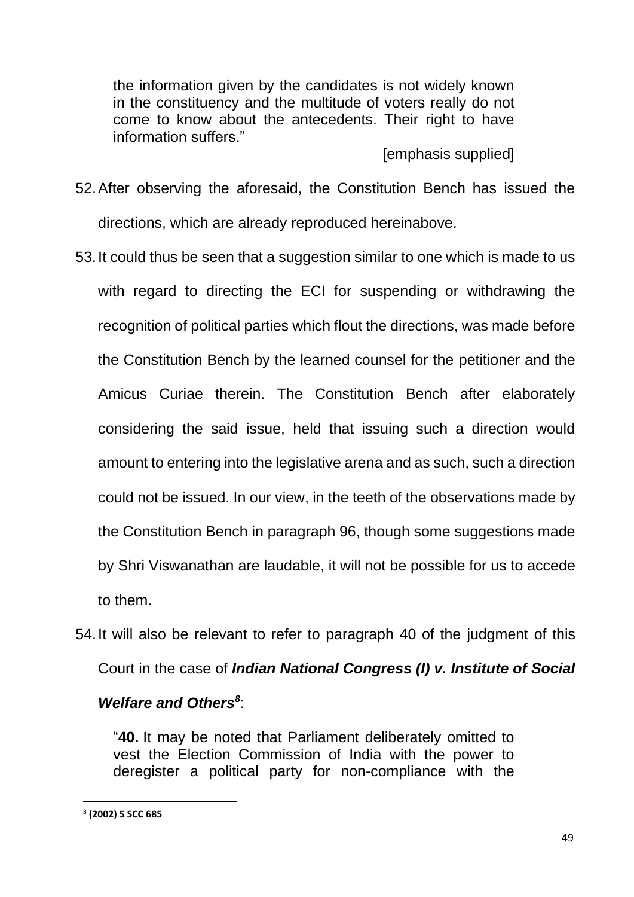the information given by the candidates is not widely known in the constituency and the multitude of voters really do not come to know about the antecedents. Their right to have information suffers."

#### [emphasis supplied]

- 52.After observing the aforesaid, the Constitution Bench has issued the directions, which are already reproduced hereinabove.
- 53.It could thus be seen that a suggestion similar to one which is made to us with regard to directing the ECI for suspending or withdrawing the recognition of political parties which flout the directions, was made before the Constitution Bench by the learned counsel for the petitioner and the Amicus Curiae therein. The Constitution Bench after elaborately considering the said issue, held that issuing such a direction would amount to entering into the legislative arena and as such, such a direction could not be issued. In our view, in the teeth of the observations made by the Constitution Bench in paragraph 96, though some suggestions made by Shri Viswanathan are laudable, it will not be possible for us to accede to them.
- 54.It will also be relevant to refer to paragraph 40 of the judgment of this Court in the case of *Indian National Congress (I) v. Institute of Social*

# *Welfare and Others<sup>8</sup>* :

"**40.** It may be noted that Parliament deliberately omitted to vest the Election Commission of India with the power to deregister a political party for non-compliance with the

<sup>8</sup> **(2002) 5 SCC 685**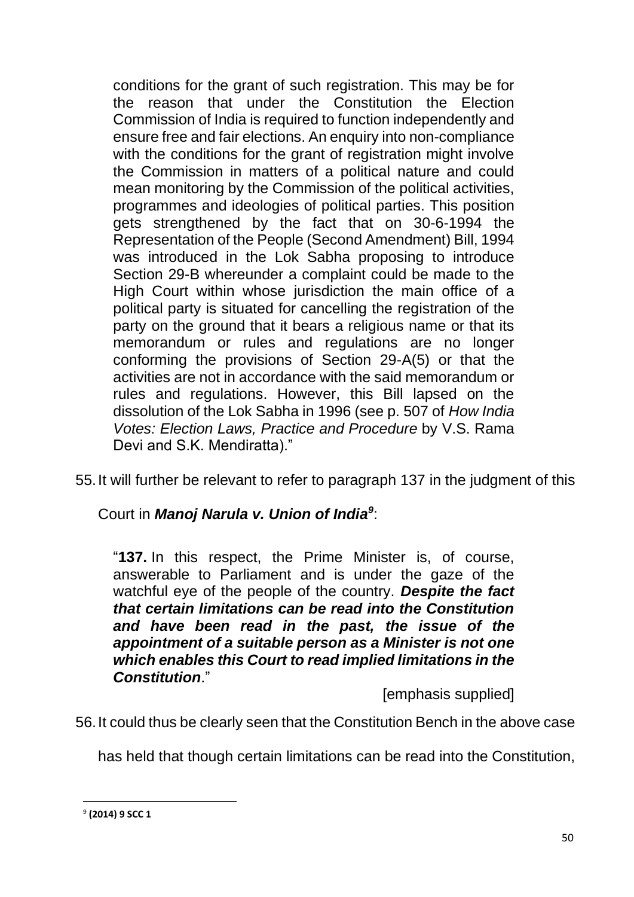conditions for the grant of such registration. This may be for the reason that under the Constitution the Election Commission of India is required to function independently and ensure free and fair elections. An enquiry into non-compliance with the conditions for the grant of registration might involve the Commission in matters of a political nature and could mean monitoring by the Commission of the political activities, programmes and ideologies of political parties. This position gets strengthened by the fact that on 30-6-1994 the Representation of the People (Second Amendment) Bill, 1994 was introduced in the Lok Sabha proposing to introduce Section 29-B whereunder a complaint could be made to the High Court within whose jurisdiction the main office of a political party is situated for cancelling the registration of the party on the ground that it bears a religious name or that its memorandum or rules and regulations are no longer conforming the provisions of Section 29-A(5) or that the activities are not in accordance with the said memorandum or rules and regulations. However, this Bill lapsed on the dissolution of the Lok Sabha in 1996 (see p. 507 of *How India Votes: Election Laws, Practice and Procedure* by V.S. Rama Devi and S.K. Mendiratta)."

55.It will further be relevant to refer to paragraph 137 in the judgment of this

Court in *Manoj Narula v. Union of India<sup>9</sup>* :

"**137.** In this respect, the Prime Minister is, of course, answerable to Parliament and is under the gaze of the watchful eye of the people of the country. *Despite the fact that certain limitations can be read into the Constitution and have been read in the past, the issue of the appointment of a suitable person as a Minister is not one which enables this Court to read implied limitations in the Constitution*."

[emphasis supplied]

56.It could thus be clearly seen that the Constitution Bench in the above case

has held that though certain limitations can be read into the Constitution,

<sup>9</sup> **(2014) 9 SCC 1**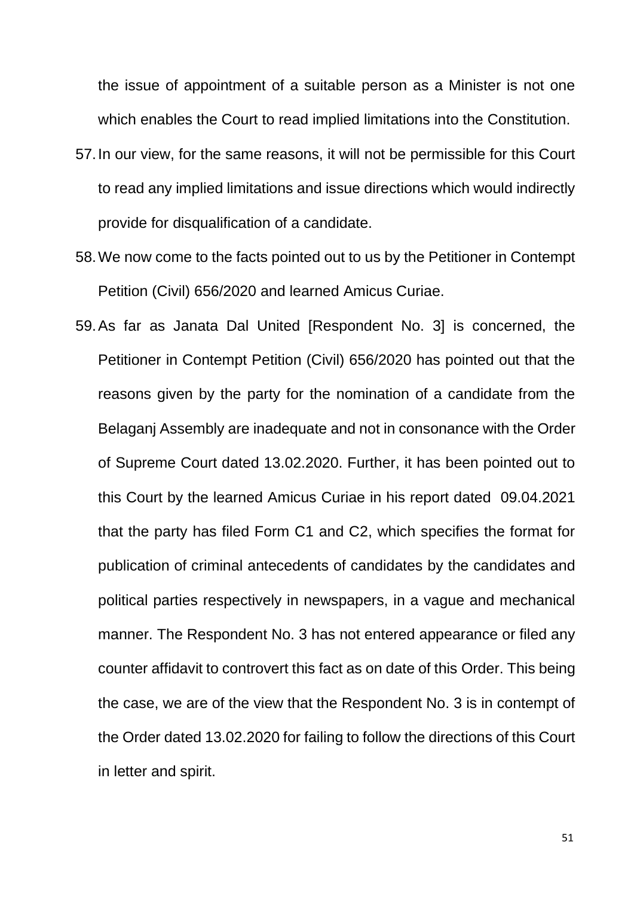the issue of appointment of a suitable person as a Minister is not one which enables the Court to read implied limitations into the Constitution.

- 57.In our view, for the same reasons, it will not be permissible for this Court to read any implied limitations and issue directions which would indirectly provide for disqualification of a candidate.
- 58.We now come to the facts pointed out to us by the Petitioner in Contempt Petition (Civil) 656/2020 and learned Amicus Curiae.
- 59.As far as Janata Dal United [Respondent No. 3] is concerned, the Petitioner in Contempt Petition (Civil) 656/2020 has pointed out that the reasons given by the party for the nomination of a candidate from the Belaganj Assembly are inadequate and not in consonance with the Order of Supreme Court dated 13.02.2020. Further, it has been pointed out to this Court by the learned Amicus Curiae in his report dated 09.04.2021 that the party has filed Form C1 and C2, which specifies the format for publication of criminal antecedents of candidates by the candidates and political parties respectively in newspapers, in a vague and mechanical manner. The Respondent No. 3 has not entered appearance or filed any counter affidavit to controvert this fact as on date of this Order. This being the case, we are of the view that the Respondent No. 3 is in contempt of the Order dated 13.02.2020 for failing to follow the directions of this Court in letter and spirit.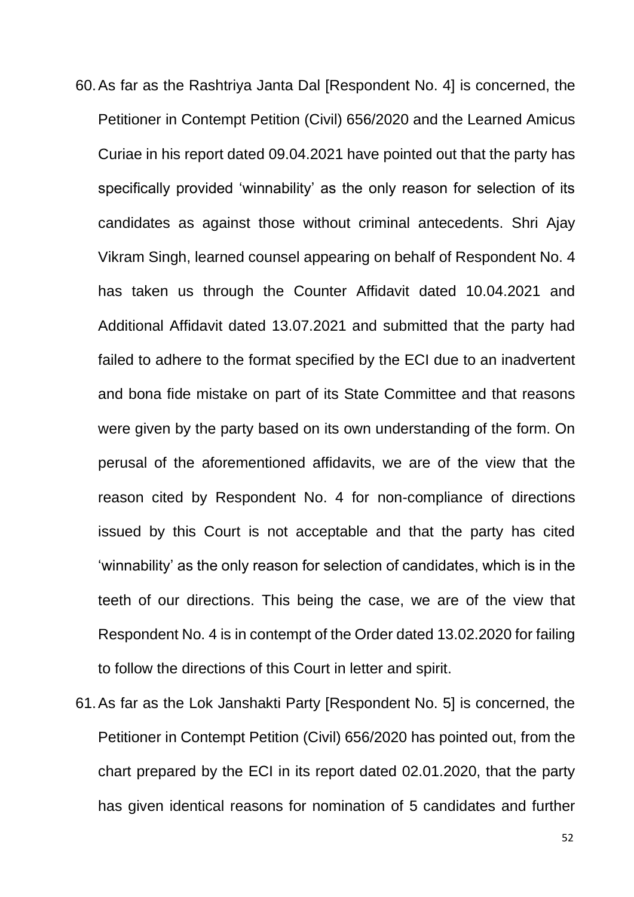- 60.As far as the Rashtriya Janta Dal [Respondent No. 4] is concerned, the Petitioner in Contempt Petition (Civil) 656/2020 and the Learned Amicus Curiae in his report dated 09.04.2021 have pointed out that the party has specifically provided 'winnability' as the only reason for selection of its candidates as against those without criminal antecedents. Shri Ajay Vikram Singh, learned counsel appearing on behalf of Respondent No. 4 has taken us through the Counter Affidavit dated 10.04.2021 and Additional Affidavit dated 13.07.2021 and submitted that the party had failed to adhere to the format specified by the ECI due to an inadvertent and bona fide mistake on part of its State Committee and that reasons were given by the party based on its own understanding of the form. On perusal of the aforementioned affidavits, we are of the view that the reason cited by Respondent No. 4 for non-compliance of directions issued by this Court is not acceptable and that the party has cited 'winnability' as the only reason for selection of candidates, which is in the teeth of our directions. This being the case, we are of the view that Respondent No. 4 is in contempt of the Order dated 13.02.2020 for failing to follow the directions of this Court in letter and spirit.
- 61.As far as the Lok Janshakti Party [Respondent No. 5] is concerned, the Petitioner in Contempt Petition (Civil) 656/2020 has pointed out, from the chart prepared by the ECI in its report dated 02.01.2020, that the party has given identical reasons for nomination of 5 candidates and further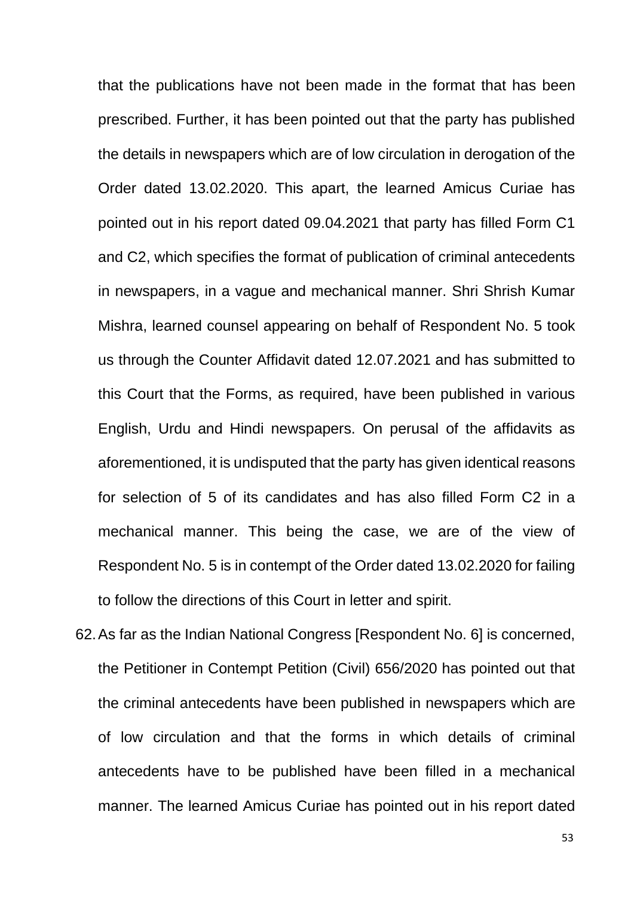that the publications have not been made in the format that has been prescribed. Further, it has been pointed out that the party has published the details in newspapers which are of low circulation in derogation of the Order dated 13.02.2020. This apart, the learned Amicus Curiae has pointed out in his report dated 09.04.2021 that party has filled Form C1 and C2, which specifies the format of publication of criminal antecedents in newspapers, in a vague and mechanical manner. Shri Shrish Kumar Mishra, learned counsel appearing on behalf of Respondent No. 5 took us through the Counter Affidavit dated 12.07.2021 and has submitted to this Court that the Forms, as required, have been published in various English, Urdu and Hindi newspapers. On perusal of the affidavits as aforementioned, it is undisputed that the party has given identical reasons for selection of 5 of its candidates and has also filled Form C2 in a mechanical manner. This being the case, we are of the view of Respondent No. 5 is in contempt of the Order dated 13.02.2020 for failing to follow the directions of this Court in letter and spirit.

62.As far as the Indian National Congress [Respondent No. 6] is concerned, the Petitioner in Contempt Petition (Civil) 656/2020 has pointed out that the criminal antecedents have been published in newspapers which are of low circulation and that the forms in which details of criminal antecedents have to be published have been filled in a mechanical manner. The learned Amicus Curiae has pointed out in his report dated

53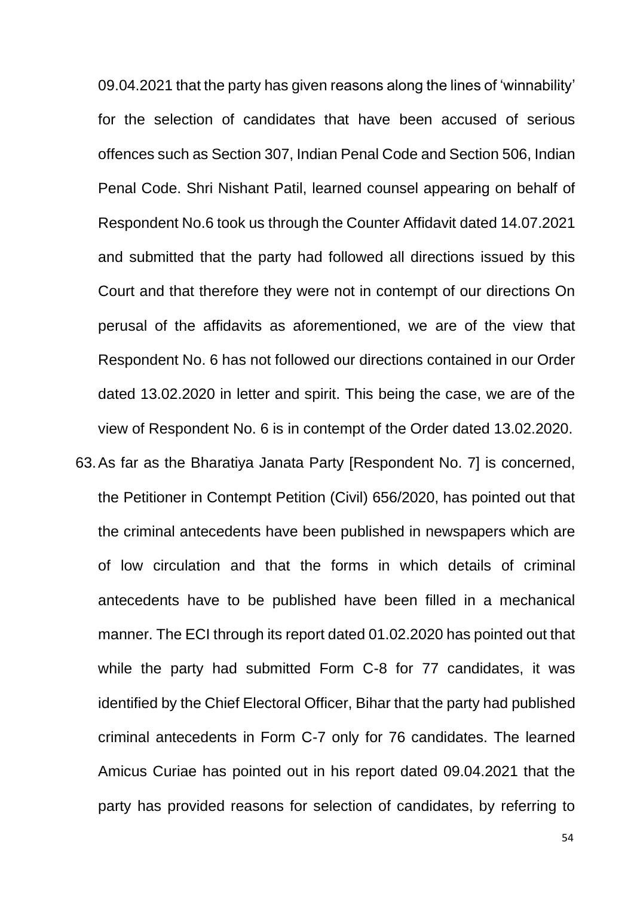09.04.2021 that the party has given reasons along the lines of 'winnability' for the selection of candidates that have been accused of serious offences such as Section 307, Indian Penal Code and Section 506, Indian Penal Code. Shri Nishant Patil, learned counsel appearing on behalf of Respondent No.6 took us through the Counter Affidavit dated 14.07.2021 and submitted that the party had followed all directions issued by this Court and that therefore they were not in contempt of our directions On perusal of the affidavits as aforementioned, we are of the view that Respondent No. 6 has not followed our directions contained in our Order dated 13.02.2020 in letter and spirit. This being the case, we are of the view of Respondent No. 6 is in contempt of the Order dated 13.02.2020.

63.As far as the Bharatiya Janata Party [Respondent No. 7] is concerned, the Petitioner in Contempt Petition (Civil) 656/2020, has pointed out that the criminal antecedents have been published in newspapers which are of low circulation and that the forms in which details of criminal antecedents have to be published have been filled in a mechanical manner. The ECI through its report dated 01.02.2020 has pointed out that while the party had submitted Form C-8 for 77 candidates, it was identified by the Chief Electoral Officer, Bihar that the party had published criminal antecedents in Form C-7 only for 76 candidates. The learned Amicus Curiae has pointed out in his report dated 09.04.2021 that the party has provided reasons for selection of candidates, by referring to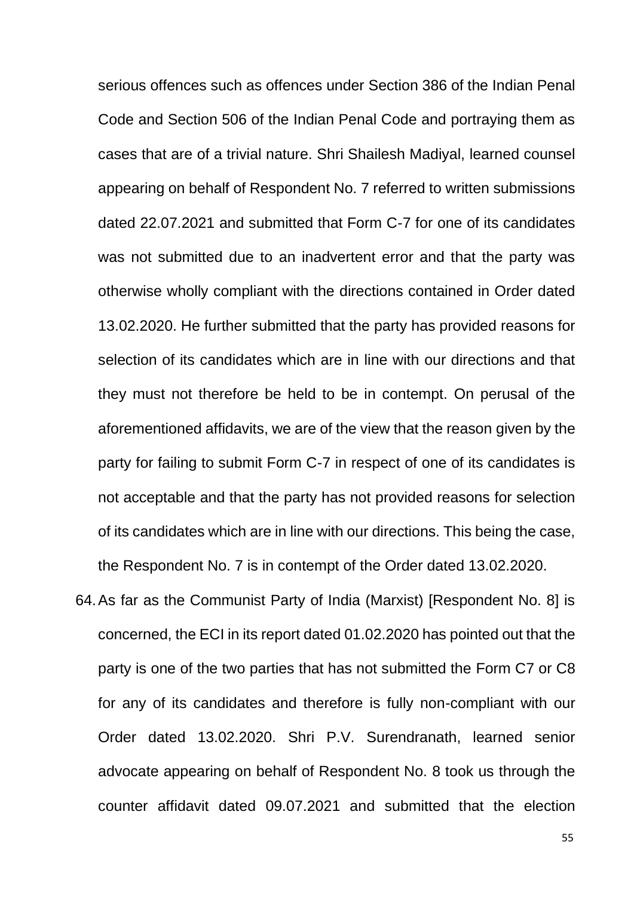serious offences such as offences under Section 386 of the Indian Penal Code and Section 506 of the Indian Penal Code and portraying them as cases that are of a trivial nature. Shri Shailesh Madiyal, learned counsel appearing on behalf of Respondent No. 7 referred to written submissions dated 22.07.2021 and submitted that Form C-7 for one of its candidates was not submitted due to an inadvertent error and that the party was otherwise wholly compliant with the directions contained in Order dated 13.02.2020. He further submitted that the party has provided reasons for selection of its candidates which are in line with our directions and that they must not therefore be held to be in contempt. On perusal of the aforementioned affidavits, we are of the view that the reason given by the party for failing to submit Form C-7 in respect of one of its candidates is not acceptable and that the party has not provided reasons for selection of its candidates which are in line with our directions. This being the case, the Respondent No. 7 is in contempt of the Order dated 13.02.2020.

64.As far as the Communist Party of India (Marxist) [Respondent No. 8] is concerned, the ECI in its report dated 01.02.2020 has pointed out that the party is one of the two parties that has not submitted the Form C7 or C8 for any of its candidates and therefore is fully non-compliant with our Order dated 13.02.2020. Shri P.V. Surendranath, learned senior advocate appearing on behalf of Respondent No. 8 took us through the counter affidavit dated 09.07.2021 and submitted that the election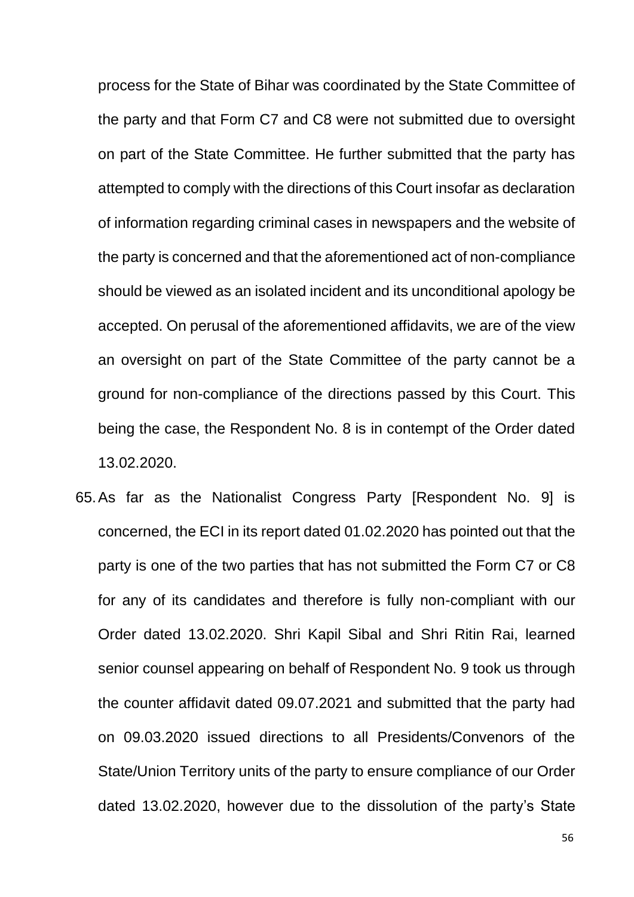process for the State of Bihar was coordinated by the State Committee of the party and that Form C7 and C8 were not submitted due to oversight on part of the State Committee. He further submitted that the party has attempted to comply with the directions of this Court insofar as declaration of information regarding criminal cases in newspapers and the website of the party is concerned and that the aforementioned act of non-compliance should be viewed as an isolated incident and its unconditional apology be accepted. On perusal of the aforementioned affidavits, we are of the view an oversight on part of the State Committee of the party cannot be a ground for non-compliance of the directions passed by this Court. This being the case, the Respondent No. 8 is in contempt of the Order dated 13.02.2020.

65.As far as the Nationalist Congress Party [Respondent No. 9] is concerned, the ECI in its report dated 01.02.2020 has pointed out that the party is one of the two parties that has not submitted the Form C7 or C8 for any of its candidates and therefore is fully non-compliant with our Order dated 13.02.2020. Shri Kapil Sibal and Shri Ritin Rai, learned senior counsel appearing on behalf of Respondent No. 9 took us through the counter affidavit dated 09.07.2021 and submitted that the party had on 09.03.2020 issued directions to all Presidents/Convenors of the State/Union Territory units of the party to ensure compliance of our Order dated 13.02.2020, however due to the dissolution of the party's State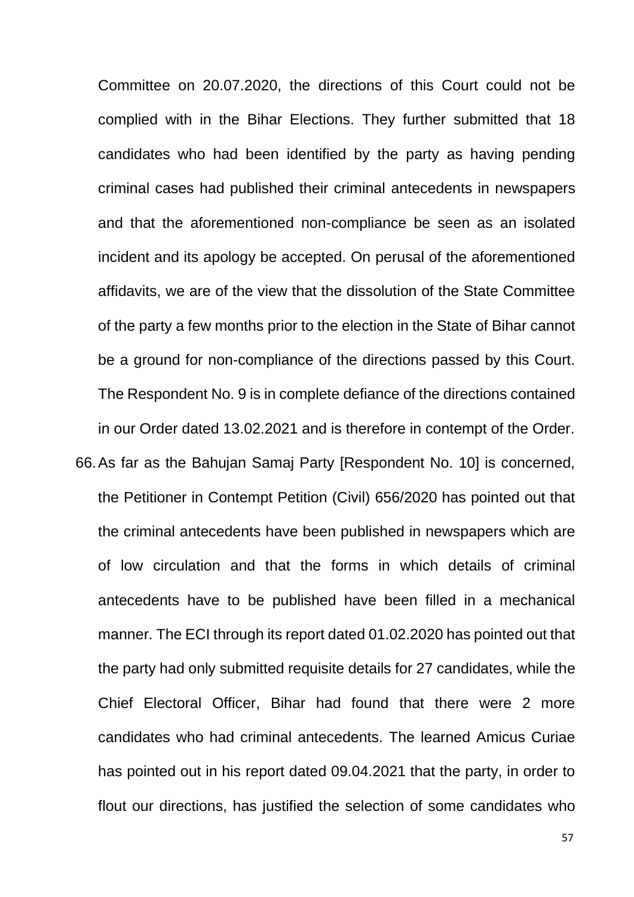Committee on 20.07.2020, the directions of this Court could not be complied with in the Bihar Elections. They further submitted that 18 candidates who had been identified by the party as having pending criminal cases had published their criminal antecedents in newspapers and that the aforementioned non-compliance be seen as an isolated incident and its apology be accepted. On perusal of the aforementioned affidavits, we are of the view that the dissolution of the State Committee of the party a few months prior to the election in the State of Bihar cannot be a ground for non-compliance of the directions passed by this Court. The Respondent No. 9 is in complete defiance of the directions contained in our Order dated 13.02.2021 and is therefore in contempt of the Order. 66.As far as the Bahujan Samaj Party [Respondent No. 10] is concerned, the Petitioner in Contempt Petition (Civil) 656/2020 has pointed out that the criminal antecedents have been published in newspapers which are of low circulation and that the forms in which details of criminal antecedents have to be published have been filled in a mechanical manner. The ECI through its report dated 01.02.2020 has pointed out that the party had only submitted requisite details for 27 candidates, while the Chief Electoral Officer, Bihar had found that there were 2 more candidates who had criminal antecedents. The learned Amicus Curiae has pointed out in his report dated 09.04.2021 that the party, in order to flout our directions, has justified the selection of some candidates who

57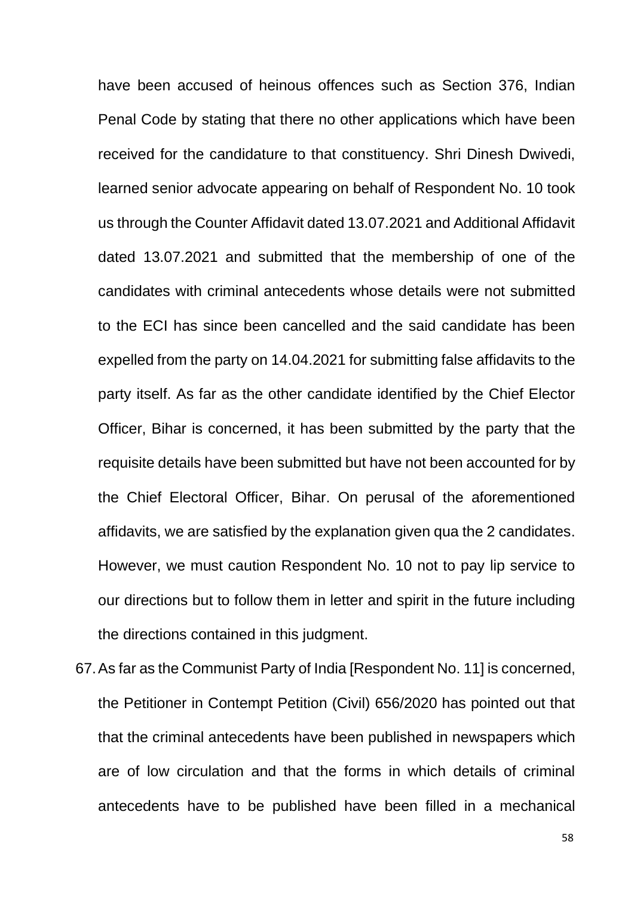have been accused of heinous offences such as Section 376, Indian Penal Code by stating that there no other applications which have been received for the candidature to that constituency. Shri Dinesh Dwivedi, learned senior advocate appearing on behalf of Respondent No. 10 took us through the Counter Affidavit dated 13.07.2021 and Additional Affidavit dated 13.07.2021 and submitted that the membership of one of the candidates with criminal antecedents whose details were not submitted to the ECI has since been cancelled and the said candidate has been expelled from the party on 14.04.2021 for submitting false affidavits to the party itself. As far as the other candidate identified by the Chief Elector Officer, Bihar is concerned, it has been submitted by the party that the requisite details have been submitted but have not been accounted for by the Chief Electoral Officer, Bihar. On perusal of the aforementioned affidavits, we are satisfied by the explanation given qua the 2 candidates. However, we must caution Respondent No. 10 not to pay lip service to our directions but to follow them in letter and spirit in the future including the directions contained in this judgment.

67.As far as the Communist Party of India [Respondent No. 11] is concerned, the Petitioner in Contempt Petition (Civil) 656/2020 has pointed out that that the criminal antecedents have been published in newspapers which are of low circulation and that the forms in which details of criminal antecedents have to be published have been filled in a mechanical

58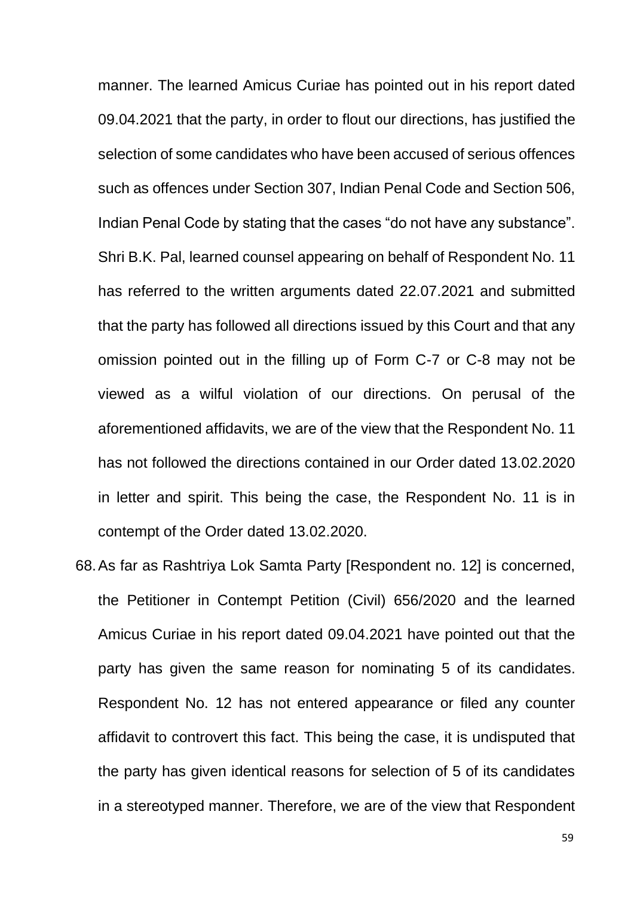manner. The learned Amicus Curiae has pointed out in his report dated 09.04.2021 that the party, in order to flout our directions, has justified the selection of some candidates who have been accused of serious offences such as offences under Section 307, Indian Penal Code and Section 506, Indian Penal Code by stating that the cases "do not have any substance". Shri B.K. Pal, learned counsel appearing on behalf of Respondent No. 11 has referred to the written arguments dated 22.07.2021 and submitted that the party has followed all directions issued by this Court and that any omission pointed out in the filling up of Form C-7 or C-8 may not be viewed as a wilful violation of our directions. On perusal of the aforementioned affidavits, we are of the view that the Respondent No. 11 has not followed the directions contained in our Order dated 13.02.2020 in letter and spirit. This being the case, the Respondent No. 11 is in contempt of the Order dated 13.02.2020.

68.As far as Rashtriya Lok Samta Party [Respondent no. 12] is concerned, the Petitioner in Contempt Petition (Civil) 656/2020 and the learned Amicus Curiae in his report dated 09.04.2021 have pointed out that the party has given the same reason for nominating 5 of its candidates. Respondent No. 12 has not entered appearance or filed any counter affidavit to controvert this fact. This being the case, it is undisputed that the party has given identical reasons for selection of 5 of its candidates in a stereotyped manner. Therefore, we are of the view that Respondent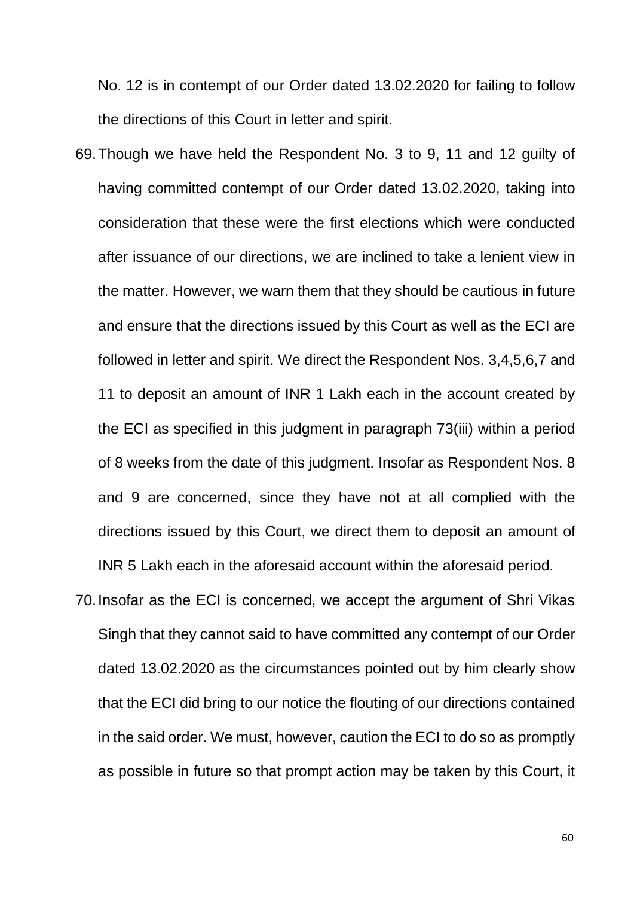No. 12 is in contempt of our Order dated 13.02.2020 for failing to follow the directions of this Court in letter and spirit.

- 69.Though we have held the Respondent No. 3 to 9, 11 and 12 guilty of having committed contempt of our Order dated 13.02.2020, taking into consideration that these were the first elections which were conducted after issuance of our directions, we are inclined to take a lenient view in the matter. However, we warn them that they should be cautious in future and ensure that the directions issued by this Court as well as the ECI are followed in letter and spirit. We direct the Respondent Nos. 3,4,5,6,7 and 11 to deposit an amount of INR 1 Lakh each in the account created by the ECI as specified in this judgment in paragraph 73(iii) within a period of 8 weeks from the date of this judgment. Insofar as Respondent Nos. 8 and 9 are concerned, since they have not at all complied with the directions issued by this Court, we direct them to deposit an amount of INR 5 Lakh each in the aforesaid account within the aforesaid period.
- 70.Insofar as the ECI is concerned, we accept the argument of Shri Vikas Singh that they cannot said to have committed any contempt of our Order dated 13.02.2020 as the circumstances pointed out by him clearly show that the ECI did bring to our notice the flouting of our directions contained in the said order. We must, however, caution the ECI to do so as promptly as possible in future so that prompt action may be taken by this Court, it

60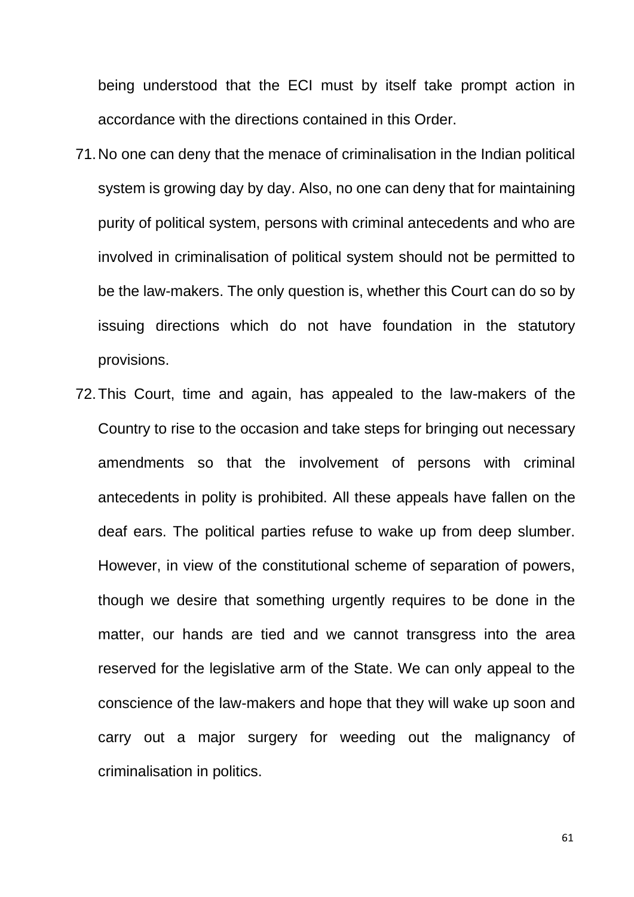being understood that the ECI must by itself take prompt action in accordance with the directions contained in this Order.

- 71.No one can deny that the menace of criminalisation in the Indian political system is growing day by day. Also, no one can deny that for maintaining purity of political system, persons with criminal antecedents and who are involved in criminalisation of political system should not be permitted to be the law-makers. The only question is, whether this Court can do so by issuing directions which do not have foundation in the statutory provisions.
- 72.This Court, time and again, has appealed to the law-makers of the Country to rise to the occasion and take steps for bringing out necessary amendments so that the involvement of persons with criminal antecedents in polity is prohibited. All these appeals have fallen on the deaf ears. The political parties refuse to wake up from deep slumber. However, in view of the constitutional scheme of separation of powers, though we desire that something urgently requires to be done in the matter, our hands are tied and we cannot transgress into the area reserved for the legislative arm of the State. We can only appeal to the conscience of the law-makers and hope that they will wake up soon and carry out a major surgery for weeding out the malignancy of criminalisation in politics.

61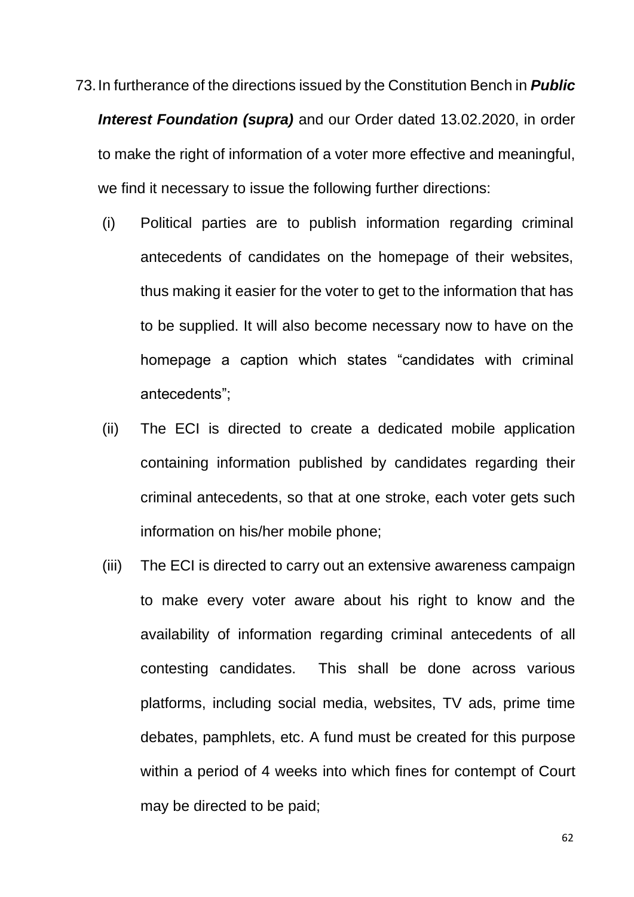73.In furtherance of the directions issued by the Constitution Bench in *Public Interest Foundation (supra)* and our Order dated 13.02.2020, in order to make the right of information of a voter more effective and meaningful, we find it necessary to issue the following further directions:

- (i) Political parties are to publish information regarding criminal antecedents of candidates on the homepage of their websites, thus making it easier for the voter to get to the information that has to be supplied. It will also become necessary now to have on the homepage a caption which states "candidates with criminal antecedents";
- (ii) The ECI is directed to create a dedicated mobile application containing information published by candidates regarding their criminal antecedents, so that at one stroke, each voter gets such information on his/her mobile phone;
- (iii) The ECI is directed to carry out an extensive awareness campaign to make every voter aware about his right to know and the availability of information regarding criminal antecedents of all contesting candidates. This shall be done across various platforms, including social media, websites, TV ads, prime time debates, pamphlets, etc. A fund must be created for this purpose within a period of 4 weeks into which fines for contempt of Court may be directed to be paid;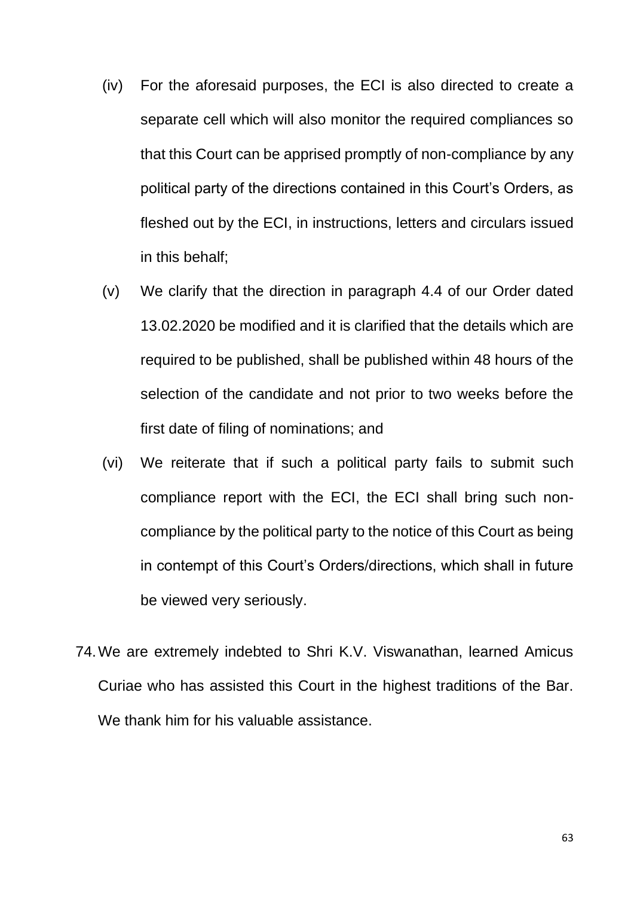- (iv) For the aforesaid purposes, the ECI is also directed to create a separate cell which will also monitor the required compliances so that this Court can be apprised promptly of non-compliance by any political party of the directions contained in this Court's Orders, as fleshed out by the ECI, in instructions, letters and circulars issued in this behalf;
- (v) We clarify that the direction in paragraph 4.4 of our Order dated 13.02.2020 be modified and it is clarified that the details which are required to be published, shall be published within 48 hours of the selection of the candidate and not prior to two weeks before the first date of filing of nominations; and
- (vi) We reiterate that if such a political party fails to submit such compliance report with the ECI, the ECI shall bring such noncompliance by the political party to the notice of this Court as being in contempt of this Court's Orders/directions, which shall in future be viewed very seriously.
- 74.We are extremely indebted to Shri K.V. Viswanathan, learned Amicus Curiae who has assisted this Court in the highest traditions of the Bar. We thank him for his valuable assistance.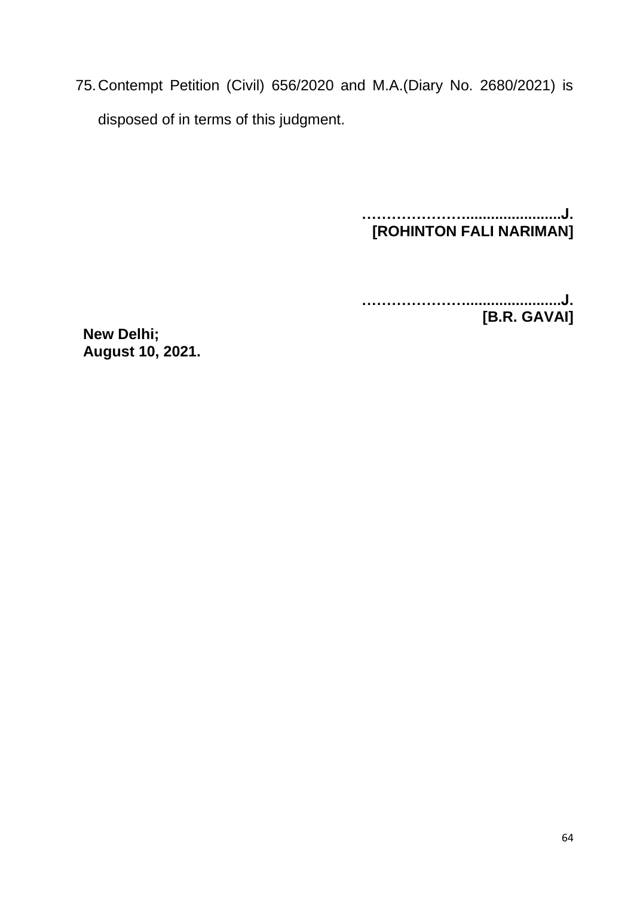75.Contempt Petition (Civil) 656/2020 and M.A.(Diary No. 2680/2021) is disposed of in terms of this judgment.

> **………………….......................J. [ROHINTON FALI NARIMAN]**

**………………….......................J. [B.R. GAVAI]**

**New Delhi; August 10, 2021.**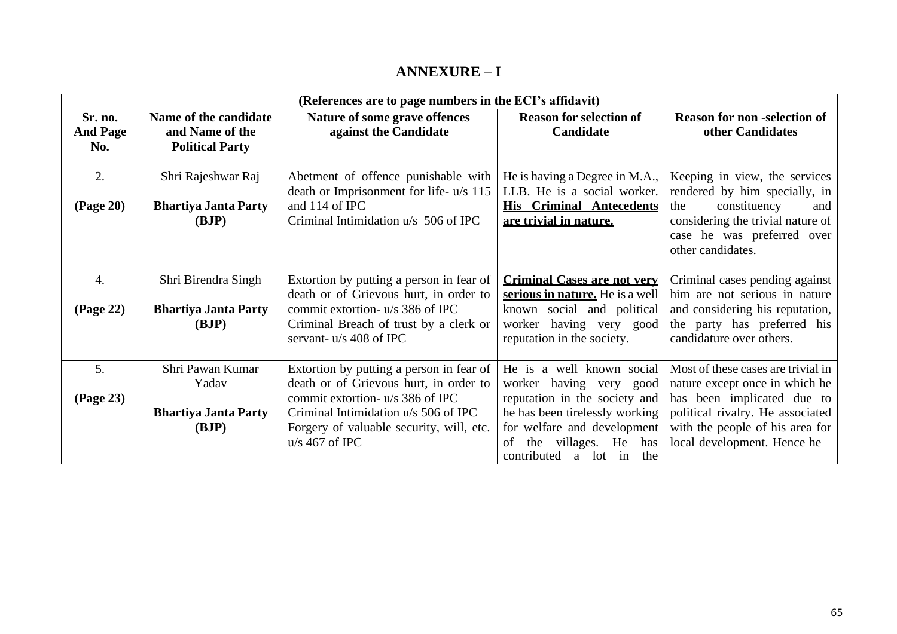#### **ANNEXURE – I**

| (References are to page numbers in the ECI's affidavit) |                             |                                                                     |                                    |                                                         |
|---------------------------------------------------------|-----------------------------|---------------------------------------------------------------------|------------------------------------|---------------------------------------------------------|
| Sr. no.                                                 | Name of the candidate       | Nature of some grave offences                                       | <b>Reason for selection of</b>     | <b>Reason for non-selection of</b>                      |
| <b>And Page</b>                                         | and Name of the             | against the Candidate                                               | Candidate                          | other Candidates                                        |
| No.                                                     | <b>Political Party</b>      |                                                                     |                                    |                                                         |
|                                                         |                             |                                                                     |                                    |                                                         |
| 2.                                                      | Shri Rajeshwar Raj          | Abetment of offence punishable with                                 | He is having a Degree in M.A.,     | Keeping in view, the services                           |
|                                                         |                             | death or Imprisonment for life- u/s 115                             | LLB. He is a social worker.        | rendered by him specially, in                           |
| <b>(Page 20)</b>                                        | <b>Bhartiya Janta Party</b> | and 114 of IPC                                                      | <b>His Criminal Antecedents</b>    | the<br>constituency<br>and                              |
|                                                         | (BJP)                       | Criminal Intimidation u/s 506 of IPC                                | are trivial in nature.             | considering the trivial nature of                       |
|                                                         |                             |                                                                     |                                    | case he was preferred over                              |
|                                                         |                             |                                                                     |                                    | other candidates.                                       |
|                                                         |                             |                                                                     |                                    |                                                         |
| $\overline{4}$ .                                        | Shri Birendra Singh         | Extortion by putting a person in fear of                            | <b>Criminal Cases are not very</b> | Criminal cases pending against                          |
|                                                         |                             | death or of Grievous hurt, in order to                              | serious in nature. He is a well    | him are not serious in nature                           |
| (Page 22)                                               | <b>Bhartiya Janta Party</b> | commit extortion- u/s 386 of IPC                                    | known social and political         | and considering his reputation,                         |
|                                                         | (BJP)                       | Criminal Breach of trust by a clerk or<br>servant- $u/s$ 408 of IPC | worker having very good            | the party has preferred his<br>candidature over others. |
|                                                         |                             |                                                                     | reputation in the society.         |                                                         |
| 5.                                                      | Shri Pawan Kumar            | Extortion by putting a person in fear of                            | He is a well known social          | Most of these cases are trivial in                      |
|                                                         | Yadav                       | death or of Grievous hurt, in order to                              | worker having very good            | nature except once in which he                          |
| (Page 23)                                               |                             | commit extortion- u/s 386 of IPC                                    | reputation in the society and      | has been implicated due to                              |
|                                                         | <b>Bhartiya Janta Party</b> | Criminal Intimidation u/s 506 of IPC                                | he has been tirelessly working     | political rivalry. He associated                        |
|                                                         | (BJP)                       | Forgery of valuable security, will, etc.                            | for welfare and development        | with the people of his area for                         |
|                                                         |                             | $u/s$ 467 of IPC                                                    | the villages. He has<br>of         | local development. Hence he                             |
|                                                         |                             |                                                                     | contributed a lot in the           |                                                         |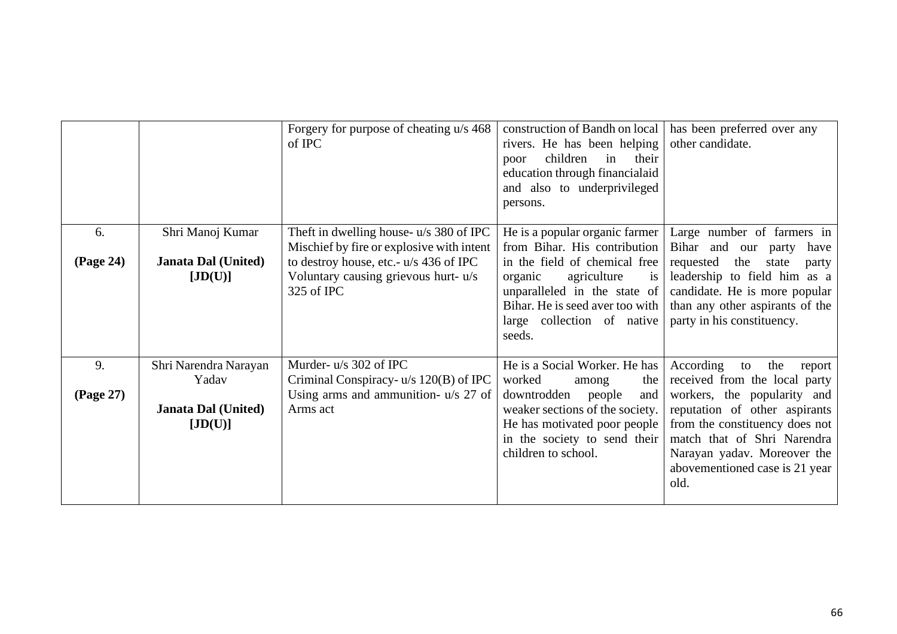|                 |                                                                         | Forgery for purpose of cheating u/s 468<br>of IPC                                                                                                                                    | construction of Bandh on local<br>rivers. He has been helping<br>children<br>their<br>in<br>poor<br>education through financialaid<br>and also to underprivileged<br>persons.                                                              | has been preferred over any<br>other candidate.                                                                                                                                                                                                                             |
|-----------------|-------------------------------------------------------------------------|--------------------------------------------------------------------------------------------------------------------------------------------------------------------------------------|--------------------------------------------------------------------------------------------------------------------------------------------------------------------------------------------------------------------------------------------|-----------------------------------------------------------------------------------------------------------------------------------------------------------------------------------------------------------------------------------------------------------------------------|
| 6.<br>(Page 24) | Shri Manoj Kumar<br><b>Janata Dal (United)</b><br>[JD(U)]               | Theft in dwelling house- u/s 380 of IPC<br>Mischief by fire or explosive with intent<br>to destroy house, etc.- u/s 436 of IPC<br>Voluntary causing grievous hurt- u/s<br>325 of IPC | He is a popular organic farmer<br>from Bihar. His contribution<br>in the field of chemical free<br>organic<br>agriculture<br>is<br>unparalleled in the state of<br>Bihar. He is seed aver too with<br>large collection of native<br>seeds. | Large number of farmers in<br>Bihar and our party<br>have<br>the<br>requested<br>state<br>party<br>leadership to field him as a<br>candidate. He is more popular<br>than any other aspirants of the<br>party in his constituency.                                           |
| 9.<br>(Page 27) | Shri Narendra Narayan<br>Yadav<br><b>Janata Dal (United)</b><br>[JD(U)] | Murder- u/s 302 of IPC<br>Criminal Conspiracy- $u/s$ 120(B) of IPC<br>Using arms and ammunition- u/s 27 of<br>Arms act                                                               | He is a Social Worker. He has<br>worked<br>the<br>among<br>downtrodden<br>people<br>and<br>weaker sections of the society.<br>He has motivated poor people<br>in the society to send their<br>children to school.                          | According<br>the<br>to<br>report<br>received from the local party<br>workers, the popularity and<br>reputation of other aspirants<br>from the constituency does not<br>match that of Shri Narendra<br>Narayan yadav. Moreover the<br>abovementioned case is 21 year<br>old. |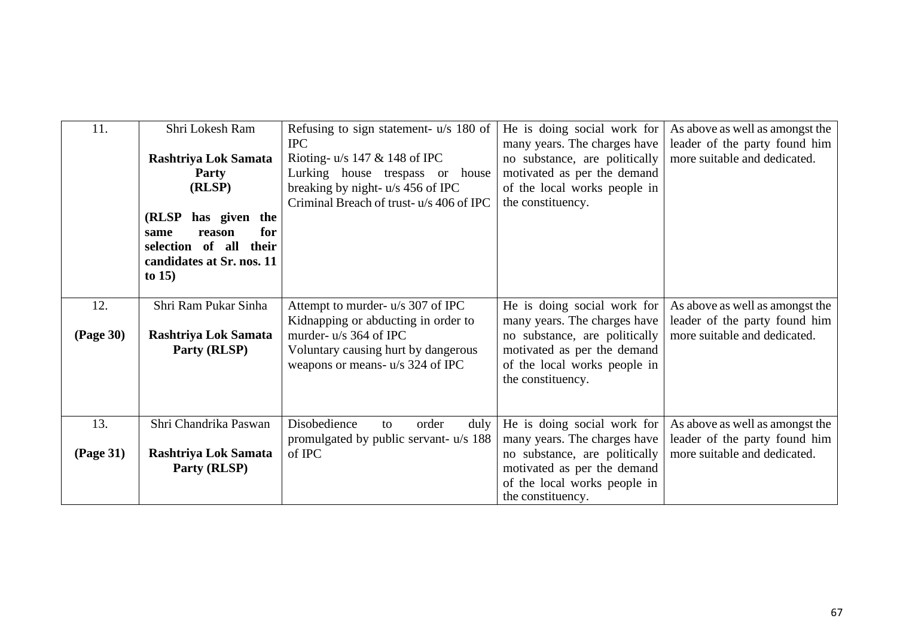| 11.                     | Shri Lokesh Ram<br>Rashtriya Lok Samata<br>Party<br>(RLSP)<br>(RLSP)<br>has given the<br>for<br>reason<br>same<br>selection of all<br>their<br>candidates at Sr. nos. 11<br>to $15$ ) | Refusing to sign statement- u/s 180 of<br><b>IPC</b><br>Rioting- $u/s$ 147 & 148 of IPC<br>Lurking house trespass or house<br>breaking by night- u/s 456 of IPC<br>Criminal Breach of trust-u/s 406 of IPC | He is doing social work for<br>many years. The charges have<br>no substance, are politically<br>motivated as per the demand<br>of the local works people in<br>the constituency. | As above as well as amongst the<br>leader of the party found him<br>more suitable and dedicated. |
|-------------------------|---------------------------------------------------------------------------------------------------------------------------------------------------------------------------------------|------------------------------------------------------------------------------------------------------------------------------------------------------------------------------------------------------------|----------------------------------------------------------------------------------------------------------------------------------------------------------------------------------|--------------------------------------------------------------------------------------------------|
| 12.<br><b>(Page 30)</b> | Shri Ram Pukar Sinha<br>Rashtriya Lok Samata<br>Party (RLSP)                                                                                                                          | Attempt to murder- u/s 307 of IPC<br>Kidnapping or abducting in order to<br>murder- u/s 364 of IPC<br>Voluntary causing hurt by dangerous<br>weapons or means- u/s 324 of IPC                              | He is doing social work for<br>many years. The charges have<br>no substance, are politically<br>motivated as per the demand<br>of the local works people in<br>the constituency. | As above as well as amongst the<br>leader of the party found him<br>more suitable and dedicated. |
| 13.<br>(Page 31)        | Shri Chandrika Paswan<br>Rashtriya Lok Samata<br>Party (RLSP)                                                                                                                         | Disobedience<br>order<br>duly<br>to<br>promulgated by public servant- u/s 188<br>of IPC                                                                                                                    | He is doing social work for<br>many years. The charges have<br>no substance, are politically<br>motivated as per the demand<br>of the local works people in<br>the constituency. | As above as well as amongst the<br>leader of the party found him<br>more suitable and dedicated. |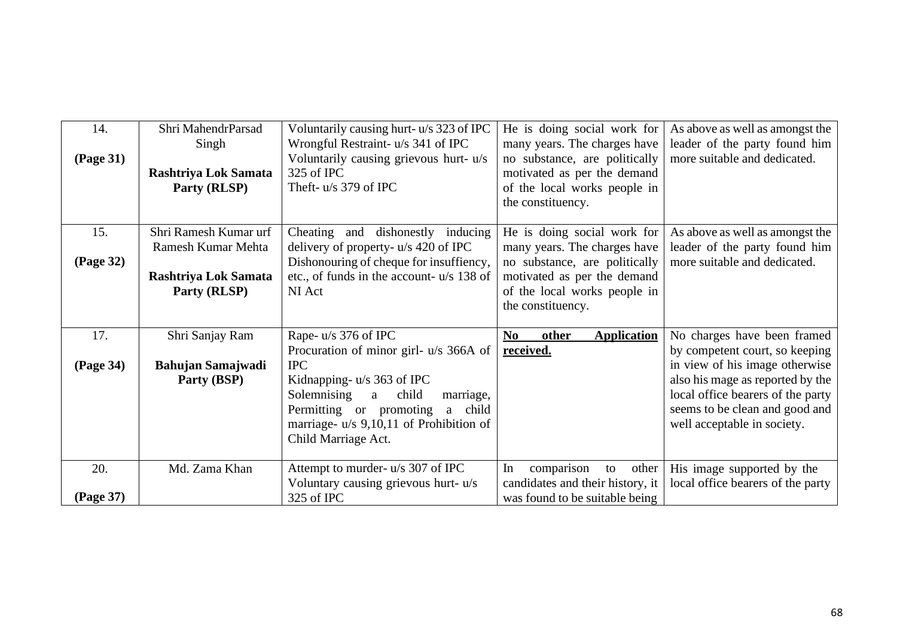| 14.<br><b>(Page 31)</b> | Shri MahendrParsad<br>Singh<br>Rashtriya Lok Samata<br>Party (RLSP)                 | Voluntarily causing hurt-u/s 323 of IPC<br>Wrongful Restraint- u/s 341 of IPC<br>Voluntarily causing grievous hurt- u/s<br>325 of IPC<br>Theft- u/s 379 of IPC                                                                                                     | He is doing social work for<br>many years. The charges have<br>no substance, are politically<br>motivated as per the demand<br>of the local works people in<br>the constituency. | As above as well as amongst the<br>leader of the party found him<br>more suitable and dedicated.                                                                                                                                          |
|-------------------------|-------------------------------------------------------------------------------------|--------------------------------------------------------------------------------------------------------------------------------------------------------------------------------------------------------------------------------------------------------------------|----------------------------------------------------------------------------------------------------------------------------------------------------------------------------------|-------------------------------------------------------------------------------------------------------------------------------------------------------------------------------------------------------------------------------------------|
| 15.<br>(Page 32)        | Shri Ramesh Kumar urf<br>Ramesh Kumar Mehta<br>Rashtriya Lok Samata<br>Party (RLSP) | Cheating and dishonestly inducing<br>delivery of property- $u/s$ 420 of IPC<br>Dishonouring of cheque for insuffiency,<br>etc., of funds in the account- u/s 138 of<br>NI Act                                                                                      | He is doing social work for<br>many years. The charges have<br>no substance, are politically<br>motivated as per the demand<br>of the local works people in<br>the constituency. | As above as well as amongst the<br>leader of the party found him<br>more suitable and dedicated.                                                                                                                                          |
| 17.<br>(Page 34)        | Shri Sanjay Ram<br><b>Bahujan Samajwadi</b><br>Party (BSP)                          | Rape-u/s 376 of IPC<br>Procuration of minor girl- u/s 366A of<br><b>IPC</b><br>Kidnapping- $u/s$ 363 of IPC<br>Solemnising<br>child<br>marriage,<br>a<br>Permitting or promoting<br>a<br>child<br>marriage- $u/s$ 9,10,11 of Prohibition of<br>Child Marriage Act. | <b>other</b><br><b>Application</b><br>$\mathbf{N}\mathbf{0}$<br>received.                                                                                                        | No charges have been framed<br>by competent court, so keeping<br>in view of his image otherwise<br>also his mage as reported by the<br>local office bearers of the party<br>seems to be clean and good and<br>well acceptable in society. |
| 20.<br>(Page 37)        | Md. Zama Khan                                                                       | Attempt to murder- u/s 307 of IPC<br>Voluntary causing grievous hurt- u/s<br>325 of IPC                                                                                                                                                                            | comparison<br>other<br>In<br>to<br>candidates and their history, it<br>was found to be suitable being                                                                            | His image supported by the<br>local office bearers of the party                                                                                                                                                                           |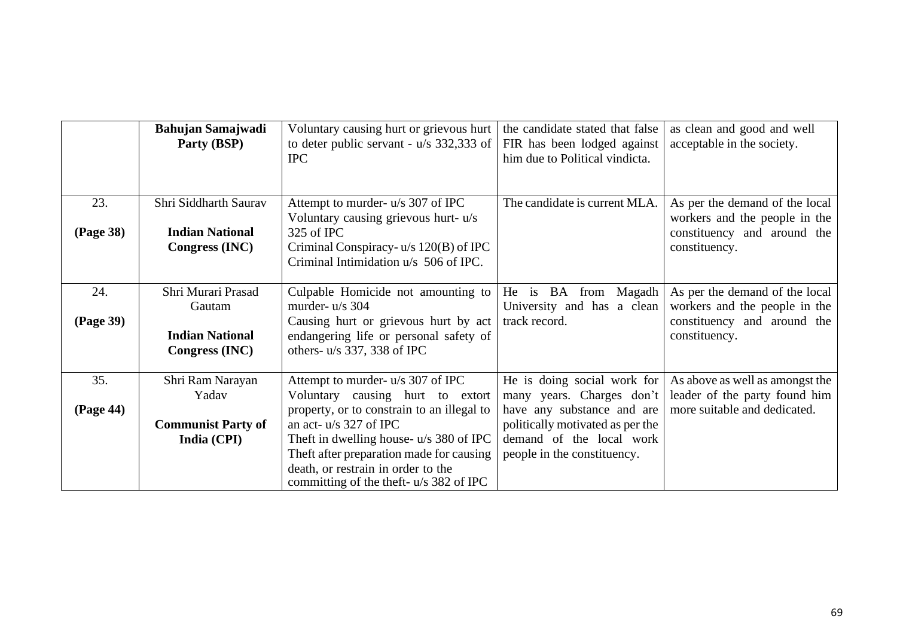|                         | <b>Bahujan Samajwadi</b><br>Party (BSP)                                  | Voluntary causing hurt or grievous hurt<br>to deter public servant - $u/s$ 332,333 of<br><b>IPC</b>                                                                                                                                                                                                                       | the candidate stated that false<br>FIR has been lodged against<br>him due to Political vindicta.                                                                                      | as clean and good and well<br>acceptable in the society.                                                        |
|-------------------------|--------------------------------------------------------------------------|---------------------------------------------------------------------------------------------------------------------------------------------------------------------------------------------------------------------------------------------------------------------------------------------------------------------------|---------------------------------------------------------------------------------------------------------------------------------------------------------------------------------------|-----------------------------------------------------------------------------------------------------------------|
| 23.<br><b>(Page 38)</b> | Shri Siddharth Saurav<br><b>Indian National</b><br>Congress (INC)        | Attempt to murder- u/s 307 of IPC<br>Voluntary causing grievous hurt- u/s<br>325 of IPC<br>Criminal Conspiracy- $u/s$ 120(B) of IPC<br>Criminal Intimidation u/s 506 of IPC.                                                                                                                                              | The candidate is current MLA.                                                                                                                                                         | As per the demand of the local<br>workers and the people in the<br>constituency and around the<br>constituency. |
| 24.<br>(Page 39)        | Shri Murari Prasad<br>Gautam<br><b>Indian National</b><br>Congress (INC) | Culpable Homicide not amounting to<br>murder- $u/s$ 304<br>Causing hurt or grievous hurt by act<br>endangering life or personal safety of<br>others- u/s 337, 338 of IPC                                                                                                                                                  | He is BA from Magadh<br>University and has a clean<br>track record.                                                                                                                   | As per the demand of the local<br>workers and the people in the<br>constituency and around the<br>constituency. |
| 35.<br>(Page 44)        | Shri Ram Narayan<br>Yadav<br><b>Communist Party of</b><br>India (CPI)    | Attempt to murder- u/s 307 of IPC<br>Voluntary causing hurt to extort<br>property, or to constrain to an illegal to<br>an act- $u/s$ 327 of IPC<br>Theft in dwelling house- u/s 380 of IPC<br>Theft after preparation made for causing<br>death, or restrain in order to the<br>committing of the theft- $u/s$ 382 of IPC | He is doing social work for<br>many years. Charges don't<br>have any substance and are<br>politically motivated as per the<br>demand of the local work<br>people in the constituency. | As above as well as amongst the<br>leader of the party found him<br>more suitable and dedicated.                |